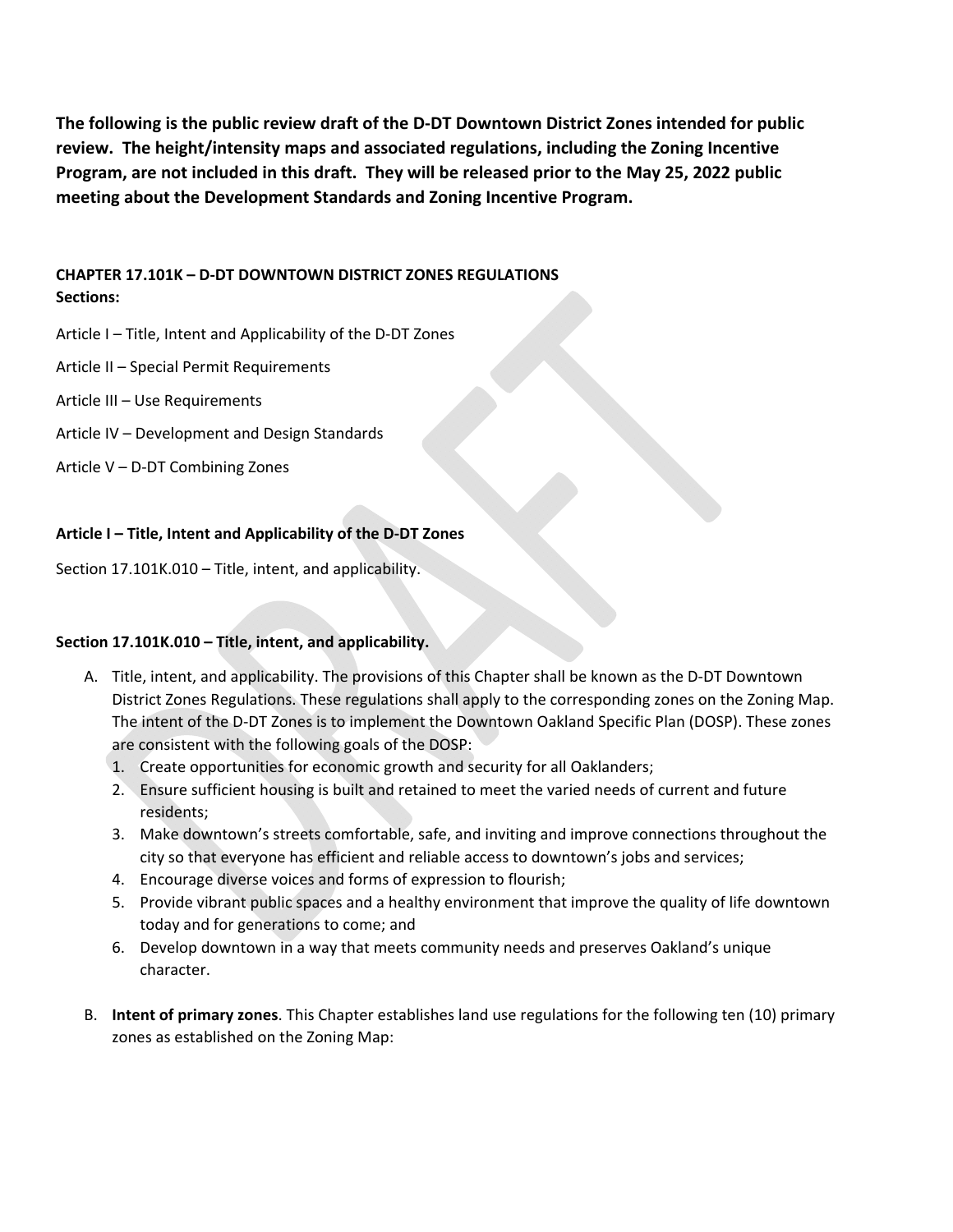**The following is the public review draft of the D‐DT Downtown District Zones intended for public review. The height/intensity maps and associated regulations, including the Zoning Incentive** Program, are not included in this draft. They will be released prior to the May 25, 2022 public **meeting about the Development Standards and Zoning Incentive Program.**

## **CHAPTER 17.101K – D‐DT DOWNTOWN DISTRICT ZONES REGULATIONS Sections:**

- Article I Title, Intent and Applicability of the D‐DT Zones
- Article II Special Permit Requirements
- Article III Use Requirements
- Article IV Development and Design Standards
- Article V D‐DT Combining Zones

## **Article I – Title, Intent and Applicability of the D‐DT Zones**

Section 17.101K.010 – Title, intent, and applicability.

## **Section 17.101K.010 – Title, intent, and applicability.**

- A. Title, intent, and applicability. The provisions of this Chapter shall be known as the D‐DT Downtown District Zones Regulations. These regulations shall apply to the corresponding zones on the Zoning Map. The intent of the D‐DT Zones is to implement the Downtown Oakland Specific Plan (DOSP). These zones are consistent with the following goals of the DOSP:
	- 1. Create opportunities for economic growth and security for all Oaklanders;
	- 2. Ensure sufficient housing is built and retained to meet the varied needs of current and future residents;
	- 3. Make downtown's streets comfortable, safe, and inviting and improve connections throughout the city so that everyone has efficient and reliable access to downtown's jobs and services;
	- 4. Encourage diverse voices and forms of expression to flourish;
	- 5. Provide vibrant public spaces and a healthy environment that improve the quality of life downtown today and for generations to come; and
	- 6. Develop downtown in a way that meets community needs and preserves Oakland's unique character.
- B. **Intent of primary zones**. This Chapter establishes land use regulations for the following ten (10) primary zones as established on the Zoning Map: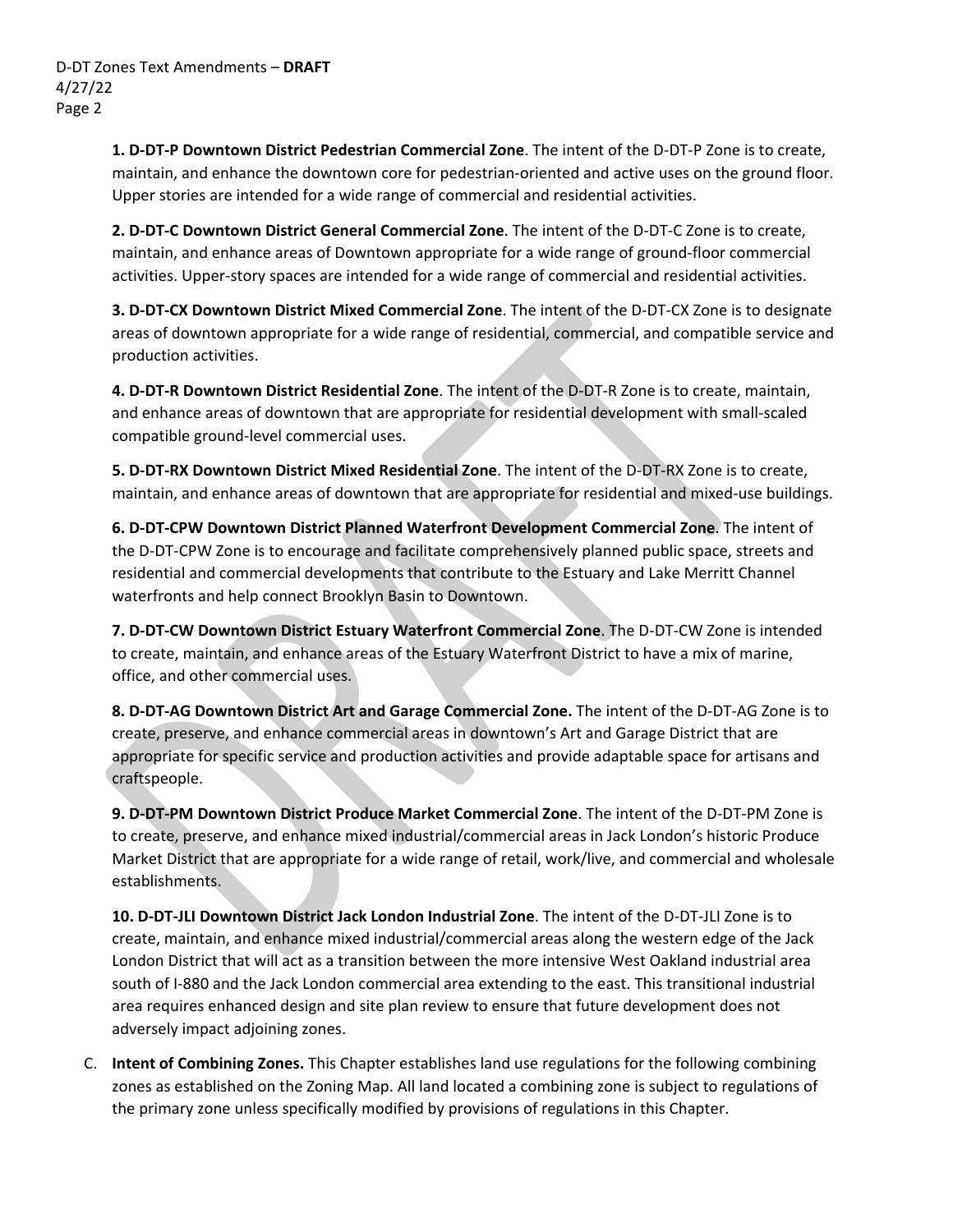**1. D‐DT‐P Downtown District Pedestrian Commercial Zone**. The intent of the D‐DT‐P Zone is to create, maintain, and enhance the downtown core for pedestrian-oriented and active uses on the ground floor. Upper stories are intended for a wide range of commercial and residential activities.

**2. D‐DT‐C Downtown District General Commercial Zone**. The intent of the D‐DT‐C Zone is to create, maintain, and enhance areas of Downtown appropriate for a wide range of ground‐floor commercial activities. Upper‐story spaces are intended for a wide range of commercial and residential activities.

**3. D‐DT‐CX Downtown District Mixed Commercial Zone**. The intent of the D‐DT‐CX Zone is to designate areas of downtown appropriate for a wide range of residential, commercial, and compatible service and production activities.

**4. D‐DT‐R Downtown District Residential Zone**. The intent of the D‐DT‐R Zone is to create, maintain, and enhance areas of downtown that are appropriate for residential development with small‐scaled compatible ground‐level commercial uses.

**5. D‐DT‐RX Downtown District Mixed Residential Zone**. The intent of the D‐DT‐RX Zone is to create, maintain, and enhance areas of downtown that are appropriate for residential and mixed‐use buildings.

**6. D‐DT‐CPW Downtown District Planned Waterfront Development Commercial Zone**. The intent of the D‐DT‐CPW Zone is to encourage and facilitate comprehensively planned public space, streets and residential and commercial developments that contribute to the Estuary and Lake Merritt Channel waterfronts and help connect Brooklyn Basin to Downtown.

**7. D‐DT‐CW Downtown District Estuary Waterfront Commercial Zone**. The D‐DT‐CW Zone is intended to create, maintain, and enhance areas of the Estuary Waterfront District to have a mix of marine, office, and other commercial uses.

**8. D‐DT‐AG Downtown District Art and Garage Commercial Zone.** The intent of the D‐DT‐AG Zone is to create, preserve, and enhance commercial areas in downtown's Art and Garage District that are appropriate for specific service and production activities and provide adaptable space for artisans and craftspeople.

**9. D‐DT‐PM Downtown District Produce Market Commercial Zone**. The intent of the D‐DT‐PM Zone is to create, preserve, and enhance mixed industrial/commercial areas in Jack London's historic Produce Market District that are appropriate for a wide range of retail, work/live, and commercial and wholesale establishments.

**10. D‐DT‐JLI Downtown District Jack London Industrial Zone**. The intent of the D‐DT‐JLI Zone is to create, maintain, and enhance mixed industrial/commercial areas along the western edge of the Jack London District that will act as a transition between the more intensive West Oakland industrial area south of I‐880 and the Jack London commercial area extending to the east. This transitional industrial area requires enhanced design and site plan review to ensure that future development does not adversely impact adjoining zones.

C. **Intent of Combining Zones.** This Chapter establishes land use regulations for the following combining zones as established on the Zoning Map. All land located a combining zone is subject to regulations of the primary zone unless specifically modified by provisions of regulations in this Chapter.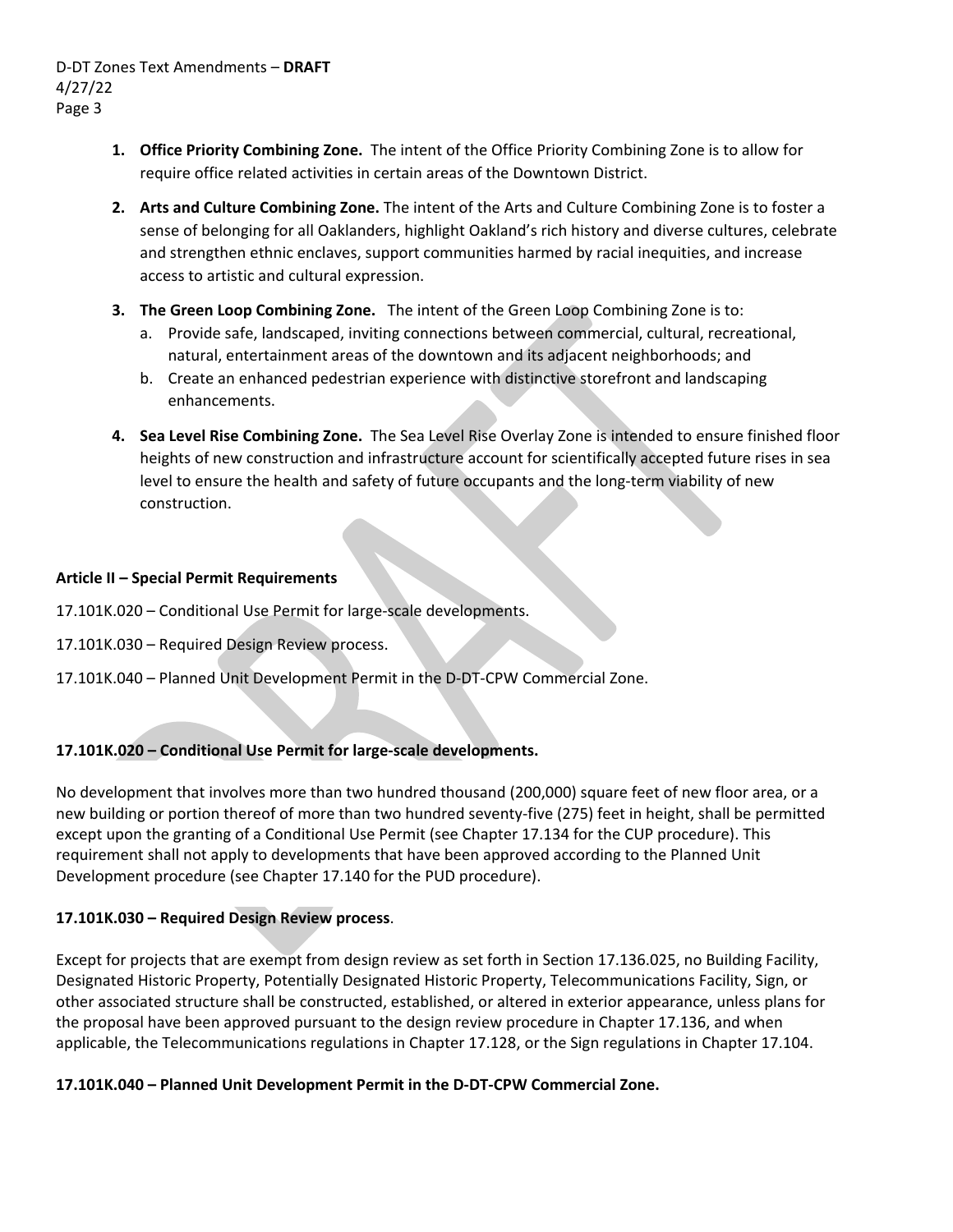- **1. Office Priority Combining Zone.** The intent of the Office Priority Combining Zone is to allow for require office related activities in certain areas of the Downtown District.
- **2. Arts and Culture Combining Zone.** The intent of the Arts and Culture Combining Zone is to foster a sense of belonging for all Oaklanders, highlight Oakland's rich history and diverse cultures, celebrate and strengthen ethnic enclaves, support communities harmed by racial inequities, and increase access to artistic and cultural expression.
- **3. The Green Loop Combining Zone.**  The intent of the Green Loop Combining Zone is to:
	- a. Provide safe, landscaped, inviting connections between commercial, cultural, recreational, natural, entertainment areas of the downtown and its adjacent neighborhoods; and
	- b. Create an enhanced pedestrian experience with distinctive storefront and landscaping enhancements.
- **4. Sea Level Rise Combining Zone.** The Sea Level Rise Overlay Zone is intended to ensure finished floor heights of new construction and infrastructure account for scientifically accepted future rises in sea level to ensure the health and safety of future occupants and the long‐term viability of new construction.

### **Article II – Special Permit Requirements**

17.101K.020 – Conditional Use Permit for large‐scale developments.

- 17.101K.030 Required Design Review process.
- 17.101K.040 Planned Unit Development Permit in the D‐DT‐CPW Commercial Zone.

## **17.101K.020 – Conditional Use Permit for large‐scale developments.**

No development that involves more than two hundred thousand (200,000) square feet of new floor area, or a new building or portion thereof of more than two hundred seventy-five (275) feet in height, shall be permitted except upon the granting of a Conditional Use Permit (see Chapter 17.134 for the CUP procedure). This requirement shall not apply to developments that have been approved according to the Planned Unit Development procedure (see Chapter 17.140 for the PUD procedure).

## **17.101K.030 – Required Design Review process**.

Except for projects that are exempt from design review as set forth in Section 17.136.025, no Building Facility, Designated Historic Property, Potentially Designated Historic Property, Telecommunications Facility, Sign, or other associated structure shall be constructed, established, or altered in exterior appearance, unless plans for the proposal have been approved pursuant to the design review procedure in Chapter 17.136, and when applicable, the Telecommunications regulations in Chapter 17.128, or the Sign regulations in Chapter 17.104.

### **17.101K.040 – Planned Unit Development Permit in the D‐DT‐CPW Commercial Zone.**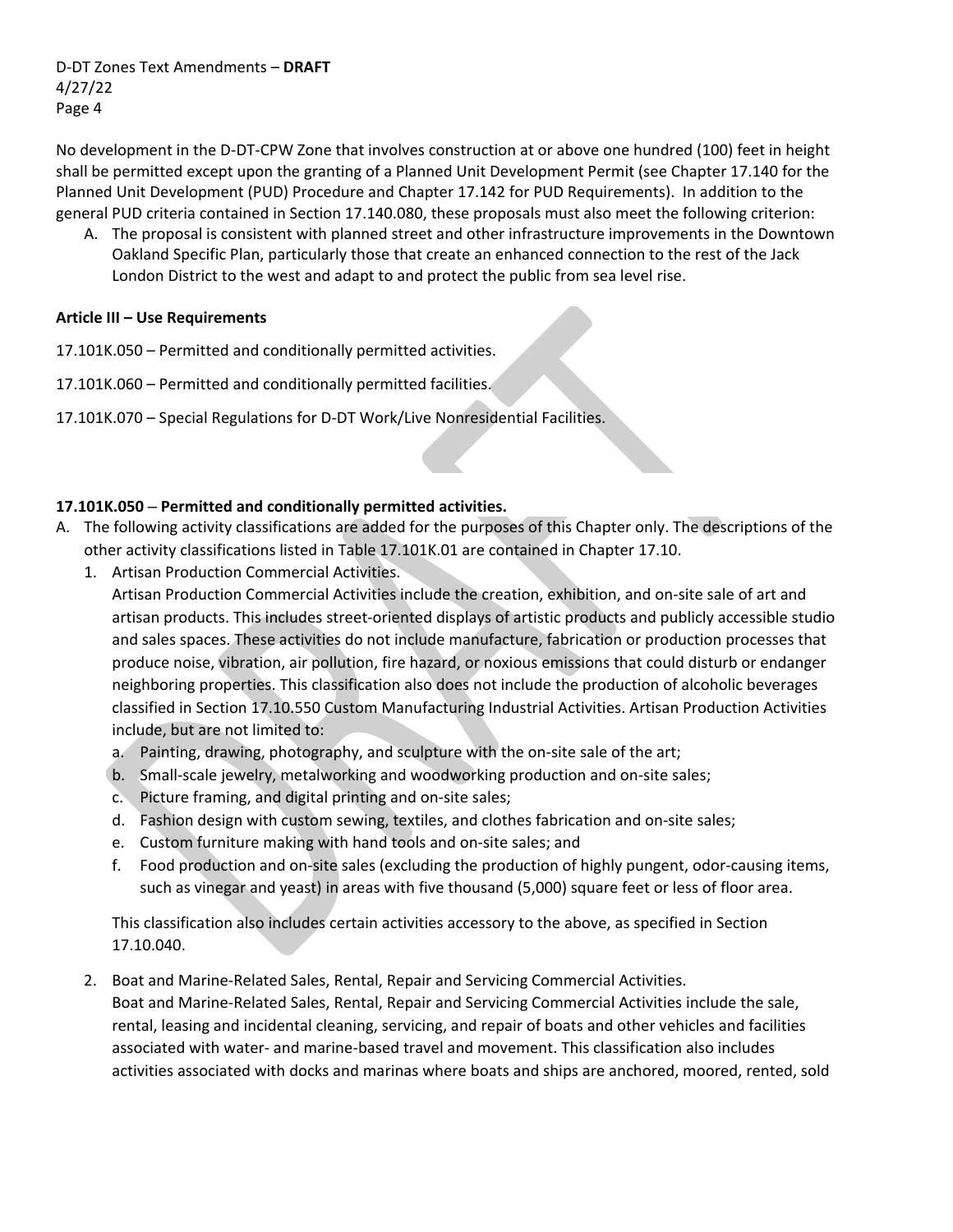No development in the D‐DT‐CPW Zone that involves construction at or above one hundred (100) feet in height shall be permitted except upon the granting of a Planned Unit Development Permit (see Chapter 17.140 for the Planned Unit Development (PUD) Procedure and Chapter 17.142 for PUD Requirements). In addition to the general PUD criteria contained in Section 17.140.080, these proposals must also meet the following criterion:

A. The proposal is consistent with planned street and other infrastructure improvements in the Downtown Oakland Specific Plan, particularly those that create an enhanced connection to the rest of the Jack London District to the west and adapt to and protect the public from sea level rise.

### **Article III – Use Requirements**

- 17.101K.050 Permitted and conditionally permitted activities.
- 17.101K.060 Permitted and conditionally permitted facilities.
- 17.101K.070 Special Regulations for D‐DT Work/Live Nonresidential Facilities.

### **17.101K.050 – Permitted and conditionally permitted activities.**

- A. The following activity classifications are added for the purposes of this Chapter only. The descriptions of the other activity classifications listed in Table 17.101K.01 are contained in Chapter 17.10.
	- 1. Artisan Production Commercial Activities.

Artisan Production Commercial Activities include the creation, exhibition, and on‐site sale of art and artisan products. This includes street‐oriented displays of artistic products and publicly accessible studio and sales spaces. These activities do not include manufacture, fabrication or production processes that produce noise, vibration, air pollution, fire hazard, or noxious emissions that could disturb or endanger neighboring properties. This classification also does not include the production of alcoholic beverages classified in Section 17.10.550 Custom Manufacturing Industrial Activities. Artisan Production Activities include, but are not limited to:

- a. Painting, drawing, photography, and sculpture with the on‐site sale of the art;
- b. Small‐scale jewelry, metalworking and woodworking production and on‐site sales;
- c. Picture framing, and digital printing and on‐site sales;
- d. Fashion design with custom sewing, textiles, and clothes fabrication and on‐site sales;
- e. Custom furniture making with hand tools and on‐site sales; and
- f. Food production and on‐site sales (excluding the production of highly pungent, odor‐causing items, such as vinegar and yeast) in areas with five thousand (5,000) square feet or less of floor area.

This classification also includes certain activities accessory to the above, as specified in Section 17.10.040.

2. Boat and Marine‐Related Sales, Rental, Repair and Servicing Commercial Activities. Boat and Marine‐Related Sales, Rental, Repair and Servicing Commercial Activities include the sale, rental, leasing and incidental cleaning, servicing, and repair of boats and other vehicles and facilities associated with water‐ and marine‐based travel and movement. This classification also includes activities associated with docks and marinas where boats and ships are anchored, moored, rented, sold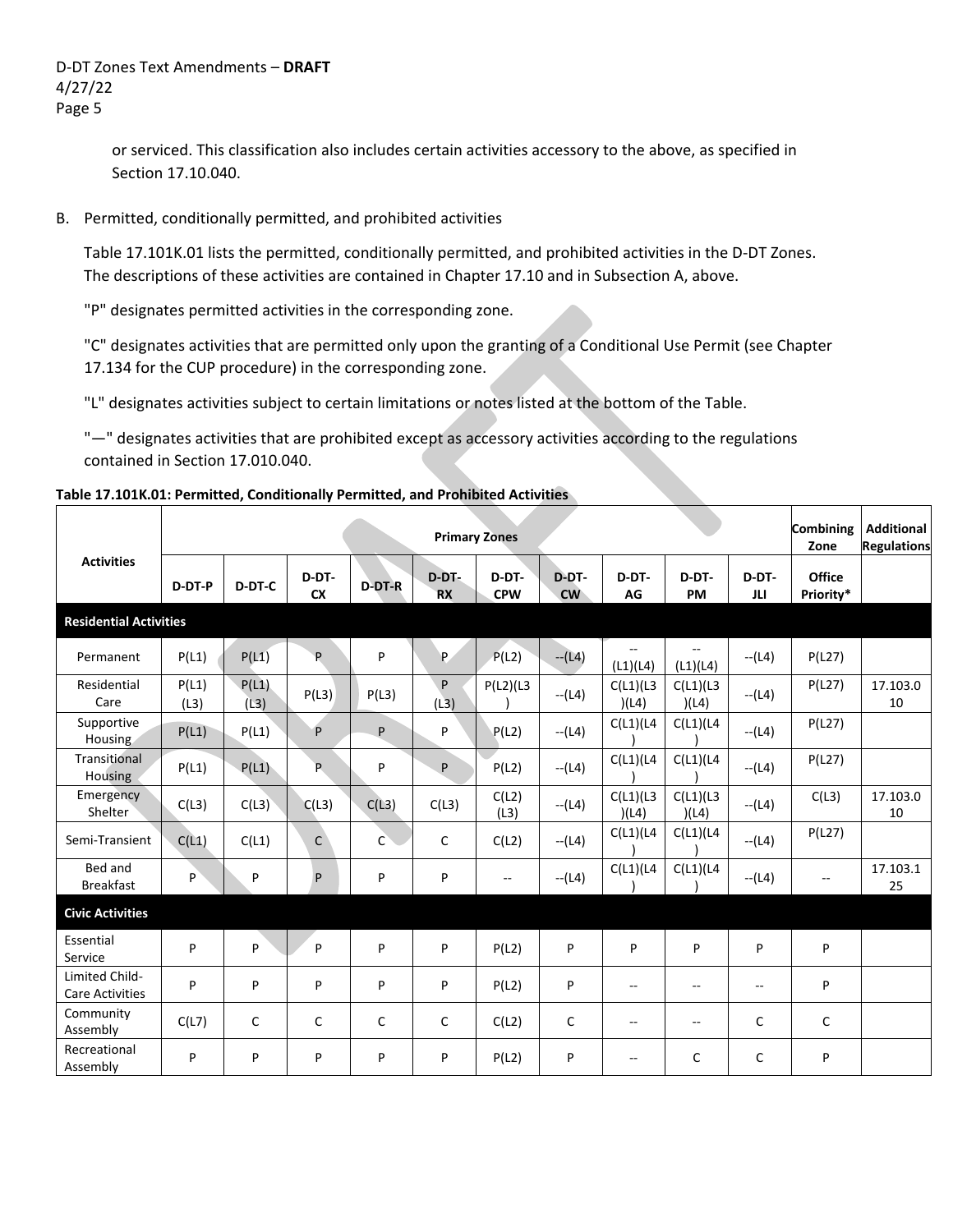> or serviced. This classification also includes certain activities accessory to the above, as specified in Section 17.10.040.

B. Permitted, conditionally permitted, and prohibited activities

Table 17.101K.01 lists the permitted, conditionally permitted, and prohibited activities in the D‐DT Zones. The descriptions of these activities are contained in Chapter 17.10 and in Subsection A, above.

"P" designates permitted activities in the corresponding zone.

"C" designates activities that are permitted only upon the granting of a Conditional Use Permit (see Chapter 17.134 for the CUP procedure) in the corresponding zone.

"L" designates activities subject to certain limitations or notes listed at the bottom of the Table.

"—" designates activities that are prohibited except as accessory activities according to the regulations contained in Section 17.010.040.

#### **Table 17.101K.01: Permitted, Conditionally Permitted, and Prohibited Activities**

|                                          |               |               |                    |               |                       | <b>Primary Zones</b>     |                    |                                      |                                      |              | Combining<br>Zone          | <b>Additional</b><br><b>Regulations</b> |
|------------------------------------------|---------------|---------------|--------------------|---------------|-----------------------|--------------------------|--------------------|--------------------------------------|--------------------------------------|--------------|----------------------------|-----------------------------------------|
| <b>Activities</b>                        | D-DT-P        | D-DT-C        | D-DT-<br><b>CX</b> | <b>D-DT-R</b> | $D-DT$ -<br><b>RX</b> | D-DT-<br><b>CPW</b>      | D-DT-<br><b>CW</b> | D-DT-<br>AG                          | D-DT-<br>PM                          | D-DT-<br>JLI | <b>Office</b><br>Priority* |                                         |
| <b>Residential Activities</b>            |               |               |                    |               |                       |                          |                    |                                      |                                      |              |                            |                                         |
| Permanent                                | P(L1)         | P(L1)         | P                  | P             | P.                    | P(L2)                    | $-L(4)$            | $\overline{\phantom{a}}$<br>(L1)(L4) | $\overline{\phantom{a}}$<br>(L1)(L4) | $- (L4)$     | P(L27)                     |                                         |
| Residential<br>Care                      | P(L1)<br>(L3) | P(L1)<br>(L3) | P(L3)              | P(L3)         | P<br>(L3)             | $P(L2)$ (L3              | $- (L4)$           | C(L1)(L3)<br>)(L4)                   | C(L1)(L3)<br>)(L4)                   | $- (L4)$     | P(L27)                     | 17.103.0<br>10                          |
| Supportive<br>Housing                    | P(L1)         | P(L1)         | P                  | P             | P                     | P(L2)                    | $- (L4)$           | C(L1)(L4)                            | C(L1)(L4)                            | $- (L4)$     | P(L27)                     |                                         |
| Transitional<br>Housing                  | P(L1)         | P(L1)         | P.                 | P             | P                     | P(L2)                    | $- (L4)$           | C(L1)(L4)                            | C(L1)(L4)                            | $- (L4)$     | P(L27)                     |                                         |
| Emergency<br>Shelter                     | C(L3)         | C(L3)         | C(L3)              | C(L3)         | C(L3)                 | C(L2)<br>(L3)            | $- (L4)$           | C(L1)(L3)<br>)(L4)                   | C(L1)(L3)<br>)(L4)                   | --(L4)       | C(L3)                      | 17.103.0<br>10                          |
| Semi-Transient                           | C(L1)         | C(L1)         | $\mathsf C$        | $\mathsf{C}$  | $\mathsf{C}$          | C(L2)                    | $- (L4)$           | C(L1)(L4)                            | C(L1)(L4)                            | $- (L4)$     | P(L27)                     |                                         |
| Bed and<br><b>Breakfast</b>              | P             | P             | P                  | P             | P                     | $\overline{\phantom{a}}$ | $- (L4)$           | C(L1)(L4)                            | C(L1)(L4)                            | $- (L4)$     | $\overline{\phantom{a}}$   | 17.103.1<br>25                          |
| <b>Civic Activities</b>                  |               |               |                    |               |                       |                          |                    |                                      |                                      |              |                            |                                         |
| Essential<br>Service                     | P             | P             | P                  | P             | P                     | P(L2)                    | P                  | P                                    | P                                    | P            | P                          |                                         |
| Limited Child-<br><b>Care Activities</b> | P             | P             | P                  | P             | P                     | P(L2)                    | P                  | $\overline{\phantom{a}}$             | $-$                                  | $\sim$       | P                          |                                         |
| Community<br>Assembly                    | C(L7)         | C             | $\mathsf C$        | C             | C                     | C(L2)                    | C                  | --                                   | $\mathbf{u}$                         | C            | C                          |                                         |
| Recreational<br>Assembly                 | P             | P             | P                  | P             | P                     | P(L2)                    | P                  | --                                   | C                                    | C            | P                          |                                         |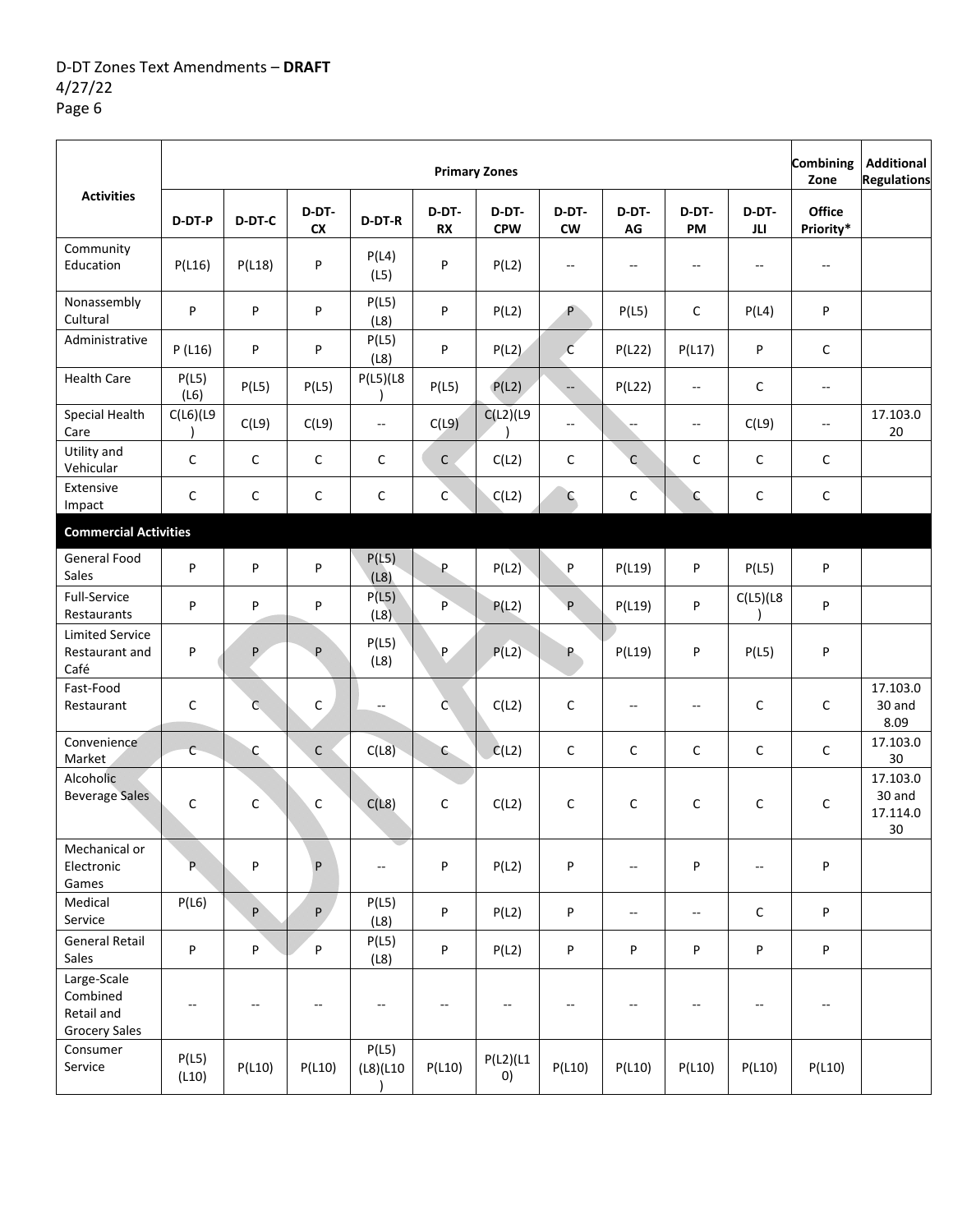|                                                               |                |                |                    |                          |                          | <b>Primary Zones</b>           |                          |                          |                          |                          | <b>Combining</b><br>Zone | <b>Additional</b><br><b>Regulations</b> |
|---------------------------------------------------------------|----------------|----------------|--------------------|--------------------------|--------------------------|--------------------------------|--------------------------|--------------------------|--------------------------|--------------------------|--------------------------|-----------------------------------------|
| <b>Activities</b>                                             | D-DT-P         | D-DT-C         | D-DT-<br><b>CX</b> | D-DT-R                   | D-DT-<br><b>RX</b>       | D-DT-<br><b>CPW</b>            | D-DT-<br><b>CW</b>       | D-DT-<br>AG              | D-DT-<br><b>PM</b>       | D-DT-<br>JLI.            | Office<br>Priority*      |                                         |
| Community<br>Education                                        | P(L16)         | P(L18)         | P                  | P(L4)<br>(L5)            | P                        | P(L2)                          | $\overline{\phantom{a}}$ | $\overline{\phantom{a}}$ | $\overline{\phantom{a}}$ | $\overline{\phantom{a}}$ | --                       |                                         |
| Nonassembly<br>Cultural                                       | P              | P              | P                  | P(L5)<br>(L8)            | P                        | P(L2)                          | P                        | P(L5)                    | $\mathsf C$              | P(L4)                    | P                        |                                         |
| Administrative                                                | P(L16)         | P              | P                  | P(L5)<br>(L8)            | P                        | P(L2)                          | $\overline{\mathsf{C}}$  | P(L22)                   | P(L17)                   | P                        | $\mathsf{C}$             |                                         |
| <b>Health Care</b>                                            | P(L5)<br>(L6)  | P(L5)          | P(L5)              | P(L5)(L8)                | P(L5)                    | P(L2)                          | $\overline{\phantom{a}}$ | P(L22)                   | $\overline{\phantom{a}}$ | $\mathsf C$              | $\overline{\phantom{a}}$ |                                         |
| Special Health<br>Care                                        | $C(L6)$ (L9    | C(L9)          | C(L9)              | $\overline{\phantom{a}}$ | C(L9)                    | $C(L2)$ (L9                    | $\overline{\phantom{a}}$ | --                       | $\overline{\phantom{a}}$ | C(L9)                    | $\overline{\phantom{a}}$ | 17.103.0<br>20                          |
| Utility and<br>Vehicular                                      | $\mathsf C$    | C              | $\mathsf C$        | C                        | $\mathsf C$              | C(L2)                          | $\mathsf C$              | C                        | $\mathsf C$              | C                        | C                        |                                         |
| Extensive<br>Impact                                           | $\mathsf{C}$   | C              | C                  | $\mathsf C$              | $\mathsf{C}$             | C(L2)                          | $\mathsf{C}$             | С                        | $\mathsf{C}$             | C                        | $\mathsf{C}$             |                                         |
| <b>Commercial Activities</b>                                  |                |                |                    |                          |                          |                                |                          |                          |                          |                          |                          |                                         |
| General Food<br>Sales                                         | P              | P              | P                  | P(L5)<br>(L8)            | P.                       | P(L2)                          | P                        | P(L19)                   | P                        | P(L5)                    | P                        |                                         |
| Full-Service<br>Restaurants                                   | P              | P              | P                  | P(L5)<br>(L8)            | P                        | P(L2)                          | P                        | P(L19)                   | P                        | $C(L5)$ (L8              | P                        |                                         |
| <b>Limited Service</b><br>Restaurant and<br>Café              | P              | P              | P                  | P(L5)<br>(L8)            | P                        | P(L2)                          | P.                       | P(L19)                   | P                        | P(L5)                    | P                        |                                         |
| Fast-Food<br>Restaurant                                       | $\mathsf{C}$   | $\overline{C}$ | C                  | $\overline{\phantom{a}}$ | $\mathsf{C}$             | C(L2)                          | $\mathsf C$              | $\qquad \qquad -$        | $\overline{\phantom{a}}$ | $\mathsf{C}$             | C                        | 17.103.0<br>30 and<br>8.09              |
| Convenience<br>Market                                         | $\mathsf{C}$   | C              | $\mathsf{C}$       | C(L8)                    | $\mathsf{C}$             | C(L2)                          | $\mathsf C$              | С                        | $\mathsf C$              | C                        | C                        | 17.103.0<br>30                          |
| Alcoholic<br><b>Beverage Sales</b>                            | $\mathsf C$    | С              | C                  | C(L8)                    | C                        | C(L2)                          | C                        | C                        | $\mathsf{C}$             | $\mathsf{C}$             | $\mathsf{C}$             | 17.103.0<br>30 and<br>17.114.0<br>30    |
| Mechanical or<br>Electronic<br>Games                          | P.             | P              | P                  | $-$                      | P                        | P(L2)                          | P                        | $-$                      | P                        | --                       | P                        |                                         |
| Medical<br>Service                                            | P(L6)          | P              | P                  | P(L5)<br>(L8)            | P                        | P(L2)                          | P                        | $-$                      | $\overline{\phantom{a}}$ | C                        | P                        |                                         |
| General Retail<br>Sales                                       | P              | P              | P                  | P(L5)<br>(L8)            | P                        | P(L2)                          | P                        | P                        | P                        | P                        | P                        |                                         |
| Large-Scale<br>Combined<br>Retail and<br><b>Grocery Sales</b> | --             | $-$            | $-\!$              | $\overline{\phantom{a}}$ | $\overline{\phantom{a}}$ | --                             | $\overline{\phantom{a}}$ | $\overline{\phantom{a}}$ | $\overline{\phantom{a}}$ | --                       | --                       |                                         |
| Consumer<br>Service                                           | P(L5)<br>(L10) | P(L10)         | P(L10)             | P(L5)<br>(L8)(L10)       | P(L10)                   | P(L2)(L1)<br>$\left( 0\right)$ | P(L10)                   | P(L10)                   | P(L10)                   | P(L10)                   | P(L10)                   |                                         |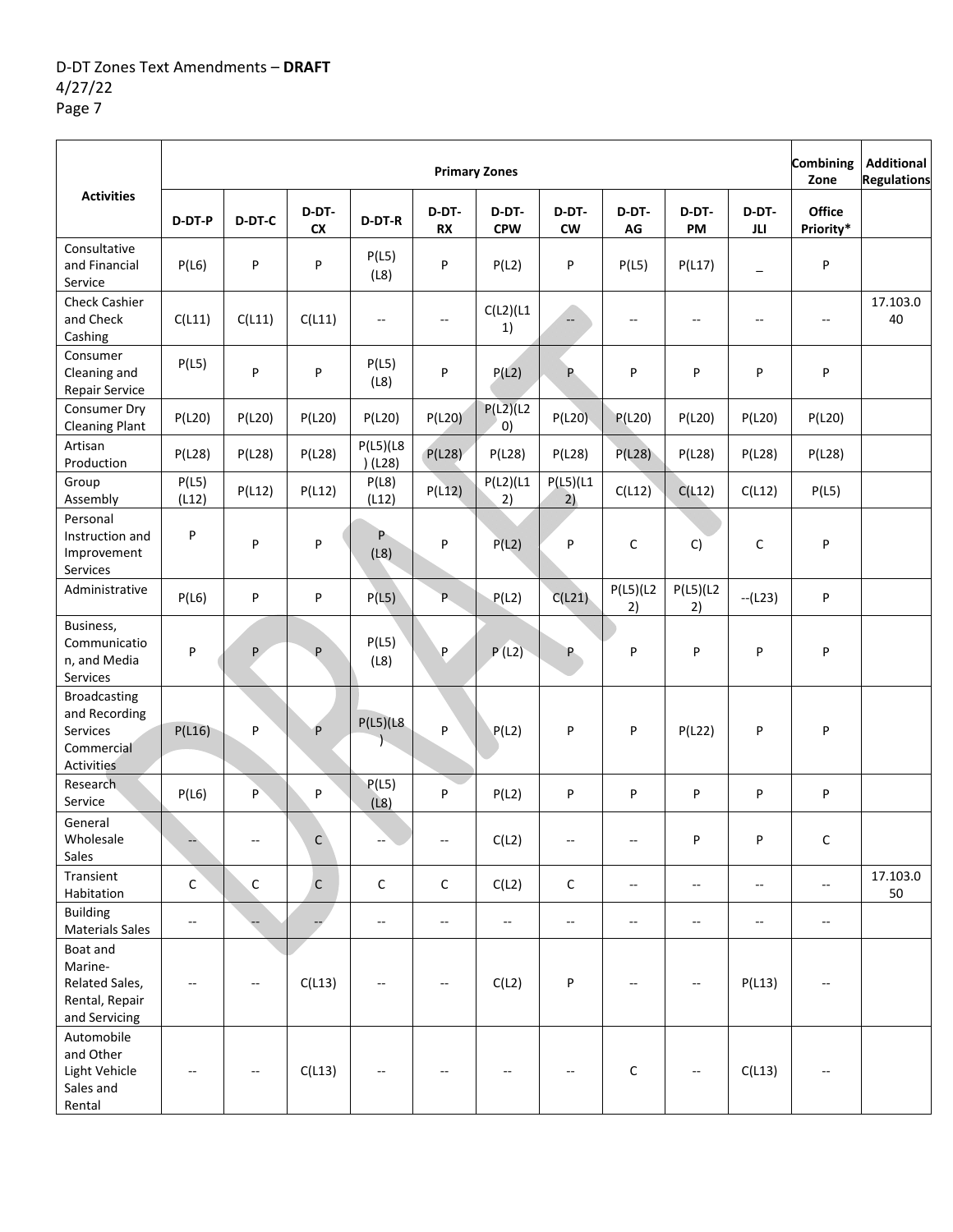|                                                                              |                          |              |                    |                          |                          | <b>Primary Zones</b>     |                          |                          |                          |                          | Combining<br>Zone   | <b>Additional</b><br><b>Regulations</b> |
|------------------------------------------------------------------------------|--------------------------|--------------|--------------------|--------------------------|--------------------------|--------------------------|--------------------------|--------------------------|--------------------------|--------------------------|---------------------|-----------------------------------------|
| <b>Activities</b>                                                            | D-DT-P                   | D-DT-C       | D-DT-<br><b>CX</b> | D-DT-R                   | D-DT-<br><b>RX</b>       | D-DT-<br><b>CPW</b>      | D-DT-<br><b>CW</b>       | D-DT-<br>AG              | D-DT-<br>PM              | D-DT-<br>JLI.            | Office<br>Priority* |                                         |
| Consultative<br>and Financial<br>Service                                     | P(L6)                    | P            | P                  | P(L5)<br>(L8)            | P                        | P(L2)                    | P                        | P(L5)                    | P(L17)                   | $\qquad \qquad =$        | P                   |                                         |
| <b>Check Cashier</b><br>and Check<br>Cashing                                 | C(L11)                   | C(L11)       | C(L11)             | $\overline{\phantom{a}}$ | $-\!$                    | $C(L2)$ (L1<br>1)        | $\overline{\phantom{a}}$ | --                       | $\overline{\phantom{a}}$ | --                       | --                  | 17.103.0<br>40                          |
| Consumer<br>Cleaning and<br>Repair Service                                   | P(L5)                    | P            | P                  | P(L5)<br>(L8)            | P                        | P(L2)                    | P                        | P                        | P                        | P                        | P                   |                                         |
| Consumer Dry<br><b>Cleaning Plant</b>                                        | P(L20)                   | P(L20)       | P(L20)             | P(L20)                   | P(L20)                   | P(L2)(L2)<br>0)          | P(L20)                   | P(L20)                   | P(L20)                   | P(L20)                   | P(L20)              |                                         |
| Artisan<br>Production                                                        | P(L28)                   | P(L28)       | P(L28)             | P(L5)(L8)<br>(L28)       | P(L28)                   | P(L28)                   | P(L28)                   | P(L28)                   | P(L28)                   | P(L28)                   | P(L28)              |                                         |
| Group<br>Assembly                                                            | P(L5)<br>(L12)           | P(L12)       | P(L12)             | P(L8)<br>(L12)           | P(L12)                   | $P(L2)$ (L1<br>2)        | $P(L5)$ (L1<br>2)        | C(L12)                   | C(L12)                   | C(L12)                   | P(L5)               |                                         |
| Personal<br>Instruction and<br>Improvement<br>Services                       | P                        | P            | P                  | P.<br>(L8)               | P                        | P(L2)                    | P                        | С                        | C)                       | С                        | P                   |                                         |
| Administrative                                                               | P(L6)                    | P            | P                  | P(L5)                    | P.                       | P(L2)                    | C(L21)                   | P(L5)(L2)<br>2)          | P(L5)(L2)<br>2)          | $-(L23)$                 | P                   |                                         |
| Business,<br>Communicatio<br>n, and Media<br>Services                        | P                        | P.           | P                  | P(L5)<br>(L8)            | $\sf P$                  | P(L2)                    | P.                       | P                        | P                        | P                        | P                   |                                         |
| <b>Broadcasting</b><br>and Recording<br>Services<br>Commercial<br>Activities | P(L16)                   | P            | P                  | P(L5)(L8)                | P                        | P(L2)                    | P                        | P                        | P(L22)                   | P                        | P                   |                                         |
| Research<br>Service                                                          | P(L6)                    | P            | P                  | P(L5)<br>(L8)            | P                        | P(L2)                    | P                        | P                        | P                        | P                        | P                   |                                         |
| General<br>Wholesale<br>Sales                                                |                          |              | $\mathsf C$        |                          |                          | C(L2)                    |                          |                          | P                        | P                        | С                   |                                         |
| Transient<br>Habitation                                                      | $\mathsf C$              | $\mathsf{C}$ | $\mathsf C$        | $\mathsf C$              | $\mathsf C$              | C(L2)                    | $\mathsf C$              | $\overline{\phantom{a}}$ | $\mathbf{L}$             | $\overline{\phantom{a}}$ | $\mathbf{u}$        | 17.103.0<br>50                          |
| <b>Building</b><br><b>Materials Sales</b>                                    | $\overline{\phantom{a}}$ |              |                    | $\overline{\phantom{a}}$ | $\overline{\phantom{a}}$ | $\overline{\phantom{a}}$ | $\overline{\phantom{a}}$ | $\overline{\phantom{a}}$ | $\overline{\phantom{a}}$ | --                       | --                  |                                         |
| Boat and<br>Marine-<br>Related Sales,<br>Rental, Repair<br>and Servicing     | --                       |              | C(L13)             | $\sim$ $\sim$            |                          | C(L2)                    | P                        | --                       |                          | P(L13)                   |                     |                                         |
| Automobile<br>and Other<br>Light Vehicle<br>Sales and<br>Rental              | --                       |              | C(L13)             |                          |                          |                          |                          | С                        |                          | C(L13)                   | --                  |                                         |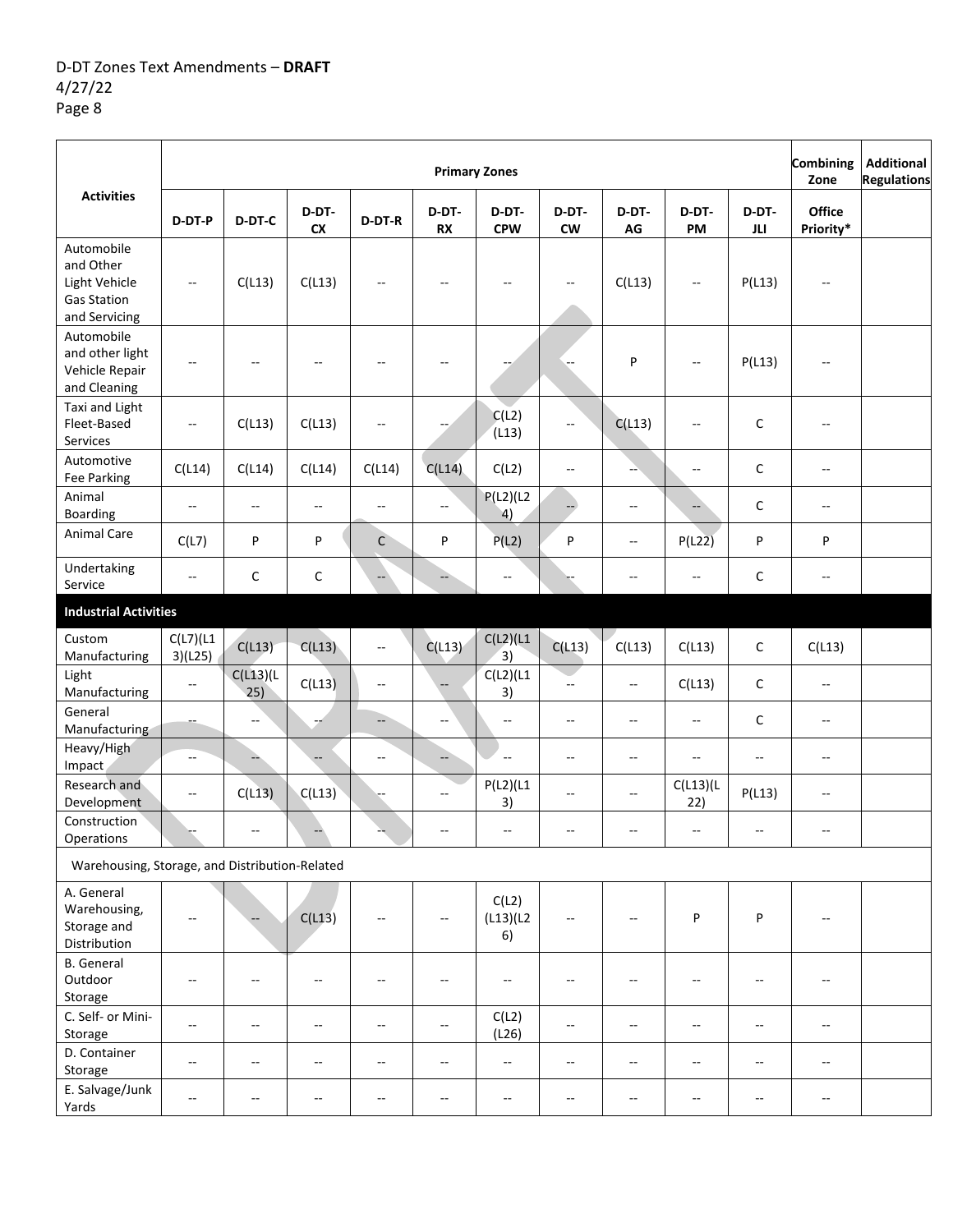|                                                                                 |                          |                          |                           |                          |                          | <b>Primary Zones</b>             |                           |                          |                          |                          | <b>Combining</b><br>Zone | <b>Additional</b><br><b>Regulations</b> |
|---------------------------------------------------------------------------------|--------------------------|--------------------------|---------------------------|--------------------------|--------------------------|----------------------------------|---------------------------|--------------------------|--------------------------|--------------------------|--------------------------|-----------------------------------------|
| <b>Activities</b>                                                               | D-DT-P                   | D-DT-C                   | D-DT-<br>${\sf c}{\sf x}$ | D-DT-R                   | D-DT-<br><b>RX</b>       | D-DT-<br><b>CPW</b>              | D-DT-<br>${\sf\small CW}$ | D-DT-<br>${\bf AG}$      | D-DT-<br>PM              | D-DT-<br>JLI             | Office<br>Priority*      |                                         |
| Automobile<br>and Other<br>Light Vehicle<br><b>Gas Station</b><br>and Servicing | $\overline{\phantom{a}}$ | C(L13)                   | C(L13)                    | $\overline{\phantom{a}}$ | $\overline{\phantom{a}}$ | --                               | $\overline{\phantom{a}}$  | C(L13)                   | $\overline{\phantom{a}}$ | P(L13)                   | $\overline{\phantom{a}}$ |                                         |
| Automobile<br>and other light<br>Vehicle Repair<br>and Cleaning                 | $-$                      | $-$                      | $-$                       | $\sim$                   | --                       |                                  |                           | P                        | $\overline{\phantom{a}}$ | P(L13)                   | $-$                      |                                         |
| Taxi and Light<br>Fleet-Based<br>Services                                       | $\overline{\phantom{a}}$ | C(L13)                   | C(L13)                    | $\overline{\phantom{a}}$ |                          | C(L2)<br>(L13)                   | $\overline{a}$            | C(L13)                   | $\overline{\phantom{a}}$ | C                        | --                       |                                         |
| Automotive<br>Fee Parking                                                       | C(L14)                   | C(L14)                   | C(L14)                    | C(L14)                   | C(L14)                   | C(L2)                            | $-$                       |                          | $\overline{\phantom{a}}$ | С                        | $\overline{\phantom{a}}$ |                                         |
| Animal<br>Boarding                                                              | $\sim$                   | $\overline{\phantom{a}}$ | --                        | $\overline{\phantom{a}}$ | $-$                      | $P(L2)$ (L2<br>$\left( 4\right)$ | --                        | --                       | $\overline{a}$           | C                        | $\overline{\phantom{a}}$ |                                         |
| <b>Animal Care</b>                                                              | C(L7)                    | P                        | P                         | $\mathsf C$              | P                        | P(L2)                            | P                         | --                       | $P(L2\overline{2})$      | P                        | P                        |                                         |
| Undertaking<br>Service                                                          | $\overline{\phantom{a}}$ | C                        | С                         |                          |                          | $\overline{\phantom{a}}$         |                           | --                       | $\overline{\phantom{a}}$ | C                        | --                       |                                         |
| <b>Industrial Activities</b>                                                    |                          |                          |                           |                          |                          |                                  |                           |                          |                          |                          |                          |                                         |
| Custom<br>Manufacturing                                                         | $C(L7)$ (L1<br>3)(L25)   | C(L13)                   | C(L13)                    | $\overline{\phantom{a}}$ | C(L13)                   | $C(L2)$ (L1<br>$\overline{3}$    | C(L13)                    | C(L13)                   | C(L13)                   | C                        | C(L13)                   |                                         |
| Light<br>Manufacturing                                                          | $\overline{\phantom{a}}$ | C(L13)(L<br>25)          | C(L13)                    | $\overline{\phantom{a}}$ |                          | $C(L2)$ (L1<br>3)                | $\overline{a}$            | Ξ.                       | C(L13)                   | С                        | $-$                      |                                         |
| General<br>Manufacturing                                                        |                          | $-$                      | --                        | $\overline{\phantom{a}}$ | $\overline{\phantom{a}}$ | $\overline{\phantom{a}}$         | $-$                       | --                       | $\overline{\phantom{a}}$ | C                        | $\overline{\phantom{a}}$ |                                         |
| Heavy/High<br>Impact                                                            | $\overline{\phantom{a}}$ |                          | $-$                       | $\overline{\phantom{a}}$ | --                       | $\ddotsc$                        | $\overline{\phantom{a}}$  | --                       | $\overline{\phantom{a}}$ | --                       | $-\!$                    |                                         |
| Research and<br>Development                                                     | $\overline{\phantom{a}}$ | C(L13)                   | C(L13)                    |                          | $-$                      | $P(L2)$ (L1<br>3)                | $-$                       | --                       | C(L13)(L<br>22)          | P(L13)                   | $\overline{\phantom{a}}$ |                                         |
| Construction<br>Operations                                                      |                          | $\overline{\phantom{a}}$ |                           |                          | --                       | $\overline{\phantom{a}}$         | $\overline{\phantom{a}}$  | --                       | $\overline{\phantom{a}}$ | --                       | --                       |                                         |
| Warehousing, Storage, and Distribution-Related                                  |                          |                          |                           |                          |                          |                                  |                           |                          |                          |                          |                          |                                         |
| A. General<br>Warehousing,<br>Storage and<br>Distribution                       |                          |                          | C(L13)                    |                          |                          | C(L2)<br>(L13)(L2)<br>6)         |                           |                          | P                        | P                        |                          |                                         |
| <b>B.</b> General<br>Outdoor<br>Storage                                         | --                       |                          | --                        | $\sim$                   | --                       | --                               | --                        | --                       |                          | --                       | --                       |                                         |
| C. Self- or Mini-<br>Storage                                                    | $\overline{\phantom{a}}$ | $-$                      | $\overline{\phantom{a}}$  | $\sim$ $\sim$            | $\overline{\phantom{a}}$ | C(L2)<br>(L26)                   | $\overline{\phantom{a}}$  | $\overline{\phantom{a}}$ | $\sim$ $\sim$            | $\overline{\phantom{a}}$ | $\overline{\phantom{a}}$ |                                         |
| D. Container<br>Storage                                                         | $-$                      | $-$                      | --                        | $\overline{\phantom{a}}$ | --                       | $\sim$                           | $\overline{\phantom{a}}$  | --                       | $\sim$                   | $\overline{\phantom{a}}$ | $\overline{\phantom{a}}$ |                                         |
| E. Salvage/Junk<br>Yards                                                        | $\overline{\phantom{a}}$ | $\overline{a}$           | --                        | $-\!$                    | $- -$                    | $\sim$                           | $-\!$                     | --                       | $\overline{a}$           | $\overline{\phantom{a}}$ | --                       |                                         |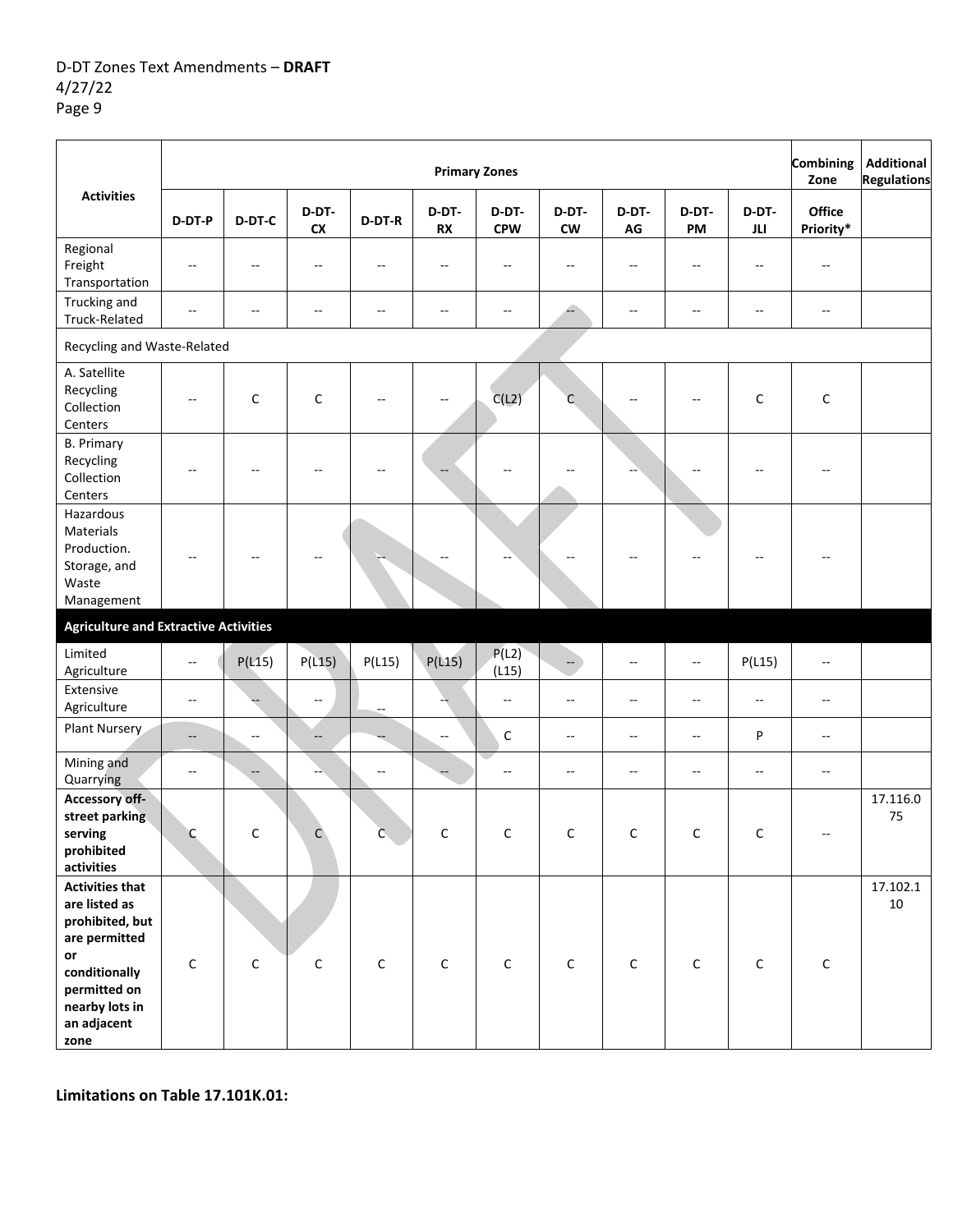|                                                                                                                                      |                          |                          |                          |                          |                          | <b>Primary Zones</b>     |                        |                          |                          |              | Combining<br>Zone   | <b>Additional</b><br><b>Regulations</b> |
|--------------------------------------------------------------------------------------------------------------------------------------|--------------------------|--------------------------|--------------------------|--------------------------|--------------------------|--------------------------|------------------------|--------------------------|--------------------------|--------------|---------------------|-----------------------------------------|
| <b>Activities</b>                                                                                                                    | D-DT-P                   | D-DT-C                   | D-DT-<br><b>CX</b>       | D-DT-R                   | D-DT-<br>RX              | D-DT-<br><b>CPW</b>      | D-DT-<br>${\sf\bf CW}$ | D-DT-<br>$\mathsf{AG}$   | D-DT-<br>PM              | D-DT-<br>JLI | Office<br>Priority* |                                         |
| Regional<br>Freight<br>Transportation                                                                                                | $\overline{\phantom{a}}$ | $\overline{a}$           | --                       | $\overline{a}$           | $\overline{\phantom{a}}$ | --                       | --                     | $\overline{\phantom{a}}$ | $\overline{\phantom{a}}$ | --           |                     |                                         |
| Trucking and<br>Truck-Related                                                                                                        | $-$                      | $\overline{a}$           | $\overline{\phantom{a}}$ | $\overline{a}$           | $\overline{a}$           | $\overline{a}$           | Æ                      | $-$                      | $\overline{a}$           | $-$          | $-$                 |                                         |
| Recycling and Waste-Related                                                                                                          |                          |                          |                          |                          |                          |                          |                        |                          |                          |              |                     |                                         |
| A. Satellite<br>Recycling<br>Collection<br>Centers                                                                                   | --                       | C                        | С                        |                          |                          | C(L2)                    | C                      |                          |                          | $\mathsf C$  | C                   |                                         |
| <b>B.</b> Primary<br>Recycling<br>Collection<br>Centers                                                                              |                          |                          |                          |                          |                          |                          |                        |                          |                          |              |                     |                                         |
| Hazardous<br>Materials<br>Production.<br>Storage, and<br>Waste<br>Management                                                         |                          |                          |                          |                          |                          |                          |                        |                          |                          |              |                     |                                         |
| <b>Agriculture and Extractive Activities</b>                                                                                         |                          |                          |                          |                          |                          |                          |                        |                          |                          |              |                     |                                         |
| Limited<br>Agriculture                                                                                                               | $\overline{\phantom{a}}$ | P(L15)                   | P(L15)                   | P(L15)                   | P(L15)                   | P(L2)<br>(L15)           | $\qquad \qquad -$      | $-$                      | $\overline{\phantom{a}}$ | P(L15)       | --                  |                                         |
| Extensive<br>Agriculture                                                                                                             | $\overline{\phantom{a}}$ |                          | $\overline{\phantom{a}}$ | $\overline{\phantom{a}}$ |                          | $\overline{\phantom{a}}$ | $-$                    | $\overline{\phantom{a}}$ | $\overline{\phantom{a}}$ | --           | --                  |                                         |
| Plant Nursery                                                                                                                        | $\qquad \qquad -$        | $\overline{\phantom{a}}$ | $-$                      |                          | $-$                      | $\mathsf C$              | $-$                    | $-$                      | $\sim$ $\sim$            | P            | --                  |                                         |
| Mining and<br>Quarrying                                                                                                              | $-\,$                    | $\qquad \qquad -$        |                          | $\overline{a}$           |                          | --                       | $- -$                  | --                       | $\overline{\phantom{a}}$ | --           | --                  |                                         |
| Accessory off-<br>street parking<br>serving<br>prohibited<br>activities                                                              | $\mathsf{C}$             | $\Gamma$                 |                          | ⌒                        | $\mathcal{C}$            | C                        | C                      | $\mathcal{C}$            | C                        | C            |                     | 17.116.0<br>75                          |
| <b>Activities that</b><br>are listed as<br>prohibited, but<br>are permitted<br>or<br>conditionally<br>permitted on<br>nearby lots in | $\mathsf C$              | C                        | $\mathsf C$              | $\mathsf C$              | $\mathsf C$              | $\mathsf C$              | $\mathsf C$            | $\mathsf C$              | $\mathsf C$              | С            | $\mathsf C$         | 17.102.1<br>$10\,$                      |
| an adjacent<br>zone                                                                                                                  |                          |                          |                          |                          |                          |                          |                        |                          |                          |              |                     |                                         |

**Limitations on Table 17.101K.01:**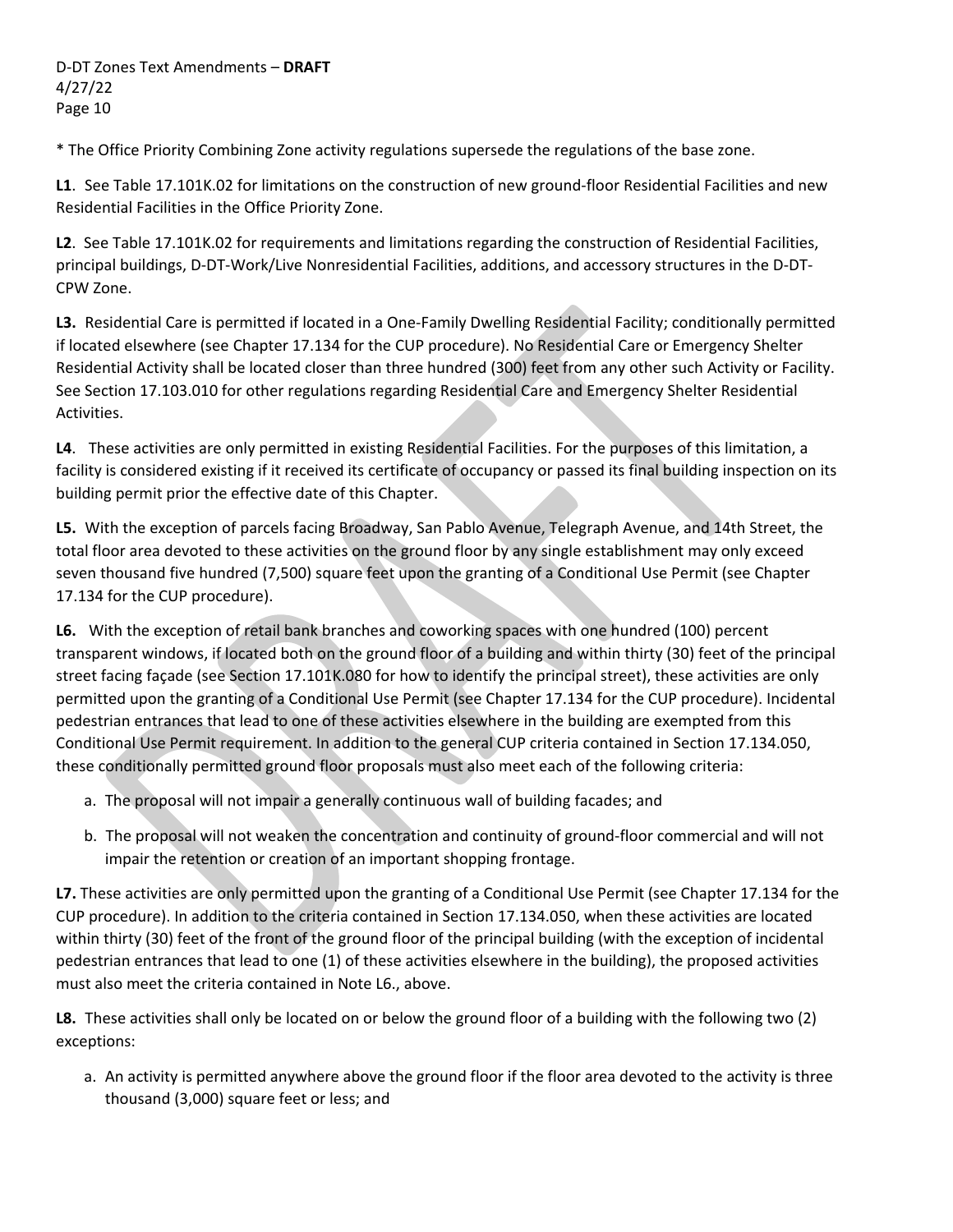\* The Office Priority Combining Zone activity regulations supersede the regulations of the base zone.

**L1**. See Table 17.101K.02 for limitations on the construction of new ground‐floor Residential Facilities and new Residential Facilities in the Office Priority Zone.

**L2**. See Table 17.101K.02 for requirements and limitations regarding the construction of Residential Facilities, principal buildings, D‐DT‐Work/Live Nonresidential Facilities, additions, and accessory structures in the D‐DT‐ CPW Zone.

**L3.** Residential Care is permitted if located in a One‐Family Dwelling Residential Facility; conditionally permitted if located elsewhere (see Chapter 17.134 for the CUP procedure). No Residential Care or Emergency Shelter Residential Activity shall be located closer than three hundred (300) feet from any other such Activity or Facility. See Section 17.103.010 for other regulations regarding Residential Care and Emergency Shelter Residential Activities.

**L4**. These activities are only permitted in existing Residential Facilities. For the purposes of this limitation, a facility is considered existing if it received its certificate of occupancy or passed its final building inspection on its building permit prior the effective date of this Chapter.

**L5.** With the exception of parcels facing Broadway, San Pablo Avenue, Telegraph Avenue, and 14th Street, the total floor area devoted to these activities on the ground floor by any single establishment may only exceed seven thousand five hundred (7,500) square feet upon the granting of a Conditional Use Permit (see Chapter 17.134 for the CUP procedure).

**L6.** With the exception of retail bank branches and coworking spaces with one hundred (100) percent transparent windows, if located both on the ground floor of a building and within thirty (30) feet of the principal street facing façade (see Section 17.101K.080 for how to identify the principal street), these activities are only permitted upon the granting of a Conditional Use Permit (see Chapter 17.134 for the CUP procedure). Incidental pedestrian entrances that lead to one of these activities elsewhere in the building are exempted from this Conditional Use Permit requirement. In addition to the general CUP criteria contained in Section 17.134.050, these conditionally permitted ground floor proposals must also meet each of the following criteria:

- a. The proposal will not impair a generally continuous wall of building facades; and
- b. The proposal will not weaken the concentration and continuity of ground‐floor commercial and will not impair the retention or creation of an important shopping frontage.

**L7.** These activities are only permitted upon the granting of a Conditional Use Permit (see Chapter 17.134 for the CUP procedure). In addition to the criteria contained in Section 17.134.050, when these activities are located within thirty (30) feet of the front of the ground floor of the principal building (with the exception of incidental pedestrian entrances that lead to one (1) of these activities elsewhere in the building), the proposed activities must also meet the criteria contained in Note L6., above.

**L8.** These activities shall only be located on or below the ground floor of a building with the following two (2) exceptions:

a. An activity is permitted anywhere above the ground floor if the floor area devoted to the activity is three thousand (3,000) square feet or less; and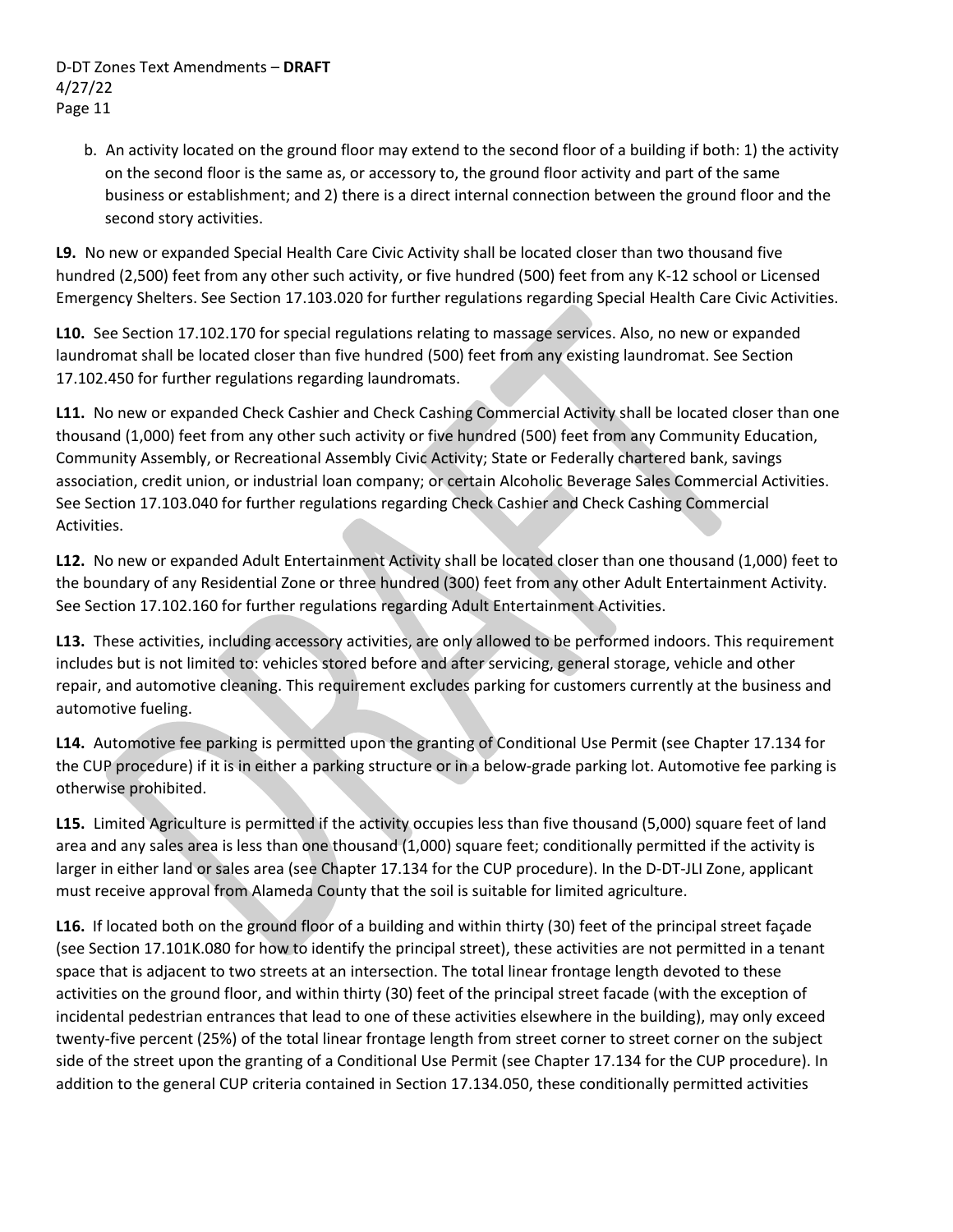b. An activity located on the ground floor may extend to the second floor of a building if both: 1) the activity on the second floor is the same as, or accessory to, the ground floor activity and part of the same business or establishment; and 2) there is a direct internal connection between the ground floor and the second story activities.

**L9.** No new or expanded Special Health Care Civic Activity shall be located closer than two thousand five hundred (2,500) feet from any other such activity, or five hundred (500) feet from any K‐12 school or Licensed Emergency Shelters. See Section 17.103.020 for further regulations regarding Special Health Care Civic Activities.

**L10.** See Section 17.102.170 for special regulations relating to massage services. Also, no new or expanded laundromat shall be located closer than five hundred (500) feet from any existing laundromat. See Section 17.102.450 for further regulations regarding laundromats.

**L11.** No new or expanded Check Cashier and Check Cashing Commercial Activity shall be located closer than one thousand (1,000) feet from any other such activity or five hundred (500) feet from any Community Education, Community Assembly, or Recreational Assembly Civic Activity; State or Federally chartered bank, savings association, credit union, or industrial loan company; or certain Alcoholic Beverage Sales Commercial Activities. See Section 17.103.040 for further regulations regarding Check Cashier and Check Cashing Commercial Activities.

**L12.** No new or expanded Adult Entertainment Activity shall be located closer than one thousand (1,000) feet to the boundary of any Residential Zone or three hundred (300) feet from any other Adult Entertainment Activity. See Section 17.102.160 for further regulations regarding Adult Entertainment Activities.

**L13.** These activities, including accessory activities, are only allowed to be performed indoors. This requirement includes but is not limited to: vehicles stored before and after servicing, general storage, vehicle and other repair, and automotive cleaning. This requirement excludes parking for customers currently at the business and automotive fueling.

**L14.** Automotive fee parking is permitted upon the granting of Conditional Use Permit (see Chapter 17.134 for the CUP procedure) if it is in either a parking structure or in a below‐grade parking lot. Automotive fee parking is otherwise prohibited.

**L15.** Limited Agriculture is permitted if the activity occupies less than five thousand (5,000) square feet of land area and any sales area is less than one thousand (1,000) square feet; conditionally permitted if the activity is larger in either land or sales area (see Chapter 17.134 for the CUP procedure). In the D-DT-JLI Zone, applicant must receive approval from Alameda County that the soil is suitable for limited agriculture.

L16. If located both on the ground floor of a building and within thirty (30) feet of the principal street façade (see Section 17.101K.080 for how to identify the principal street), these activities are not permitted in a tenant space that is adjacent to two streets at an intersection. The total linear frontage length devoted to these activities on the ground floor, and within thirty (30) feet of the principal street facade (with the exception of incidental pedestrian entrances that lead to one of these activities elsewhere in the building), may only exceed twenty‐five percent (25%) of the total linear frontage length from street corner to street corner on the subject side of the street upon the granting of a Conditional Use Permit (see Chapter 17.134 for the CUP procedure). In addition to the general CUP criteria contained in Section 17.134.050, these conditionally permitted activities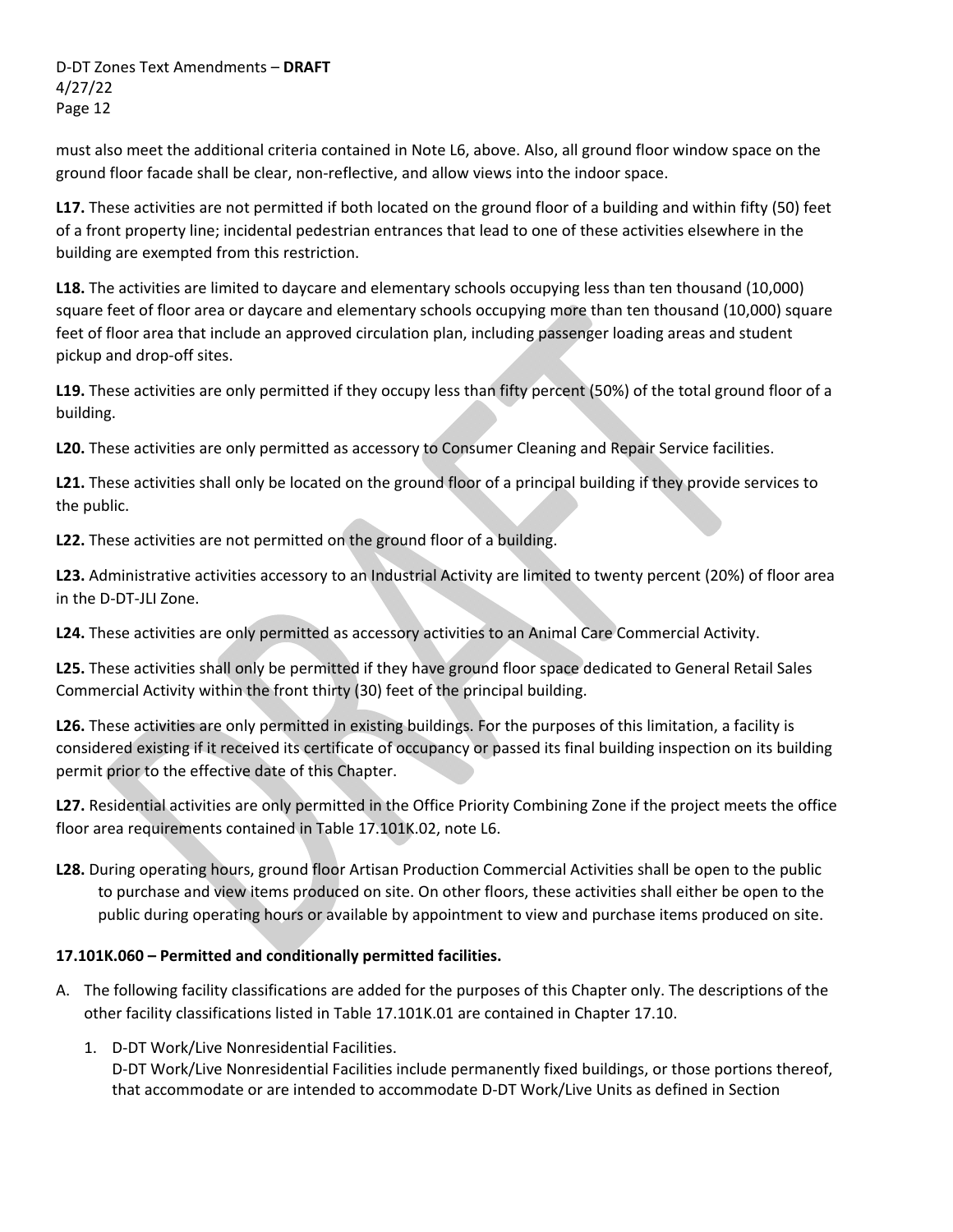must also meet the additional criteria contained in Note L6, above. Also, all ground floor window space on the ground floor facade shall be clear, non-reflective, and allow views into the indoor space.

**L17.** These activities are not permitted if both located on the ground floor of a building and within fifty (50) feet of a front property line; incidental pedestrian entrances that lead to one of these activities elsewhere in the building are exempted from this restriction.

**L18.** The activities are limited to daycare and elementary schools occupying less than ten thousand (10,000) square feet of floor area or daycare and elementary schools occupying more than ten thousand (10,000) square feet of floor area that include an approved circulation plan, including passenger loading areas and student pickup and drop‐off sites.

**L19.** These activities are only permitted if they occupy less than fifty percent (50%) of the total ground floor of a building.

**L20.** These activities are only permitted as accessory to Consumer Cleaning and Repair Service facilities.

**L21.** These activities shall only be located on the ground floor of a principal building if they provide services to the public.

**L22.** These activities are not permitted on the ground floor of a building.

**L23.** Administrative activities accessory to an Industrial Activity are limited to twenty percent (20%) of floor area in the D‐DT‐JLI Zone.

**L24.** These activities are only permitted as accessory activities to an Animal Care Commercial Activity.

**L25.** These activities shall only be permitted if they have ground floor space dedicated to General Retail Sales Commercial Activity within the front thirty (30) feet of the principal building.

**L26.** These activities are only permitted in existing buildings. For the purposes of this limitation, a facility is considered existing if it received its certificate of occupancy or passed its final building inspection on its building permit prior to the effective date of this Chapter.

**L27.** Residential activities are only permitted in the Office Priority Combining Zone if the project meets the office floor area requirements contained in Table 17.101K.02, note L6.

**L28.** During operating hours, ground floor Artisan Production Commercial Activities shall be open to the public to purchase and view items produced on site. On other floors, these activities shall either be open to the public during operating hours or available by appointment to view and purchase items produced on site.

## **17.101K.060 – Permitted and conditionally permitted facilities.**

- A. The following facility classifications are added for the purposes of this Chapter only. The descriptions of the other facility classifications listed in Table 17.101K.01 are contained in Chapter 17.10.
	- 1. D‐DT Work/Live Nonresidential Facilities.

D-DT Work/Live Nonresidential Facilities include permanently fixed buildings, or those portions thereof, that accommodate or are intended to accommodate D‐DT Work/Live Units as defined in Section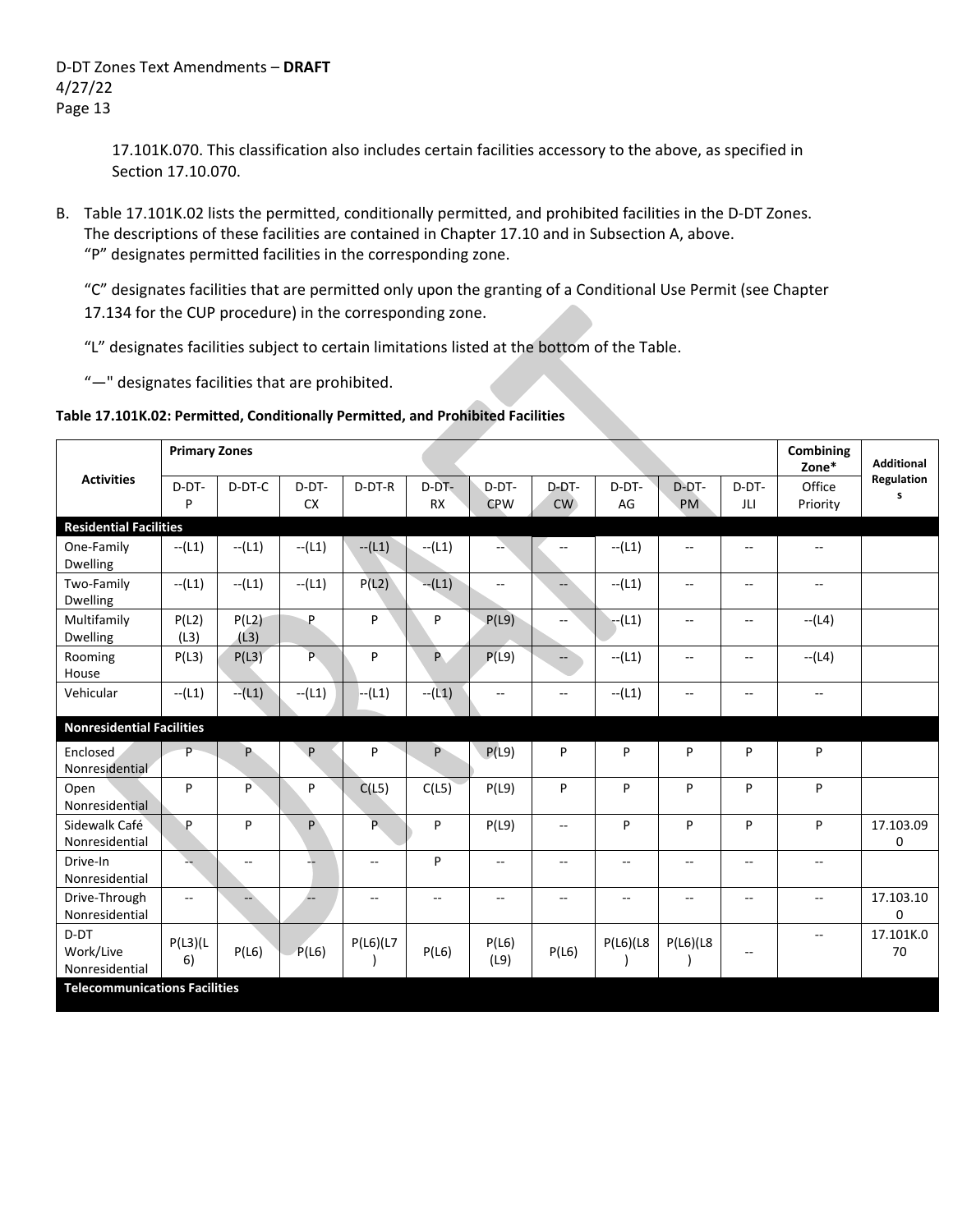17.101K.070. This classification also includes certain facilities accessory to the above, as specified in Section 17.10.070.

B. Table 17.101K.02 lists the permitted, conditionally permitted, and prohibited facilities in the D‐DT Zones. The descriptions of these facilities are contained in Chapter 17.10 and in Subsection A, above. "P" designates permitted facilities in the corresponding zone.

"C" designates facilities that are permitted only upon the granting of a Conditional Use Permit (see Chapter 17.134 for the CUP procedure) in the corresponding zone.

"L" designates facilities subject to certain limitations listed at the bottom of the Table.

"—" designates facilities that are prohibited.

### **Table 17.101K.02: Permitted, Conditionally Permitted, and Prohibited Facilities**

| <b>Primary Zones</b><br><b>Combining</b> |                |                |                |           |                          |                          |                |                          |                          |                          |              |                   |
|------------------------------------------|----------------|----------------|----------------|-----------|--------------------------|--------------------------|----------------|--------------------------|--------------------------|--------------------------|--------------|-------------------|
|                                          |                |                |                |           |                          |                          |                |                          |                          |                          | Zone*        | <b>Additional</b> |
| <b>Activities</b>                        | D-DT-          | D-DT-C         | D-DT-          | D-DT-R    | $D-DT-$                  | D-DT-                    | D-DT-          | D-DT-                    | D-DT-                    | $D-DT-$                  | Office       | Regulation<br>s   |
|                                          | P              |                | <b>CX</b>      |           | <b>RX</b>                | <b>CPW</b>               | CW             | AG                       | <b>PM</b>                | JLI                      | Priority     |                   |
| <b>Residential Facilities</b>            |                |                |                |           |                          |                          |                |                          |                          |                          |              |                   |
| One-Family<br>Dwelling                   | $-(L1)$        | $-(L1)$        | $- (L1)$       | $- (L1)$  | $-(L1)$                  | -- \                     | --             | $-(L1)$                  | $\overline{\phantom{a}}$ | $-$                      | --           |                   |
| Two-Family<br><b>Dwelling</b>            | $- (L1)$       | $- (L1)$       | $- (L1)$       | P(L2)     | $-(L1)$                  | $-$                      | Щ.             | $-(L1)$                  | $\overline{\phantom{a}}$ | $\overline{\phantom{m}}$ | --           |                   |
| Multifamily<br>Dwelling                  | P(L2)<br>(L3)  | P(L2)<br>(L3)  | P              | P         | P                        | P(L9)                    | --             | $- (L1)$                 | $\overline{\phantom{a}}$ | $\mathbf{u}$             | $-L(4)$      |                   |
| Rooming<br>House                         | P(L3)          | P(L3)          | $\overline{P}$ | P         | P.                       | P(L9)                    | $\Box$         | $- (L1)$                 | $\overline{\phantom{a}}$ | $\sim$ $\sim$            | $- (L4)$     |                   |
| Vehicular                                | $- (L1)$       | $-(L1)$        | $- (L1)$       | $- (L1)$  | $-(L1)$                  | $\overline{\phantom{a}}$ | --             | $-(L1)$                  | $\overline{\phantom{a}}$ | $\overline{\phantom{m}}$ | --           |                   |
| <b>Nonresidential Facilities</b>         |                |                |                |           |                          |                          |                |                          |                          |                          |              |                   |
| Enclosed<br>Nonresidential               | P              | P.             | P              | P         | P                        | P(L9)                    | P              | P                        | P                        | P                        | P            |                   |
| Open<br>Nonresidential                   | P              | P              | P              | C(L5)     | C(L5)                    | P(L9)                    | P              | P                        | P                        | P                        | P            |                   |
| Sidewalk Café<br>Nonresidential          | P              | P              | P              | P.        | P                        | P(L9)                    | $-$            | P                        | P                        | P                        | P            | 17.103.09<br>0    |
| Drive-In<br>Nonresidential               |                | $\overline{a}$ |                | --        | P                        | $\overline{\phantom{a}}$ | $\overline{a}$ | $\overline{\phantom{a}}$ | $\overline{\phantom{a}}$ | $\mathbf{u}$             | $\mathbf{L}$ |                   |
| Drive-Through<br>Nonresidential          | $\overline{a}$ | --             |                | $-$       | $\overline{\phantom{a}}$ | $\overline{\phantom{a}}$ | $\mathbf{u}$   | $\overline{\phantom{a}}$ | $\overline{\phantom{a}}$ | $\mathbf{u}$             | $\mathbf{u}$ | 17.103.10<br>0    |
| D-DT<br>Work/Live<br>Nonresidential      | P(L3)(L)<br>6) | P(L6)          | P(L6)          | P(L6)(L7) | P(L6)                    | P(L6)<br>(L9)            | P(L6)          | P(L6)(L8)                | P(L6)(L8)                | $\overline{\phantom{m}}$ | $-$          | 17.101K.0<br>70   |
| <b>Telecommunications Facilities</b>     |                |                |                |           |                          |                          |                |                          |                          |                          |              |                   |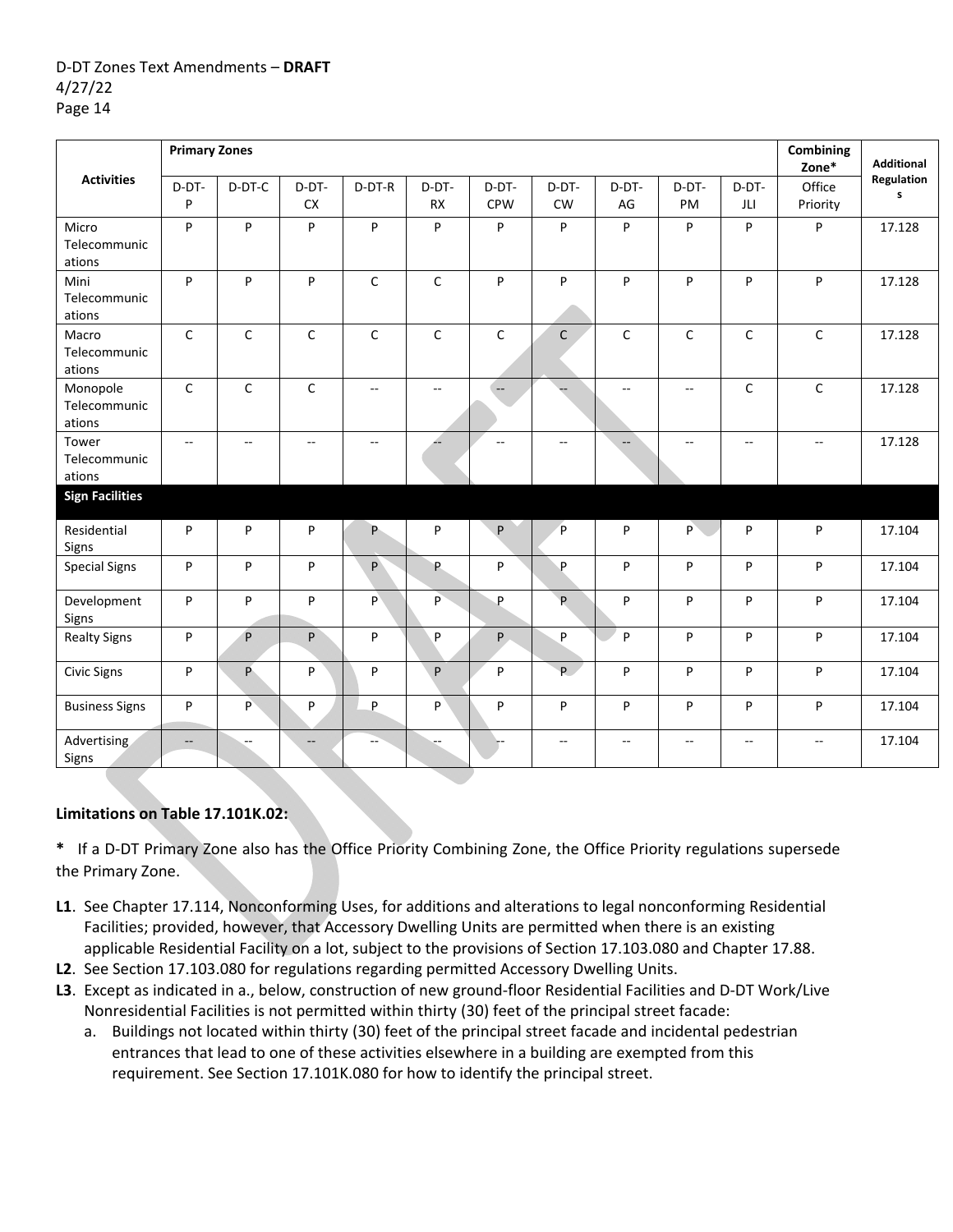|                                    | <b>Primary Zones</b>     |                |                    |                |                    |                          |                          |                |                                               |                | Combining<br>Zone* | <b>Additional</b> |
|------------------------------------|--------------------------|----------------|--------------------|----------------|--------------------|--------------------------|--------------------------|----------------|-----------------------------------------------|----------------|--------------------|-------------------|
| <b>Activities</b>                  | D-DT-<br>P               | D-DT-C         | D-DT-<br><b>CX</b> | D-DT-R         | D-DT-<br><b>RX</b> | D-DT-<br><b>CPW</b>      | D-DT-<br><b>CW</b>       | D-DT-<br>AG    | D-DT-<br>PM                                   | D-DT-<br>JLI   | Office<br>Priority | Regulation<br>s   |
| Micro<br>Telecommunic<br>ations    | P                        | $\sf P$        | P                  | P              | P                  | P                        | P                        | P              | P                                             | P              | P                  | 17.128            |
| Mini<br>Telecommunic<br>ations     | P                        | P              | P                  | C              | $\mathsf C$        | P                        | P                        | P              | P                                             | P              | P                  | 17.128            |
| Macro<br>Telecommunic<br>ations    | $\mathsf{C}$             | C              | $\mathsf C$        | $\mathsf C$    | $\mathsf{C}$       | $\mathsf C$              | $\mathsf{C}$             | $\mathsf{C}$   | $\mathsf C$                                   | $\mathsf C$    | $\mathsf C$        | 17.128            |
| Monopole<br>Telecommunic<br>ations | $\mathsf C$              | $\mathsf C$    | $\mathsf C$        | $\overline{a}$ | $\overline{a}$     | $\overline{\phantom{a}}$ |                          | $\overline{a}$ | $\mathord{\hspace{1pt}\text{--}\hspace{1pt}}$ | C              | $\mathsf C$        | 17.128            |
| Tower<br>Telecommunic<br>ations    | $\overline{\phantom{a}}$ | $\overline{a}$ | $\mathbf{L}$       | --             |                    | $\sim$ $\sim$            | $\overline{a}$           | $-$            | $\sim$                                        | $\overline{a}$ | $\mathbf{L}$       | 17.128            |
| <b>Sign Facilities</b>             |                          |                |                    |                |                    |                          |                          |                |                                               |                |                    |                   |
| Residential<br>Signs               | P                        | P              | P                  | P.             | P                  | P                        | P                        | P              | P                                             | P              | P                  | 17.104            |
| <b>Special Signs</b>               | P                        | P              | P                  | P              | P.                 | P                        | P                        | P              | P                                             | P              | P                  | 17.104            |
| Development<br>Signs               | P                        | P              | P                  | P)             | P                  | P                        | P                        | P              | P                                             | P              | P                  | 17.104            |
| <b>Realty Signs</b>                | P                        | $\sf P$        | P                  | P              | P                  | P.                       | P                        | P              | P                                             | P              | P                  | 17.104            |
| <b>Civic Signs</b>                 | P                        | P              | P                  | P              | P                  | P                        | P.                       | P              | P                                             | P              | P                  | 17.104            |
| <b>Business Signs</b>              | P                        | P              | P                  | P              | P                  | P                        | P                        | P              | P                                             | P              | P                  | 17.104            |
| Advertising<br>Signs               | $\qquad \qquad -$        | $-$            | $\qquad \qquad -$  |                |                    |                          | $\overline{\phantom{a}}$ | $\overline{a}$ | $\overline{\phantom{a}}$                      | $\overline{a}$ | $\mathbf{u}$       | 17.104            |

## **Limitations on Table 17.101K.02:**

**\*** If a D‐DT Primary Zone also has the Office Priority Combining Zone, the Office Priority regulations supersede the Primary Zone.

- **L1**. See Chapter 17.114, Nonconforming Uses, for additions and alterations to legal nonconforming Residential Facilities; provided, however, that Accessory Dwelling Units are permitted when there is an existing applicable Residential Facility on a lot, subject to the provisions of Section 17.103.080 and Chapter 17.88.
- **L2**. See Section 17.103.080 for regulations regarding permitted Accessory Dwelling Units.
- **L3**. Except as indicated in a., below, construction of new ground‐floor Residential Facilities and D‐DT Work/Live Nonresidential Facilities is not permitted within thirty (30) feet of the principal street facade:
	- a. Buildings not located within thirty (30) feet of the principal street facade and incidental pedestrian entrances that lead to one of these activities elsewhere in a building are exempted from this requirement. See Section 17.101K.080 for how to identify the principal street.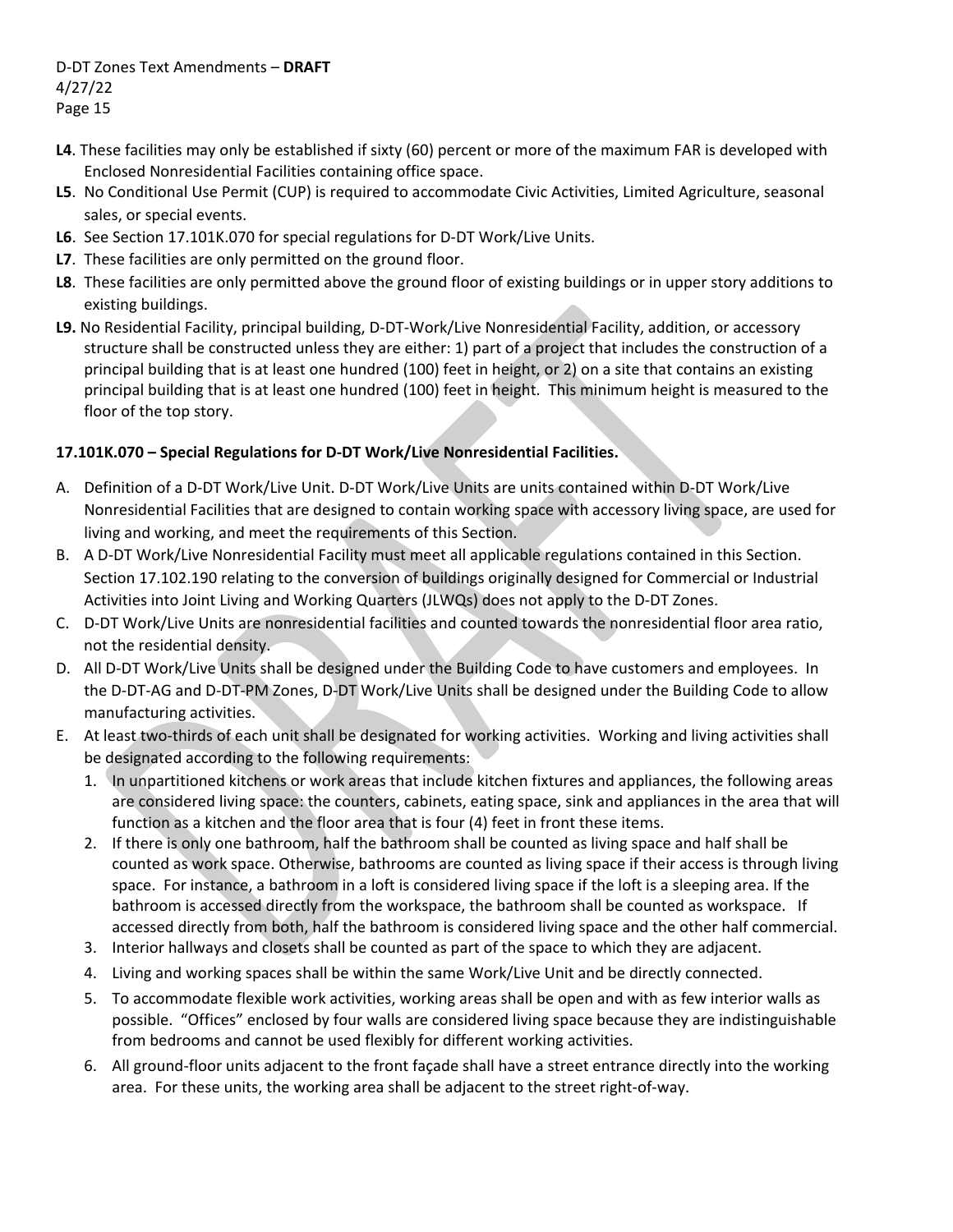- **L4**. These facilities may only be established if sixty (60) percent or more of the maximum FAR is developed with Enclosed Nonresidential Facilities containing office space.
- **L5**. No Conditional Use Permit (CUP) is required to accommodate Civic Activities, Limited Agriculture, seasonal sales, or special events.
- **L6**. See Section 17.101K.070 for special regulations for D‐DT Work/Live Units.
- **L7**. These facilities are only permitted on the ground floor.
- **L8**. These facilities are only permitted above the ground floor of existing buildings or in upper story additions to existing buildings.
- **L9.** No Residential Facility, principal building, D‐DT‐Work/Live Nonresidential Facility, addition, or accessory structure shall be constructed unless they are either: 1) part of a project that includes the construction of a principal building that is at least one hundred (100) feet in height, or 2) on a site that contains an existing principal building that is at least one hundred (100) feet in height. This minimum height is measured to the floor of the top story.

# **17.101K.070 – Special Regulations for D‐DT Work/Live Nonresidential Facilities.**

- A. Definition of a D‐DT Work/Live Unit. D‐DT Work/Live Units are units contained within D‐DT Work/Live Nonresidential Facilities that are designed to contain working space with accessory living space, are used for living and working, and meet the requirements of this Section.
- B. A D‐DT Work/Live Nonresidential Facility must meet all applicable regulations contained in this Section. Section 17.102.190 relating to the conversion of buildings originally designed for Commercial or Industrial Activities into Joint Living and Working Quarters (JLWQs) does not apply to the D‐DT Zones.
- C. D‐DT Work/Live Units are nonresidential facilities and counted towards the nonresidential floor area ratio, not the residential density.
- D. All D-DT Work/Live Units shall be designed under the Building Code to have customers and employees. In the D‐DT‐AG and D‐DT‐PM Zones, D‐DT Work/Live Units shall be designed under the Building Code to allow manufacturing activities.
- E. At least two-thirds of each unit shall be designated for working activities. Working and living activities shall be designated according to the following requirements:
	- 1. In unpartitioned kitchens or work areas that include kitchen fixtures and appliances, the following areas are considered living space: the counters, cabinets, eating space, sink and appliances in the area that will function as a kitchen and the floor area that is four (4) feet in front these items.
	- 2. If there is only one bathroom, half the bathroom shall be counted as living space and half shall be counted as work space. Otherwise, bathrooms are counted as living space if their access is through living space. For instance, a bathroom in a loft is considered living space if the loft is a sleeping area. If the bathroom is accessed directly from the workspace, the bathroom shall be counted as workspace. If accessed directly from both, half the bathroom is considered living space and the other half commercial.
	- 3. Interior hallways and closets shall be counted as part of the space to which they are adjacent.
	- 4. Living and working spaces shall be within the same Work/Live Unit and be directly connected.
	- 5. To accommodate flexible work activities, working areas shall be open and with as few interior walls as possible. "Offices" enclosed by four walls are considered living space because they are indistinguishable from bedrooms and cannot be used flexibly for different working activities.
	- 6. All ground‐floor units adjacent to the front façade shall have a street entrance directly into the working area. For these units, the working area shall be adjacent to the street right‐of‐way.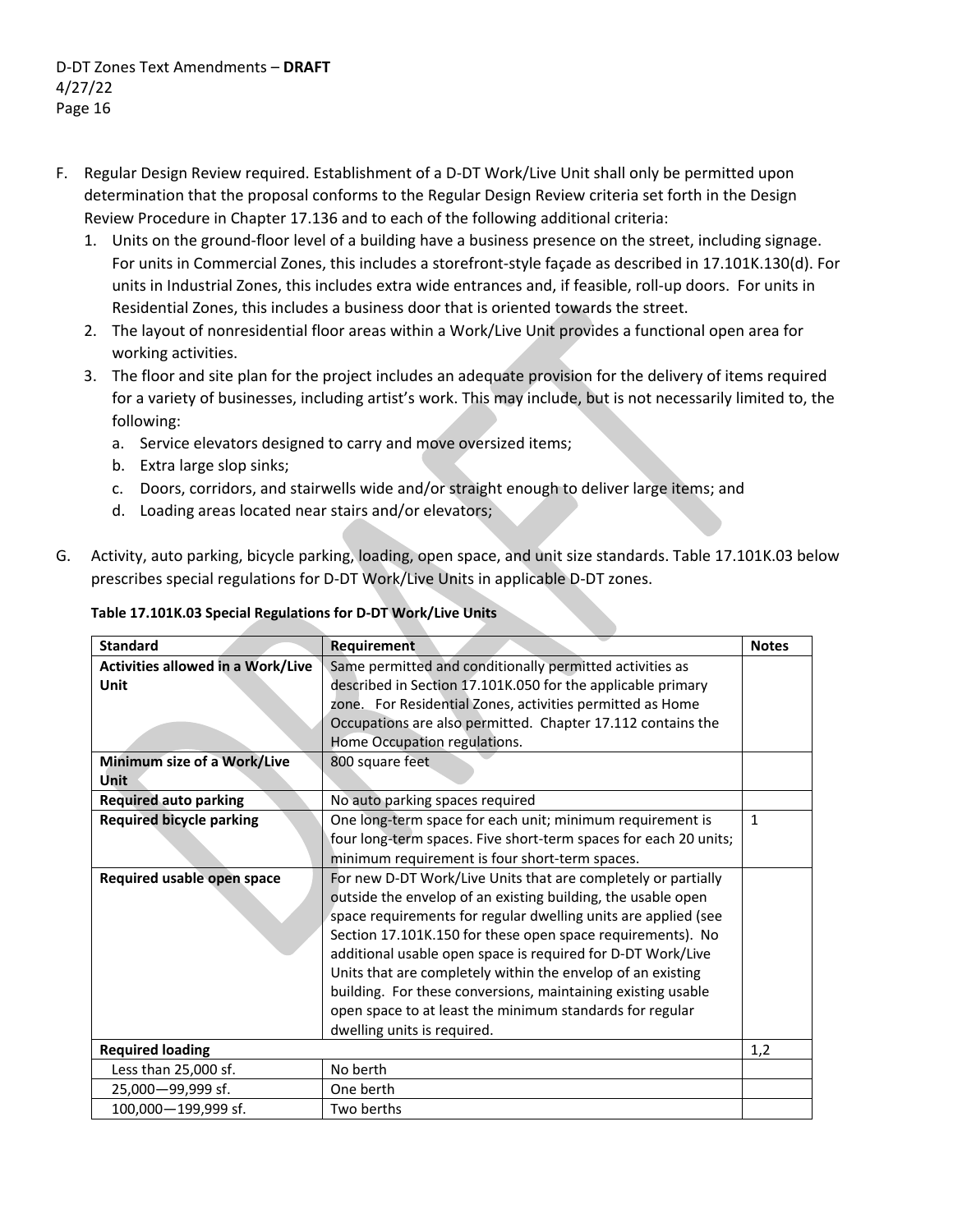- F. Regular Design Review required. Establishment of a D‐DT Work/Live Unit shall only be permitted upon determination that the proposal conforms to the Regular Design Review criteria set forth in the Design Review Procedure in Chapter 17.136 and to each of the following additional criteria:
	- 1. Units on the ground‐floor level of a building have a business presence on the street, including signage. For units in Commercial Zones, this includes a storefront‐style façade as described in 17.101K.130(d). For units in Industrial Zones, this includes extra wide entrances and, if feasible, roll‐up doors. For units in Residential Zones, this includes a business door that is oriented towards the street.
	- 2. The layout of nonresidential floor areas within a Work/Live Unit provides a functional open area for working activities.
	- 3. The floor and site plan for the project includes an adequate provision for the delivery of items required for a variety of businesses, including artist's work. This may include, but is not necessarily limited to, the following:
		- a. Service elevators designed to carry and move oversized items;
		- b. Extra large slop sinks;
		- c. Doors, corridors, and stairwells wide and/or straight enough to deliver large items; and
		- d. Loading areas located near stairs and/or elevators;
- G. Activity, auto parking, bicycle parking, loading, open space, and unit size standards. Table 17.101K.03 below prescribes special regulations for D‐DT Work/Live Units in applicable D‐DT zones.

| <b>Standard</b>                          | <b>Requirement</b>                                               | <b>Notes</b> |
|------------------------------------------|------------------------------------------------------------------|--------------|
| <b>Activities allowed in a Work/Live</b> | Same permitted and conditionally permitted activities as         |              |
| Unit                                     | described in Section 17.101K.050 for the applicable primary      |              |
|                                          | zone. For Residential Zones, activities permitted as Home        |              |
|                                          | Occupations are also permitted. Chapter 17.112 contains the      |              |
|                                          | Home Occupation regulations.                                     |              |
| Minimum size of a Work/Live              | 800 square feet                                                  |              |
| Unit                                     |                                                                  |              |
| <b>Required auto parking</b>             | No auto parking spaces required                                  |              |
| <b>Required bicycle parking</b>          | One long-term space for each unit; minimum requirement is        | $\mathbf{1}$ |
|                                          | four long-term spaces. Five short-term spaces for each 20 units; |              |
|                                          | minimum requirement is four short-term spaces.                   |              |
| Required usable open space               | For new D-DT Work/Live Units that are completely or partially    |              |
|                                          | outside the envelop of an existing building, the usable open     |              |
|                                          | space requirements for regular dwelling units are applied (see   |              |
|                                          | Section 17.101K.150 for these open space requirements). No       |              |
|                                          | additional usable open space is required for D-DT Work/Live      |              |
|                                          | Units that are completely within the envelop of an existing      |              |
|                                          | building. For these conversions, maintaining existing usable     |              |
|                                          | open space to at least the minimum standards for regular         |              |
|                                          | dwelling units is required.                                      |              |
| <b>Required loading</b>                  |                                                                  | 1,2          |
| Less than 25,000 sf.                     | No berth                                                         |              |
| 25,000-99,999 sf.                        | One berth                                                        |              |
| 100,000-199,999 sf.                      | Two berths                                                       |              |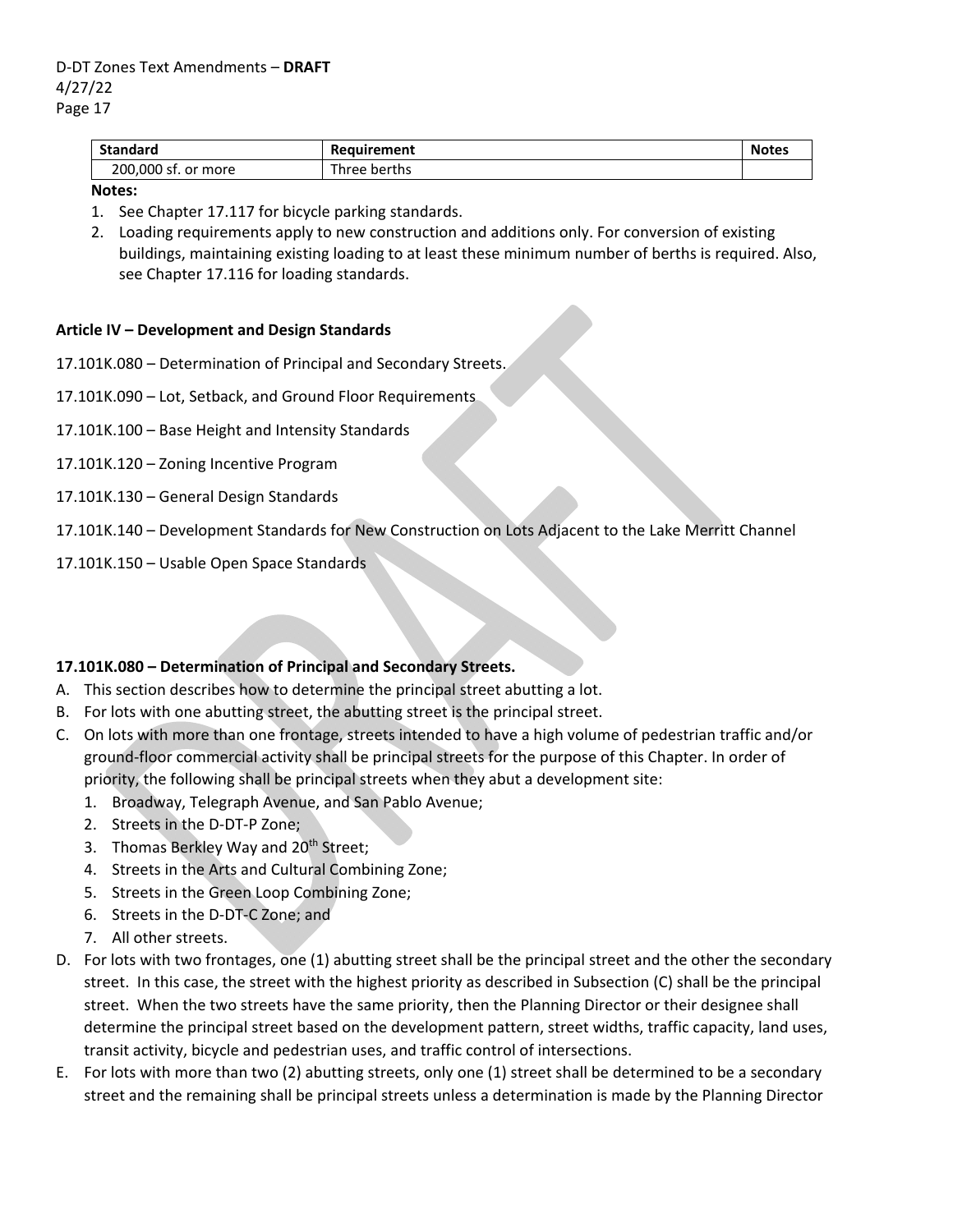| <b>Standard</b>     | Requirement  | <b>Notes</b> |
|---------------------|--------------|--------------|
| 200,000 sf. or more | Three berths |              |

#### **Notes:**

- 1. See Chapter 17.117 for bicycle parking standards.
- 2. Loading requirements apply to new construction and additions only. For conversion of existing buildings, maintaining existing loading to at least these minimum number of berths is required. Also, see Chapter 17.116 for loading standards.

### **Article IV – Development and Design Standards**

- 17.101K.080 Determination of Principal and Secondary Streets.
- 17.101K.090 Lot, Setback, and Ground Floor Requirements
- 17.101K.100 Base Height and Intensity Standards
- 17.101K.120 Zoning Incentive Program
- 17.101K.130 General Design Standards
- 17.101K.140 Development Standards for New Construction on Lots Adjacent to the Lake Merritt Channel
- 17.101K.150 Usable Open Space Standards

## **17.101K.080 – Determination of Principal and Secondary Streets.**

- A. This section describes how to determine the principal street abutting a lot.
- B. For lots with one abutting street, the abutting street is the principal street.
- C. On lots with more than one frontage, streets intended to have a high volume of pedestrian traffic and/or ground‐floor commercial activity shall be principal streets for the purpose of this Chapter. In order of priority, the following shall be principal streets when they abut a development site:
	- 1. Broadway, Telegraph Avenue, and San Pablo Avenue;
	- 2. Streets in the D‐DT‐P Zone;
	- 3. Thomas Berkley Way and 20<sup>th</sup> Street;
	- 4. Streets in the Arts and Cultural Combining Zone;
	- 5. Streets in the Green Loop Combining Zone;
	- 6. Streets in the D‐DT‐C Zone; and
	- 7. All other streets.
- D. For lots with two frontages, one (1) abutting street shall be the principal street and the other the secondary street. In this case, the street with the highest priority as described in Subsection (C) shall be the principal street. When the two streets have the same priority, then the Planning Director or their designee shall determine the principal street based on the development pattern, street widths, traffic capacity, land uses, transit activity, bicycle and pedestrian uses, and traffic control of intersections.
- E. For lots with more than two (2) abutting streets, only one (1) street shall be determined to be a secondary street and the remaining shall be principal streets unless a determination is made by the Planning Director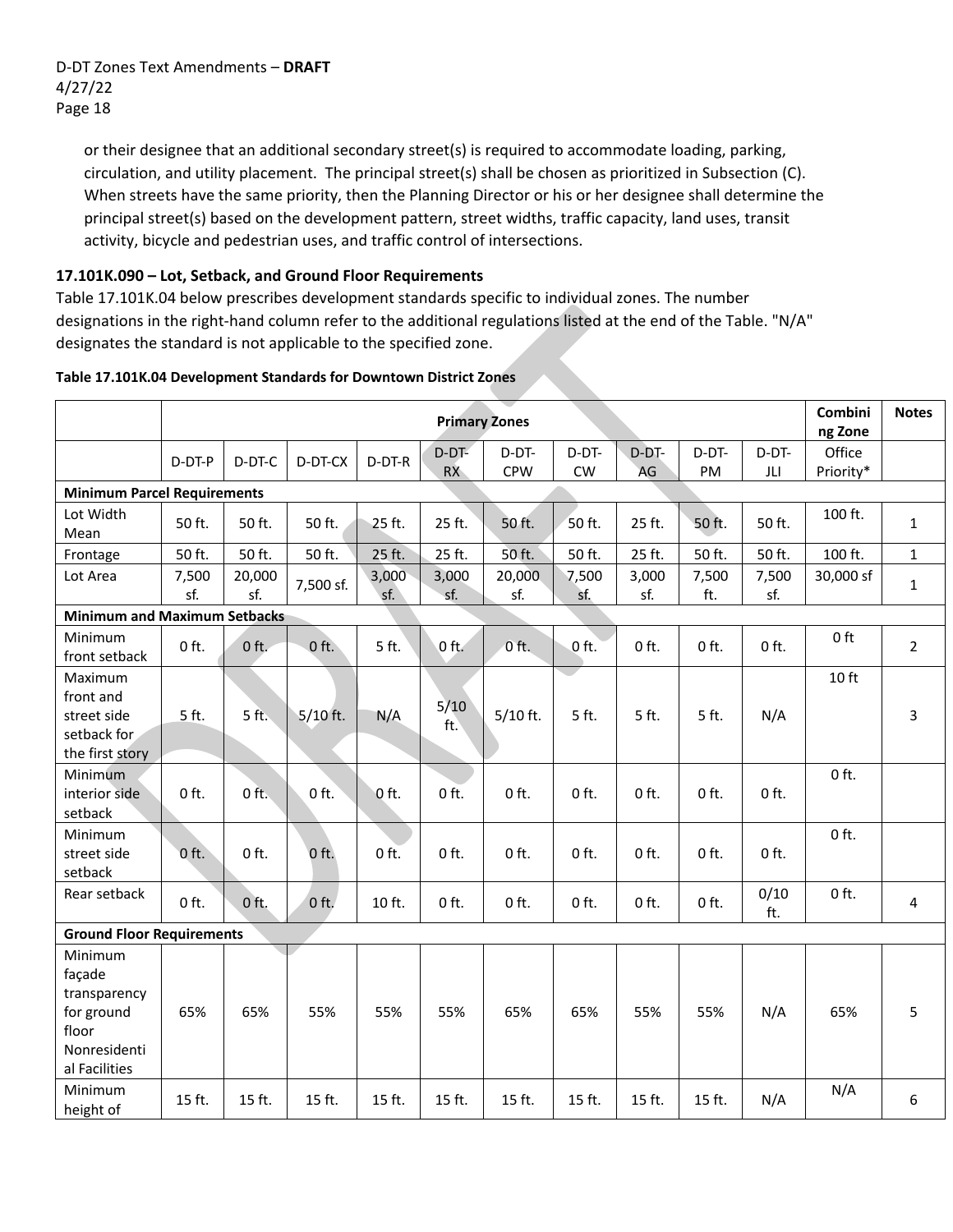or their designee that an additional secondary street(s) is required to accommodate loading, parking, circulation, and utility placement. The principal street(s) shall be chosen as prioritized in Subsection (C). When streets have the same priority, then the Planning Director or his or her designee shall determine the principal street(s) based on the development pattern, street widths, traffic capacity, land uses, transit activity, bicycle and pedestrian uses, and traffic control of intersections.

# **17.101K.090 – Lot, Setback, and Ground Floor Requirements**

Table 17.101K.04 below prescribes development standards specific to individual zones. The number designations in the right‐hand column refer to the additional regulations listed at the end of the Table. "N/A" designates the standard is not applicable to the specified zone.

|                                                                                           |              |               |            |              | Combini<br>ng Zone   | <b>Notes</b>        |              |              |              |              |                     |                |
|-------------------------------------------------------------------------------------------|--------------|---------------|------------|--------------|----------------------|---------------------|--------------|--------------|--------------|--------------|---------------------|----------------|
|                                                                                           | D-DT-P       | D-DT-C        | D-DT-CX    | D-DT-R       | $D-DT-$<br><b>RX</b> | D-DT-<br><b>CPW</b> | D-DT-<br>CW  | D-DT-<br>AG  | D-DT-<br>PM  | D-DT-<br>JLI | Office<br>Priority* |                |
| <b>Minimum Parcel Requirements</b>                                                        |              |               |            |              |                      |                     |              |              |              |              |                     |                |
| Lot Width<br>Mean                                                                         | 50 ft.       | 50 ft.        | 50 ft.     | 25 ft.       | 25 ft.               | 50 ft.              | 50 ft.       | 25 ft.       | 50 ft.       | 50 ft.       | 100 ft.             | $\mathbf{1}$   |
| Frontage                                                                                  | 50 ft.       | 50 ft.        | 50 ft.     | 25 ft.       | 25 ft.               | 50 ft.              | 50 ft.       | 25 ft.       | 50 ft.       | 50 ft.       | 100 ft.             | $\mathbf{1}$   |
| Lot Area                                                                                  | 7,500<br>sf. | 20,000<br>sf. | 7,500 sf.  | 3,000<br>sf. | 3,000<br>sf.         | 20,000<br>sf.       | 7,500<br>sf. | 3,000<br>sf. | 7,500<br>ft. | 7,500<br>sf. | 30,000 sf           | $\mathbf{1}$   |
| <b>Minimum and Maximum Setbacks</b>                                                       |              |               |            |              |                      |                     |              |              |              |              |                     |                |
| Minimum<br>front setback                                                                  | $0$ ft.      | $0$ ft.       | $0$ ft.    | 5 ft.        | $0$ ft.              | $0$ ft.             | $0$ ft.      | $0$ ft.      | $0$ ft.      | $0$ ft.      | 0 ft                | $\overline{2}$ |
| Maximum<br>front and<br>street side<br>setback for<br>the first story                     | 5 ft.        | 5 ft.         | $5/10$ ft. | N/A          | $5/10$<br>ft.        | $5/10$ ft.          | 5 ft.        | 5 ft.        | 5 ft.        | N/A          | 10 ft               | 3              |
| Minimum<br>interior side<br>setback                                                       | $0$ ft.      | $0$ ft.       | $0$ ft.    | Oft.         | $0$ ft.              | $0$ ft.             | $0$ ft.      | $0$ ft.      | $0$ ft.      | $0$ ft.      | $0$ ft.             |                |
| Minimum<br>street side<br>setback                                                         | $0$ ft.      | $0$ ft.       | $0$ ft.    | $0$ ft.      | $0$ ft.              | $0$ ft.             | $0$ ft.      | $0$ ft.      | $0$ ft.      | $0$ ft.      | $0$ ft.             |                |
| Rear setback                                                                              | $0$ ft.      | $0$ ft.       | $0$ ft.    | 10 ft.       | $0$ ft.              | $0$ ft.             | $0$ ft.      | $0$ ft.      | $0$ ft.      | 0/10<br>ft.  | $0$ ft.             | $\overline{4}$ |
| <b>Ground Floor Requirements</b>                                                          |              |               |            |              |                      |                     |              |              |              |              |                     |                |
| Minimum<br>façade<br>transparency<br>for ground<br>floor<br>Nonresidenti<br>al Facilities | 65%          | 65%           | 55%        | 55%          | 55%                  | 65%                 | 65%          | 55%          | 55%          | N/A          | 65%                 | 5              |
| Minimum<br>height of                                                                      | 15 ft.       | 15 ft.        | 15 ft.     | 15 ft.       | 15 ft.               | 15 ft.              | 15 ft.       | 15 ft.       | 15 ft.       | N/A          | N/A                 | 6              |

#### **Table 17.101K.04 Development Standards for Downtown District Zones**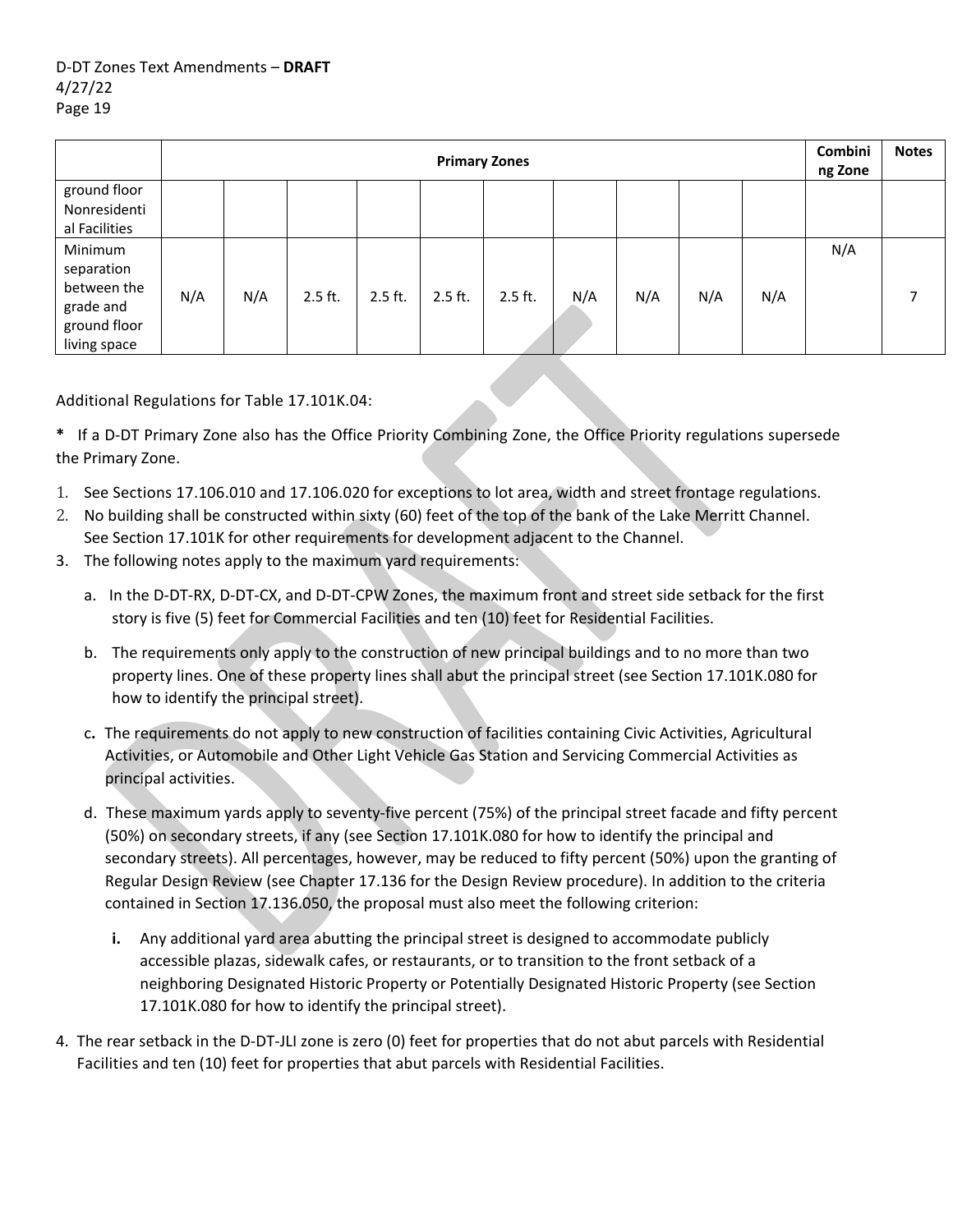|                                                                                   |     | <b>Primary Zones</b> |           |           |           |           |     |     |     |     |     | <b>Notes</b> |
|-----------------------------------------------------------------------------------|-----|----------------------|-----------|-----------|-----------|-----------|-----|-----|-----|-----|-----|--------------|
| ground floor<br>Nonresidenti<br>al Facilities                                     |     |                      |           |           |           |           |     |     |     |     |     |              |
| Minimum<br>separation<br>between the<br>grade and<br>ground floor<br>living space | N/A | N/A                  | $2.5$ ft. | $2.5$ ft. | $2.5$ ft. | $2.5$ ft. | N/A | N/A | N/A | N/A | N/A | ⇁            |

Additional Regulations for Table 17.101K.04:

**\*** If a D‐DT Primary Zone also has the Office Priority Combining Zone, the Office Priority regulations supersede the Primary Zone.

- 1. See Sections 17.106.010 and 17.106.020 for exceptions to lot area, width and street frontage regulations.
- 2. No building shall be constructed within sixty (60) feet of the top of the bank of the Lake Merritt Channel. See Section 17.101K for other requirements for development adjacent to the Channel.
- 3. The following notes apply to the maximum yard requirements:
	- a. In the D‐DT‐RX, D‐DT‐CX, and D‐DT‐CPW Zones, the maximum front and street side setback for the first story is five (5) feet for Commercial Facilities and ten (10) feet for Residential Facilities.
	- b. The requirements only apply to the construction of new principal buildings and to no more than two property lines. One of these property lines shall abut the principal street (see Section 17.101K.080 for how to identify the principal street).
	- c**.** The requirements do not apply to new construction of facilities containing Civic Activities, Agricultural Activities, or Automobile and Other Light Vehicle Gas Station and Servicing Commercial Activities as principal activities.
	- d. These maximum yards apply to seventy‐five percent (75%) of the principal street facade and fifty percent (50%) on secondary streets, if any (see Section 17.101K.080 for how to identify the principal and secondary streets). All percentages, however, may be reduced to fifty percent (50%) upon the granting of Regular Design Review (see Chapter 17.136 for the Design Review procedure). In addition to the criteria contained in Section 17.136.050, the proposal must also meet the following criterion:
		- **i.** Any additional yard area abutting the principal street is designed to accommodate publicly accessible plazas, sidewalk cafes, or restaurants, or to transition to the front setback of a neighboring Designated Historic Property or Potentially Designated Historic Property (see Section 17.101K.080 for how to identify the principal street).
- 4. The rear setback in the D‐DT‐JLI zone is zero (0) feet for properties that do not abut parcels with Residential Facilities and ten (10) feet for properties that abut parcels with Residential Facilities.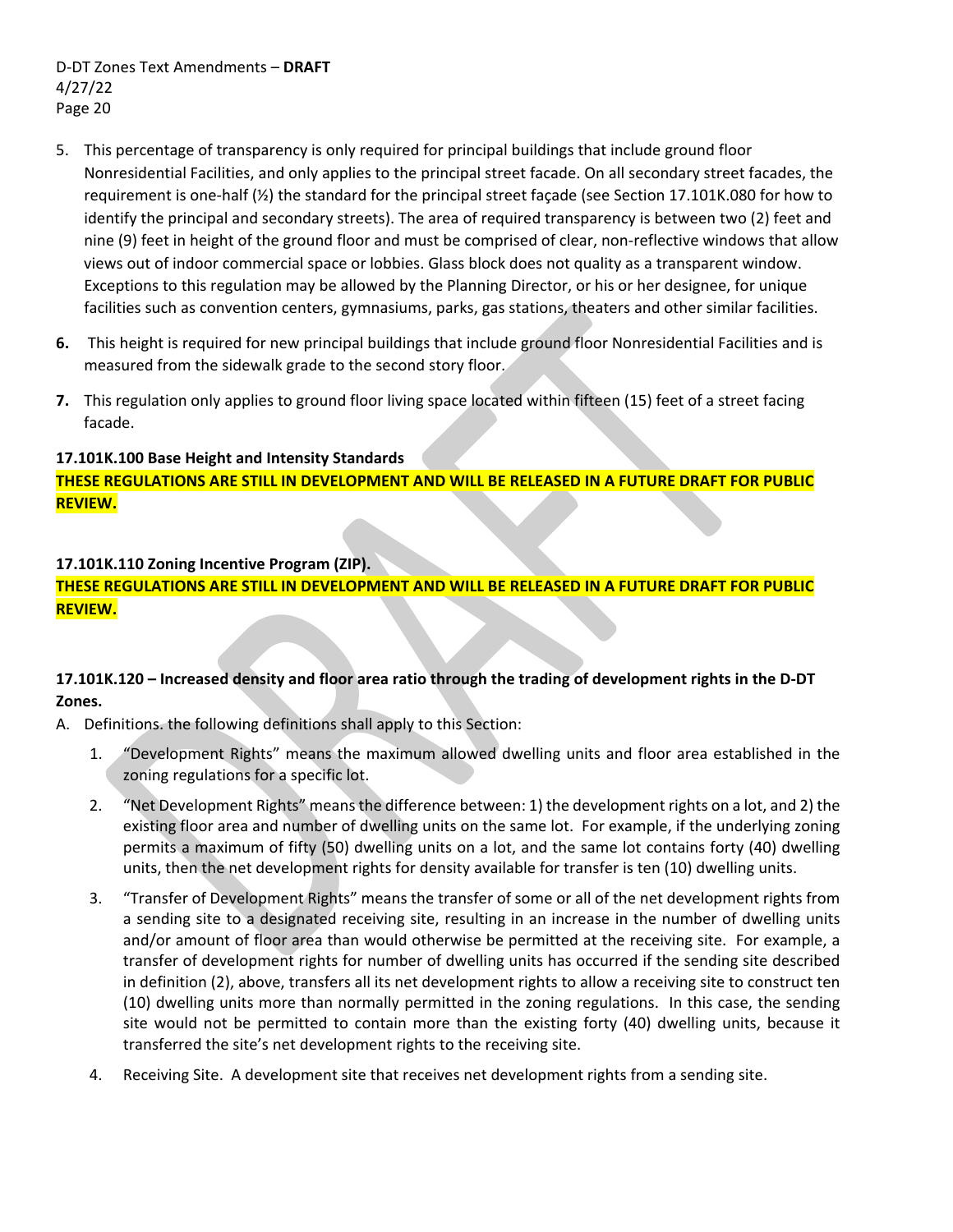- 5. This percentage of transparency is only required for principal buildings that include ground floor Nonresidential Facilities, and only applies to the principal street facade. On all secondary street facades, the requirement is one‐half (½) the standard for the principal street façade (see Section 17.101K.080 for how to identify the principal and secondary streets). The area of required transparency is between two (2) feet and nine (9) feet in height of the ground floor and must be comprised of clear, non-reflective windows that allow views out of indoor commercial space or lobbies. Glass block does not quality as a transparent window. Exceptions to this regulation may be allowed by the Planning Director, or his or her designee, for unique facilities such as convention centers, gymnasiums, parks, gas stations, theaters and other similar facilities.
- **6.** This height is required for new principal buildings that include ground floor Nonresidential Facilities and is measured from the sidewalk grade to the second story floor.
- **7.** This regulation only applies to ground floor living space located within fifteen (15) feet of a street facing facade.

### **17.101K.100 Base Height and Intensity Standards**

**THESE REGULATIONS ARE STILL IN DEVELOPMENT AND WILL BE RELEASED IN A FUTURE DRAFT FOR PUBLIC REVIEW.**

## **17.101K.110 Zoning Incentive Program (ZIP).**

**THESE REGULATIONS ARE STILL IN DEVELOPMENT AND WILL BE RELEASED IN A FUTURE DRAFT FOR PUBLIC REVIEW.**

# 17.101K.120 - Increased density and floor area ratio through the trading of development rights in the D-DT **Zones.**

A. Definitions. the following definitions shall apply to this Section:

- 1. "Development Rights" means the maximum allowed dwelling units and floor area established in the zoning regulations for a specific lot.
- 2. "Net Development Rights" meansthe difference between: 1) the development rights on a lot, and 2) the existing floor area and number of dwelling units on the same lot. For example, if the underlying zoning permits a maximum of fifty (50) dwelling units on a lot, and the same lot contains forty (40) dwelling units, then the net development rights for density available for transfer is ten (10) dwelling units.
- 3. "Transfer of Development Rights" means the transfer of some or all of the net development rights from a sending site to a designated receiving site, resulting in an increase in the number of dwelling units and/or amount of floor area than would otherwise be permitted at the receiving site. For example, a transfer of development rights for number of dwelling units has occurred if the sending site described in definition (2), above, transfers all its net development rights to allow a receiving site to construct ten (10) dwelling units more than normally permitted in the zoning regulations. In this case, the sending site would not be permitted to contain more than the existing forty (40) dwelling units, because it transferred the site's net development rights to the receiving site.
- 4. Receiving Site. A development site that receives net development rights from a sending site.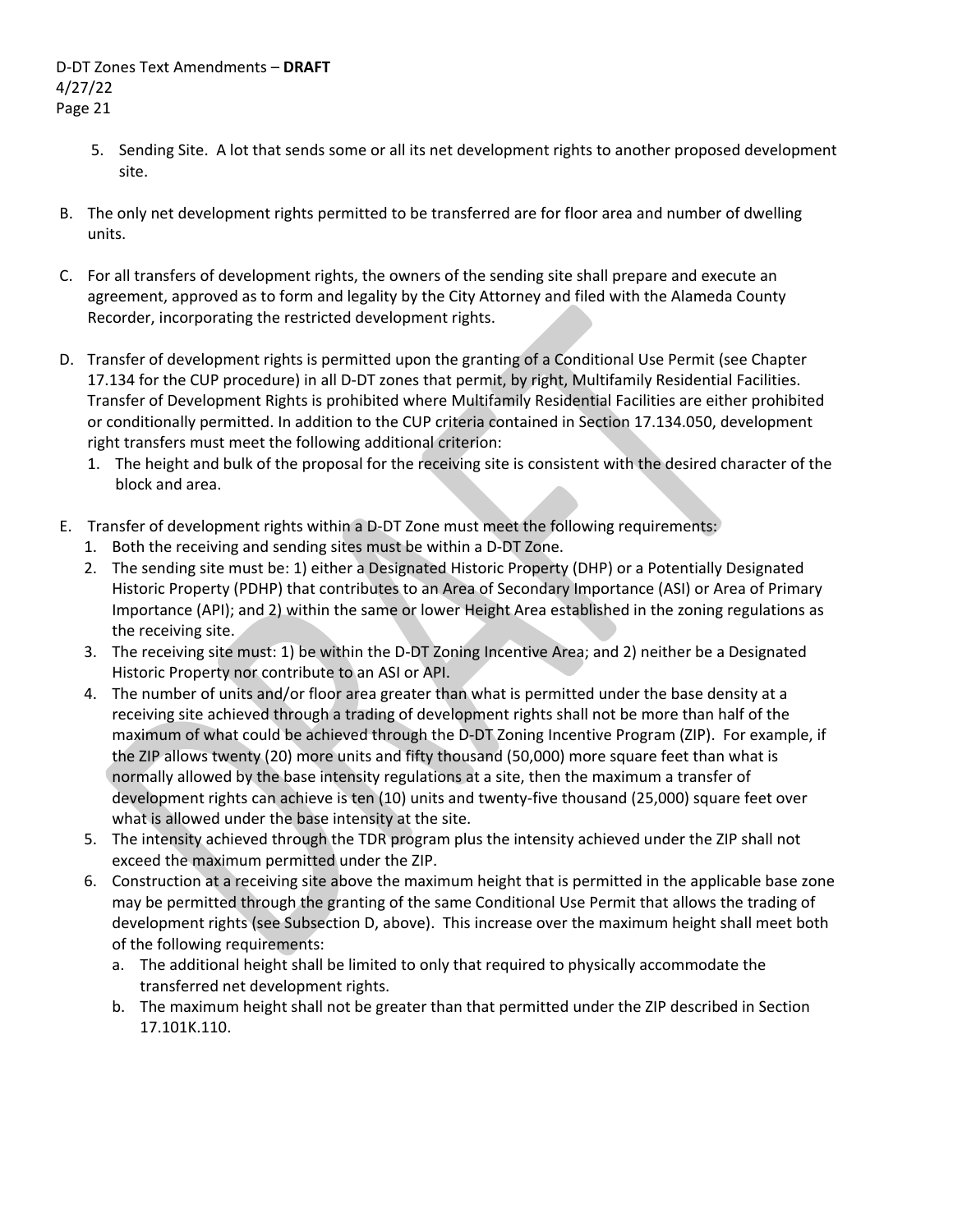- 5. Sending Site. A lot that sends some or all its net development rights to another proposed development site.
- B. The only net development rights permitted to be transferred are for floor area and number of dwelling units.
- C. For all transfers of development rights, the owners of the sending site shall prepare and execute an agreement, approved as to form and legality by the City Attorney and filed with the Alameda County Recorder, incorporating the restricted development rights.
- D. Transfer of development rights is permitted upon the granting of a Conditional Use Permit (see Chapter 17.134 for the CUP procedure) in all D-DT zones that permit, by right, Multifamily Residential Facilities. Transfer of Development Rights is prohibited where Multifamily Residential Facilities are either prohibited or conditionally permitted. In addition to the CUP criteria contained in Section 17.134.050, development right transfers must meet the following additional criterion:
	- 1. The height and bulk of the proposal for the receiving site is consistent with the desired character of the block and area.
- E. Transfer of development rights within a D-DT Zone must meet the following requirements:
	- 1. Both the receiving and sending sites must be within a D‐DT Zone.
	- 2. The sending site must be: 1) either a Designated Historic Property (DHP) or a Potentially Designated Historic Property (PDHP) that contributes to an Area of Secondary Importance (ASI) or Area of Primary Importance (API); and 2) within the same or lower Height Area established in the zoning regulations as the receiving site.
	- 3. The receiving site must: 1) be within the D‐DT Zoning Incentive Area; and 2) neither be a Designated Historic Property nor contribute to an ASI or API.
	- 4. The number of units and/or floor area greater than what is permitted under the base density at a receiving site achieved through a trading of development rights shall not be more than half of the maximum of what could be achieved through the D‐DT Zoning Incentive Program (ZIP). For example, if the ZIP allows twenty (20) more units and fifty thousand (50,000) more square feet than what is normally allowed by the base intensity regulations at a site, then the maximum a transfer of development rights can achieve is ten (10) units and twenty‐five thousand (25,000) square feet over what is allowed under the base intensity at the site.
	- 5. The intensity achieved through the TDR program plus the intensity achieved under the ZIP shall not exceed the maximum permitted under the ZIP.
	- 6. Construction at a receiving site above the maximum height that is permitted in the applicable base zone may be permitted through the granting of the same Conditional Use Permit that allows the trading of development rights (see Subsection D, above). This increase over the maximum height shall meet both of the following requirements:
		- a. The additional height shall be limited to only that required to physically accommodate the transferred net development rights.
		- b. The maximum height shall not be greater than that permitted under the ZIP described in Section 17.101K.110.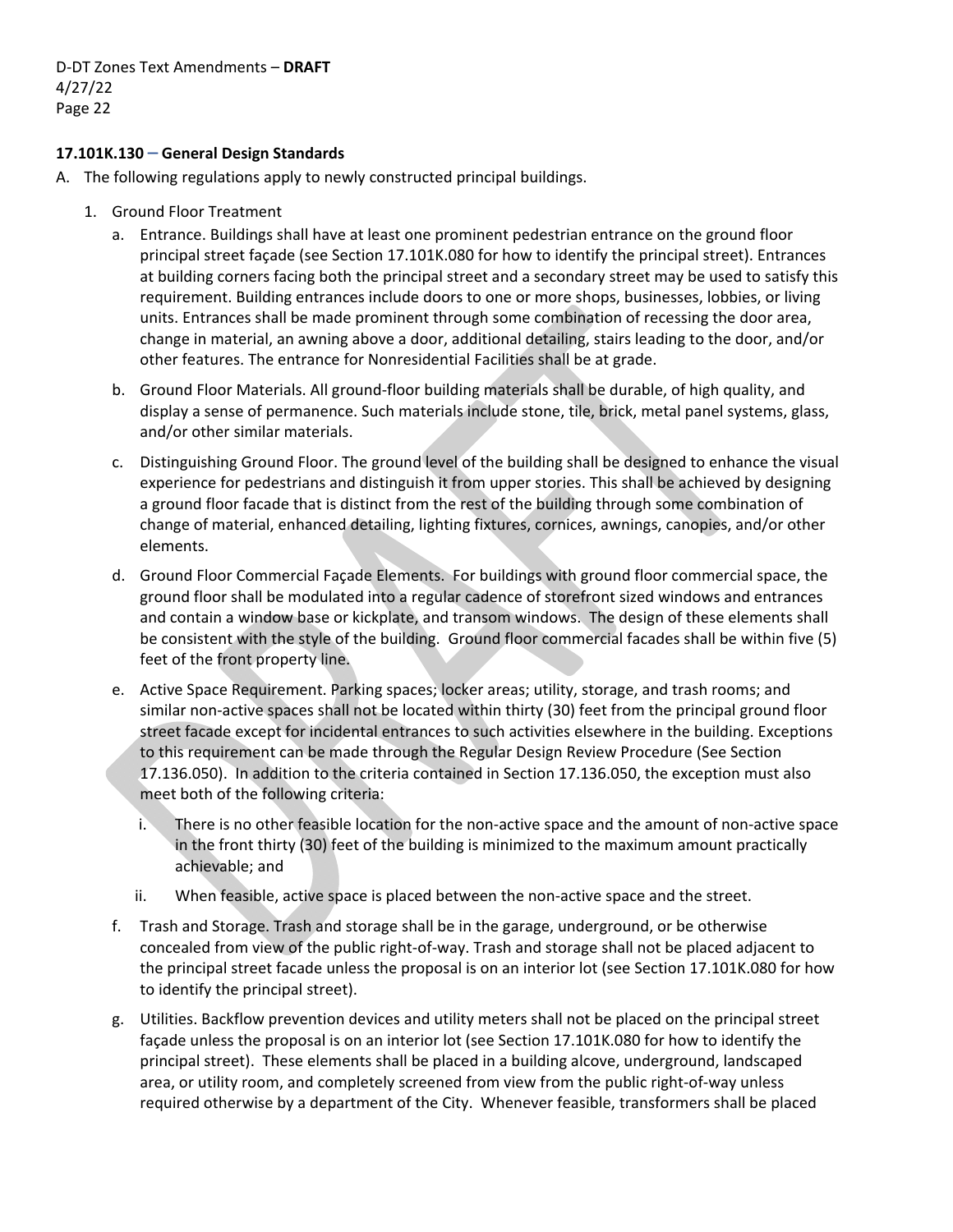### **17.101K.130** – **General Design Standards**

- A. The following regulations apply to newly constructed principal buildings.
	- 1. Ground Floor Treatment
		- a. Entrance. Buildings shall have at least one prominent pedestrian entrance on the ground floor principal street façade (see Section 17.101K.080 for how to identify the principal street). Entrances at building corners facing both the principal street and a secondary street may be used to satisfy this requirement. Building entrances include doors to one or more shops, businesses, lobbies, or living units. Entrances shall be made prominent through some combination of recessing the door area, change in material, an awning above a door, additional detailing, stairs leading to the door, and/or other features. The entrance for Nonresidential Facilities shall be at grade.
		- b. Ground Floor Materials. All ground‐floor building materials shall be durable, of high quality, and display a sense of permanence. Such materials include stone, tile, brick, metal panel systems, glass, and/or other similar materials.
		- c. Distinguishing Ground Floor. The ground level of the building shall be designed to enhance the visual experience for pedestrians and distinguish it from upper stories. This shall be achieved by designing a ground floor facade that is distinct from the rest of the building through some combination of change of material, enhanced detailing, lighting fixtures, cornices, awnings, canopies, and/or other elements.
		- d. Ground Floor Commercial Façade Elements. For buildings with ground floor commercial space, the ground floor shall be modulated into a regular cadence of storefront sized windows and entrances and contain a window base or kickplate, and transom windows. The design of these elements shall be consistent with the style of the building. Ground floor commercial facades shall be within five (5) feet of the front property line.
		- e. Active Space Requirement. Parking spaces; locker areas; utility, storage, and trash rooms; and similar non-active spaces shall not be located within thirty (30) feet from the principal ground floor street facade except for incidental entrances to such activities elsewhere in the building. Exceptions to this requirement can be made through the Regular Design Review Procedure (See Section 17.136.050). In addition to the criteria contained in Section 17.136.050, the exception must also meet both of the following criteria:
			- i. There is no other feasible location for the non‐active space and the amount of non‐active space in the front thirty (30) feet of the building is minimized to the maximum amount practically achievable; and
			- ii. When feasible, active space is placed between the non-active space and the street.
		- f. Trash and Storage. Trash and storage shall be in the garage, underground, or be otherwise concealed from view of the public right‐of‐way. Trash and storage shall not be placed adjacent to the principal street facade unless the proposal is on an interior lot (see Section 17.101K.080 for how to identify the principal street).
		- g. Utilities. Backflow prevention devices and utility meters shall not be placed on the principal street façade unless the proposal is on an interior lot (see Section 17.101K.080 for how to identify the principal street). These elements shall be placed in a building alcove, underground, landscaped area, or utility room, and completely screened from view from the public right‐of‐way unless required otherwise by a department of the City. Whenever feasible, transformers shall be placed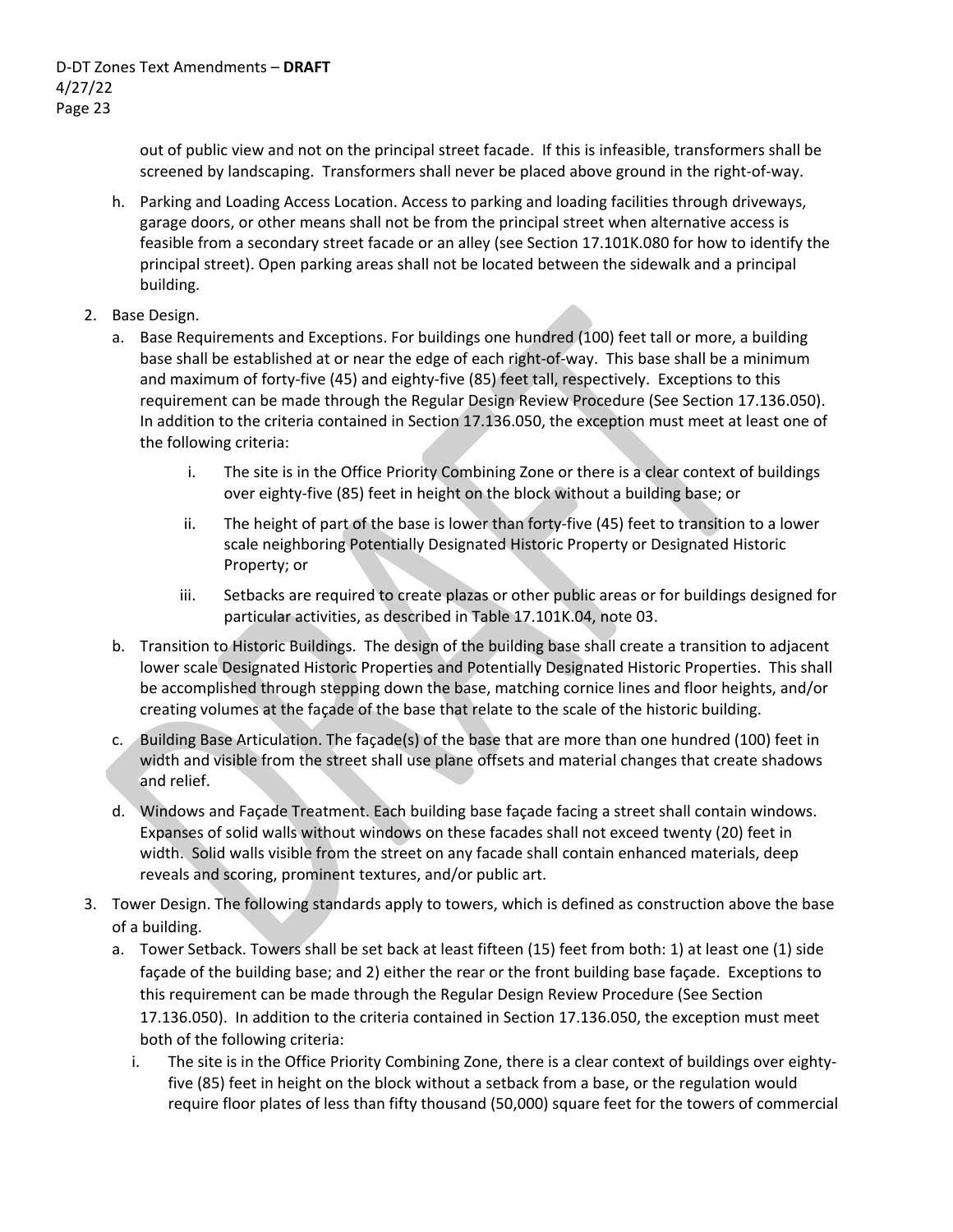out of public view and not on the principal street facade. If this is infeasible, transformers shall be screened by landscaping. Transformers shall never be placed above ground in the right‐of‐way.

- h. Parking and Loading Access Location. Access to parking and loading facilities through driveways, garage doors, or other means shall not be from the principal street when alternative access is feasible from a secondary street facade or an alley (see Section 17.101K.080 for how to identify the principal street). Open parking areas shall not be located between the sidewalk and a principal building.
- 2. Base Design.
	- a. Base Requirements and Exceptions. For buildings one hundred (100) feet tall or more, a building base shall be established at or near the edge of each right-of-way. This base shall be a minimum and maximum of forty-five (45) and eighty-five (85) feet tall, respectively. Exceptions to this requirement can be made through the Regular Design Review Procedure (See Section 17.136.050). In addition to the criteria contained in Section 17.136.050, the exception must meet at least one of the following criteria:
		- i. The site is in the Office Priority Combining Zone or there is a clear context of buildings over eighty‐five (85) feet in height on the block without a building base; or
		- ii. The height of part of the base is lower than forty‐five (45) feet to transition to a lower scale neighboring Potentially Designated Historic Property or Designated Historic Property; or
		- iii. Setbacks are required to create plazas or other public areas or for buildings designed for particular activities, as described in Table 17.101K.04, note 03.
	- b. Transition to Historic Buildings. The design of the building base shall create a transition to adjacent lower scale Designated Historic Properties and Potentially Designated Historic Properties. This shall be accomplished through stepping down the base, matching cornice lines and floor heights, and/or creating volumes at the façade of the base that relate to the scale of the historic building.
	- c. Building Base Articulation. The façade(s) of the base that are more than one hundred (100) feet in width and visible from the street shall use plane offsets and material changes that create shadows and relief.
	- d. Windows and Façade Treatment. Each building base façade facing a street shall contain windows. Expanses of solid walls without windows on these facades shall not exceed twenty (20) feet in width. Solid walls visible from the street on any facade shall contain enhanced materials, deep reveals and scoring, prominent textures, and/or public art.
- 3. Tower Design. The following standards apply to towers, which is defined as construction above the base of a building.
	- a. Tower Setback. Towers shall be set back at least fifteen (15) feet from both: 1) at least one (1) side façade of the building base; and 2) either the rear or the front building base façade. Exceptions to this requirement can be made through the Regular Design Review Procedure (See Section 17.136.050). In addition to the criteria contained in Section 17.136.050, the exception must meet both of the following criteria:
		- i. The site is in the Office Priority Combining Zone, there is a clear context of buildings over eighty‐ five (85) feet in height on the block without a setback from a base, or the regulation would require floor plates of less than fifty thousand (50,000) square feet for the towers of commercial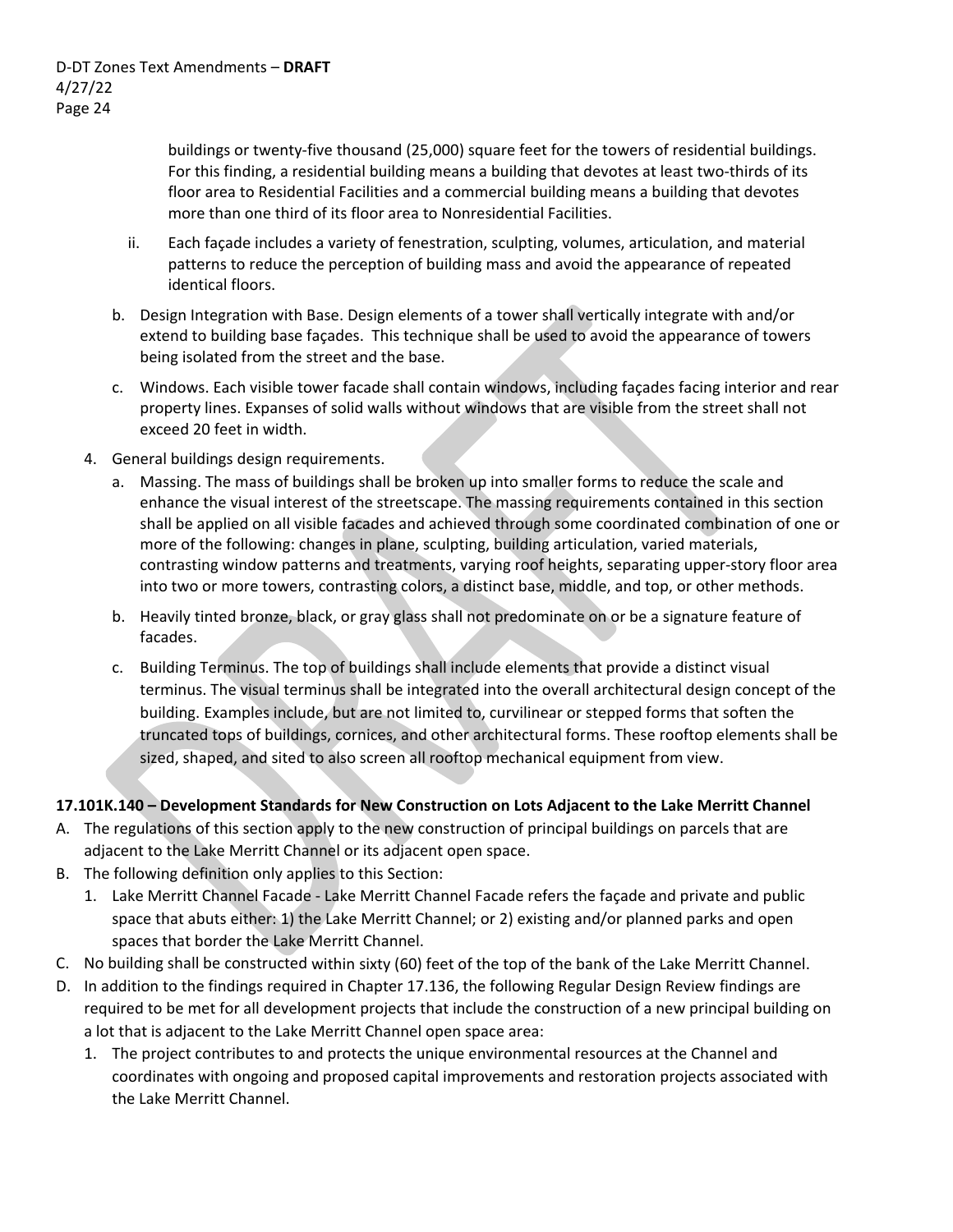buildings or twenty‐five thousand (25,000) square feet for the towers of residential buildings. For this finding, a residential building means a building that devotes at least two-thirds of its floor area to Residential Facilities and a commercial building means a building that devotes more than one third of its floor area to Nonresidential Facilities.

- ii. Each façade includes a variety of fenestration, sculpting, volumes, articulation, and material patterns to reduce the perception of building mass and avoid the appearance of repeated identical floors.
- b. Design Integration with Base. Design elements of a tower shall vertically integrate with and/or extend to building base façades. This technique shall be used to avoid the appearance of towers being isolated from the street and the base.
- c. Windows. Each visible tower facade shall contain windows, including façades facing interior and rear property lines. Expanses of solid walls without windows that are visible from the street shall not exceed 20 feet in width.
- 4. General buildings design requirements.
	- a. Massing. The mass of buildings shall be broken up into smaller forms to reduce the scale and enhance the visual interest of the streetscape. The massing requirements contained in this section shall be applied on all visible facades and achieved through some coordinated combination of one or more of the following: changes in plane, sculpting, building articulation, varied materials, contrasting window patterns and treatments, varying roof heights, separating upper‐story floor area into two or more towers, contrasting colors, a distinct base, middle, and top, or other methods.
	- b. Heavily tinted bronze, black, or gray glass shall not predominate on or be a signature feature of facades.
	- c. Building Terminus. The top of buildings shall include elements that provide a distinct visual terminus. The visual terminus shall be integrated into the overall architectural design concept of the building. Examples include, but are not limited to, curvilinear or stepped forms that soften the truncated tops of buildings, cornices, and other architectural forms. These rooftop elements shall be sized, shaped, and sited to also screen all rooftop mechanical equipment from view.

## **17.101K.140 – Development Standards for New Construction on Lots Adjacent to the Lake Merritt Channel**

- A. The regulations of this section apply to the new construction of principal buildings on parcels that are adjacent to the Lake Merritt Channel or its adjacent open space.
- B. The following definition only applies to this Section:
	- 1. Lake Merritt Channel Facade ‐ Lake Merritt Channel Facade refers the façade and private and public space that abuts either: 1) the Lake Merritt Channel; or 2) existing and/or planned parks and open spaces that border the Lake Merritt Channel.
- C. No building shall be constructed within sixty (60) feet of the top of the bank of the Lake Merritt Channel.
- D. In addition to the findings required in Chapter 17.136, the following Regular Design Review findings are required to be met for all development projects that include the construction of a new principal building on a lot that is adjacent to the Lake Merritt Channel open space area:
	- 1. The project contributes to and protects the unique environmental resources at the Channel and coordinates with ongoing and proposed capital improvements and restoration projects associated with the Lake Merritt Channel.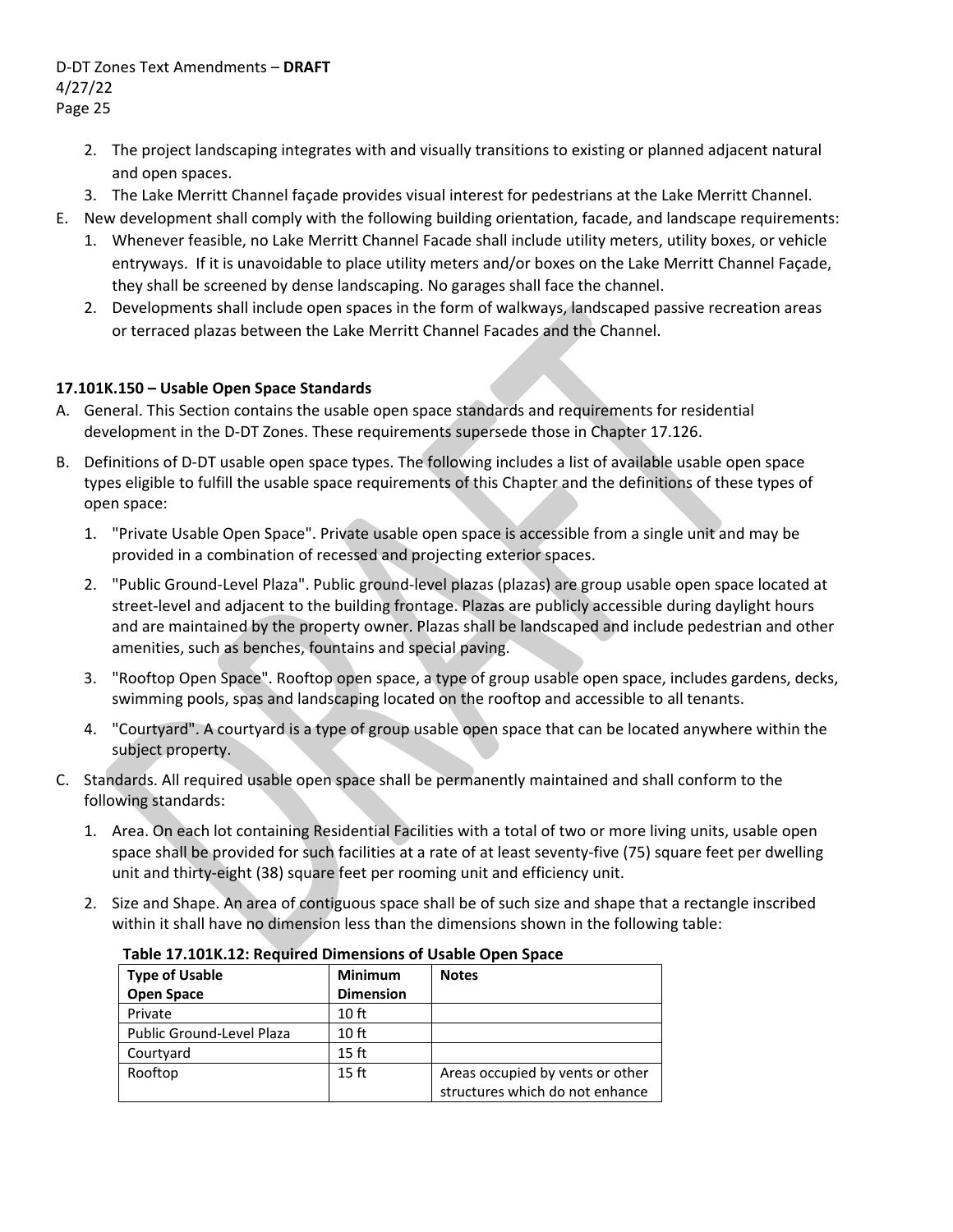- 2. The project landscaping integrates with and visually transitions to existing or planned adjacent natural and open spaces.
- 3. The Lake Merritt Channel façade provides visual interest for pedestrians at the Lake Merritt Channel.
- E. New development shall comply with the following building orientation, facade, and landscape requirements:
	- 1. Whenever feasible, no Lake Merritt Channel Facade shall include utility meters, utility boxes, or vehicle entryways. If it is unavoidable to place utility meters and/or boxes on the Lake Merritt Channel Façade, they shall be screened by dense landscaping. No garages shall face the channel.
	- 2. Developments shall include open spaces in the form of walkways, landscaped passive recreation areas or terraced plazas between the Lake Merritt Channel Facades and the Channel.

### **17.101K.150 – Usable Open Space Standards**

- A. General. This Section contains the usable open space standards and requirements for residential development in the D‐DT Zones. These requirements supersede those in Chapter 17.126.
- B. Definitions of D‐DT usable open space types. The following includes a list of available usable open space types eligible to fulfill the usable space requirements of this Chapter and the definitions of these types of open space:
	- 1. "Private Usable Open Space". Private usable open space is accessible from a single unit and may be provided in a combination of recessed and projecting exterior spaces.
	- 2. "Public Ground‐Level Plaza". Public ground‐level plazas (plazas) are group usable open space located at street-level and adjacent to the building frontage. Plazas are publicly accessible during daylight hours and are maintained by the property owner. Plazas shall be landscaped and include pedestrian and other amenities, such as benches, fountains and special paving.
	- 3. "Rooftop Open Space". Rooftop open space, a type of group usable open space, includes gardens, decks, swimming pools, spas and landscaping located on the rooftop and accessible to all tenants.
	- 4. "Courtyard". A courtyard is a type of group usable open space that can be located anywhere within the subject property.
- C. Standards. All required usable open space shall be permanently maintained and shall conform to the following standards:
	- 1. Area. On each lot containing Residential Facilities with a total of two or more living units, usable open space shall be provided for such facilities at a rate of at least seventy-five (75) square feet per dwelling unit and thirty‐eight (38) square feet per rooming unit and efficiency unit.
	- 2. Size and Shape. An area of contiguous space shall be of such size and shape that a rectangle inscribed within it shall have no dimension less than the dimensions shown in the following table:

| <b>Type of Usable</b>     | <b>Minimum</b>   | <b>Notes</b>                     |  |  |  |
|---------------------------|------------------|----------------------------------|--|--|--|
| <b>Open Space</b>         | <b>Dimension</b> |                                  |  |  |  |
| Private                   | 10 <sub>ft</sub> |                                  |  |  |  |
| Public Ground-Level Plaza | 10 <sub>ft</sub> |                                  |  |  |  |
| Courtyard                 | 15 <sub>ft</sub> |                                  |  |  |  |
| Rooftop                   | 15 <sub>ft</sub> | Areas occupied by vents or other |  |  |  |
|                           |                  | structures which do not enhance  |  |  |  |

**Table 17.101K.12: Required Dimensions of Usable Open Space**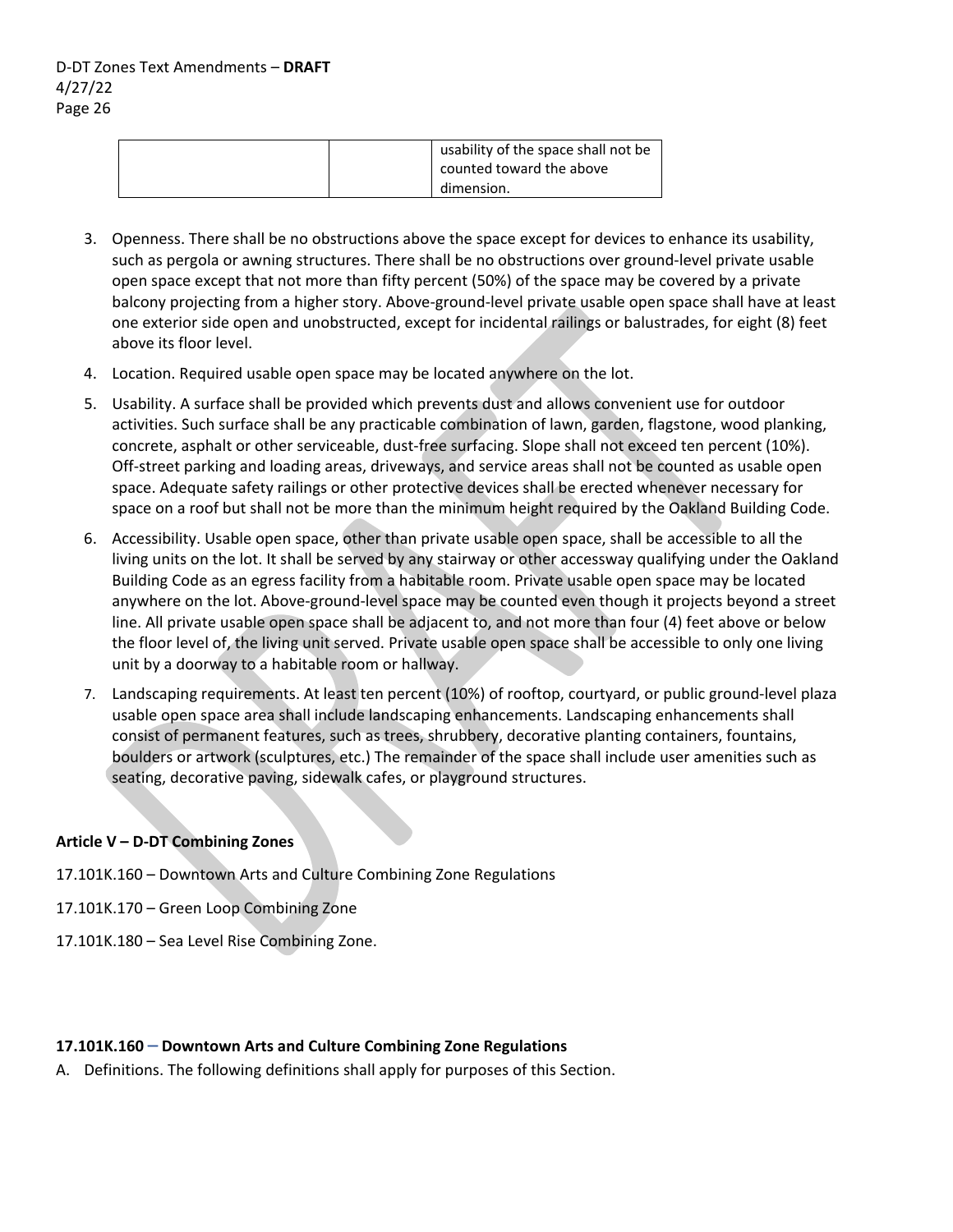|  | usability of the space shall not be<br>counted toward the above<br>dimension. |  |
|--|-------------------------------------------------------------------------------|--|
|--|-------------------------------------------------------------------------------|--|

- 3. Openness. There shall be no obstructions above the space except for devices to enhance its usability, such as pergola or awning structures. There shall be no obstructions over ground-level private usable open space except that not more than fifty percent (50%) of the space may be covered by a private balcony projecting from a higher story. Above‐ground‐level private usable open space shall have at least one exterior side open and unobstructed, except for incidental railings or balustrades, for eight (8) feet above its floor level.
- 4. Location. Required usable open space may be located anywhere on the lot.
- 5. Usability. A surface shall be provided which prevents dust and allows convenient use for outdoor activities. Such surface shall be any practicable combination of lawn, garden, flagstone, wood planking, concrete, asphalt or other serviceable, dust-free surfacing. Slope shall not exceed ten percent (10%). Off‐street parking and loading areas, driveways, and service areas shall not be counted as usable open space. Adequate safety railings or other protective devices shall be erected whenever necessary for space on a roof but shall not be more than the minimum height required by the Oakland Building Code.
- 6. Accessibility. Usable open space, other than private usable open space, shall be accessible to all the living units on the lot. It shall be served by any stairway or other accessway qualifying under the Oakland Building Code as an egress facility from a habitable room. Private usable open space may be located anywhere on the lot. Above-ground-level space may be counted even though it projects beyond a street line. All private usable open space shall be adjacent to, and not more than four (4) feet above or below the floor level of, the living unit served. Private usable open space shall be accessible to only one living unit by a doorway to a habitable room or hallway.
- 7. Landscaping requirements. At least ten percent (10%) of rooftop, courtyard, or public ground‐level plaza usable open space area shall include landscaping enhancements. Landscaping enhancements shall consist of permanent features, such as trees, shrubbery, decorative planting containers, fountains, boulders or artwork (sculptures, etc.) The remainder of the space shall include user amenities such as seating, decorative paving, sidewalk cafes, or playground structures.

## **Article V – D‐DT Combining Zones**

- 17.101K.160 Downtown Arts and Culture Combining Zone Regulations
- 17.101K.170 Green Loop Combining Zone
- 17.101K.180 Sea Level Rise Combining Zone.

### **17.101K.160** – **Downtown Arts and Culture Combining Zone Regulations**

A. Definitions. The following definitions shall apply for purposes of this Section.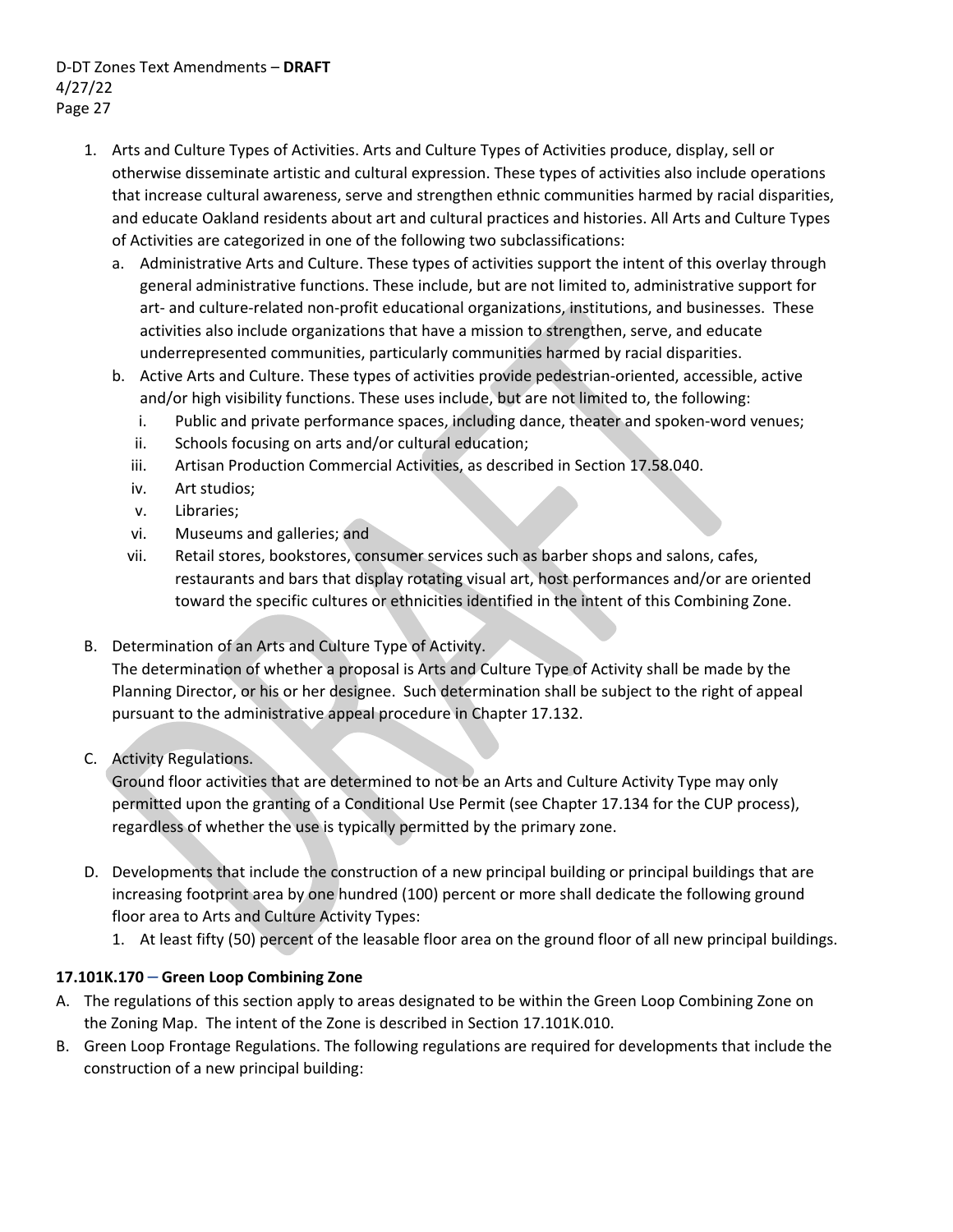- 1. Arts and Culture Types of Activities. Arts and Culture Types of Activities produce, display, sell or otherwise disseminate artistic and cultural expression. These types of activities also include operations that increase cultural awareness, serve and strengthen ethnic communities harmed by racial disparities, and educate Oakland residents about art and cultural practices and histories. All Arts and Culture Types of Activities are categorized in one of the following two subclassifications:
	- a. Administrative Arts and Culture. These types of activities support the intent of this overlay through general administrative functions. These include, but are not limited to, administrative support for art- and culture-related non-profit educational organizations, institutions, and businesses. These activities also include organizations that have a mission to strengthen, serve, and educate underrepresented communities, particularly communities harmed by racial disparities.
	- b. Active Arts and Culture. These types of activities provide pedestrian‐oriented, accessible, active and/or high visibility functions. These uses include, but are not limited to, the following:
		- i. Public and private performance spaces, including dance, theater and spoken-word venues;
		- ii. Schools focusing on arts and/or cultural education;
		- iii. Artisan Production Commercial Activities, as described in Section 17.58.040.
		- iv. Art studios;
		- v. Libraries;
		- vi. Museums and galleries; and
		- vii. Retail stores, bookstores, consumer services such as barber shops and salons, cafes, restaurants and bars that display rotating visual art, host performances and/or are oriented toward the specific cultures or ethnicities identified in the intent of this Combining Zone.
- B. Determination of an Arts and Culture Type of Activity.

The determination of whether a proposal is Arts and Culture Type of Activity shall be made by the Planning Director, or his or her designee. Such determination shall be subject to the right of appeal pursuant to the administrative appeal procedure in Chapter 17.132.

C. Activity Regulations.

Ground floor activities that are determined to not be an Arts and Culture Activity Type may only permitted upon the granting of a Conditional Use Permit (see Chapter 17.134 for the CUP process), regardless of whether the use is typically permitted by the primary zone.

- D. Developments that include the construction of a new principal building or principal buildings that are increasing footprint area by one hundred (100) percent or more shall dedicate the following ground floor area to Arts and Culture Activity Types:
	- 1. At least fifty (50) percent of the leasable floor area on the ground floor of all new principal buildings.

## **17.101K.170** – **Green Loop Combining Zone**

- A. The regulations of this section apply to areas designated to be within the Green Loop Combining Zone on the Zoning Map. The intent of the Zone is described in Section 17.101K.010.
- B. Green Loop Frontage Regulations. The following regulations are required for developments that include the construction of a new principal building: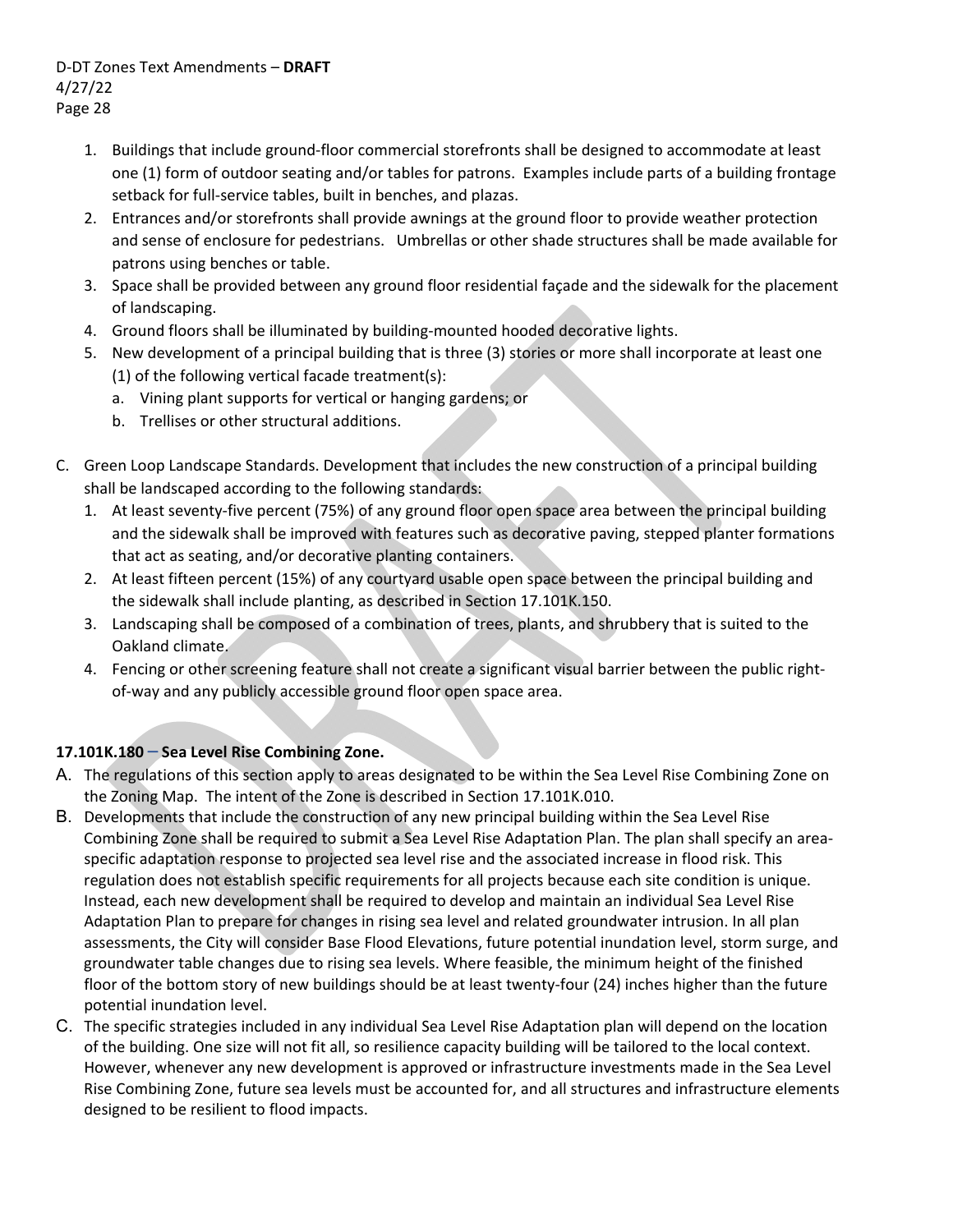- 1. Buildings that include ground‐floor commercial storefronts shall be designed to accommodate at least one (1) form of outdoor seating and/or tables for patrons. Examples include parts of a building frontage setback for full-service tables, built in benches, and plazas.
- 2. Entrances and/or storefronts shall provide awnings at the ground floor to provide weather protection and sense of enclosure for pedestrians. Umbrellas or other shade structures shall be made available for patrons using benches or table.
- 3. Space shall be provided between any ground floor residential façade and the sidewalk for the placement of landscaping.
- 4. Ground floors shall be illuminated by building-mounted hooded decorative lights.
- 5. New development of a principal building that is three (3) stories or more shall incorporate at least one (1) of the following vertical facade treatment(s):
	- a. Vining plant supports for vertical or hanging gardens; or
	- b. Trellises or other structural additions.
- C. Green Loop Landscape Standards. Development that includes the new construction of a principal building shall be landscaped according to the following standards:
	- 1. At least seventy‐five percent (75%) of any ground floor open space area between the principal building and the sidewalk shall be improved with features such as decorative paving, stepped planter formations that act as seating, and/or decorative planting containers.
	- 2. At least fifteen percent (15%) of any courtyard usable open space between the principal building and the sidewalk shall include planting, as described in Section 17.101K.150.
	- 3. Landscaping shall be composed of a combination of trees, plants, and shrubbery that is suited to the Oakland climate.
	- 4. Fencing or other screening feature shall not create a significant visual barrier between the public right‐ of-way and any publicly accessible ground floor open space area.

# **17.101K.180** – **Sea Level Rise Combining Zone.**

- A. The regulations of this section apply to areas designated to be within the Sea Level Rise Combining Zone on the Zoning Map. The intent of the Zone is described in Section 17.101K.010.
- B. Developments that include the construction of any new principal building within the Sea Level Rise Combining Zone shall be required to submit a Sea Level Rise Adaptation Plan. The plan shall specify an area‐ specific adaptation response to projected sea level rise and the associated increase in flood risk. This regulation does not establish specific requirements for all projects because each site condition is unique. Instead, each new development shall be required to develop and maintain an individual Sea Level Rise Adaptation Plan to prepare for changes in rising sea level and related groundwater intrusion. In all plan assessments, the City will consider Base Flood Elevations, future potential inundation level, storm surge, and groundwater table changes due to rising sea levels. Where feasible, the minimum height of the finished floor of the bottom story of new buildings should be at least twenty-four (24) inches higher than the future potential inundation level.
- C. The specific strategies included in any individual Sea Level Rise Adaptation plan will depend on the location of the building. One size will not fit all, so resilience capacity building will be tailored to the local context. However, whenever any new development is approved or infrastructure investments made in the Sea Level Rise Combining Zone, future sea levels must be accounted for, and all structures and infrastructure elements designed to be resilient to flood impacts.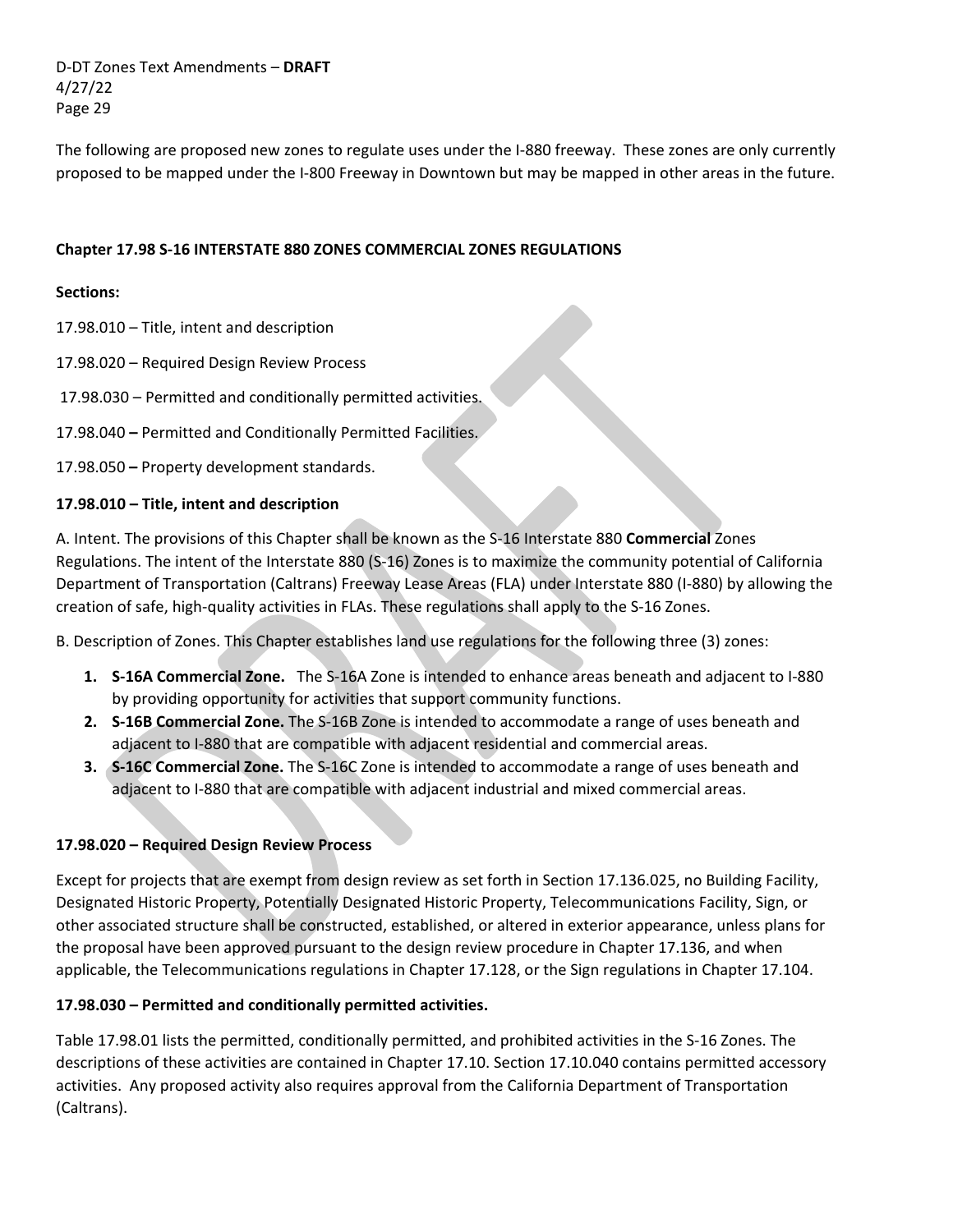The following are proposed new zones to regulate uses under the I‐880 freeway. These zones are only currently proposed to be mapped under the I‐800 Freeway in Downtown but may be mapped in other areas in the future.

### **Chapter 17.98 S‐16 INTERSTATE 880 ZONES COMMERCIAL ZONES REGULATIONS**

### **Sections:**

- 17.98.010 Title, intent and description
- 17.98.020 Required Design Review Process
- 17.98.030 Permitted and conditionally permitted activities.
- 17.98.040 **–** Permitted and Conditionally Permitted Facilities.

17.98.050 **–** Property development standards.

### **17.98.010 – Title, intent and description**

A. Intent. The provisions of this Chapter shall be known as the S‐16 Interstate 880 **Commercial** Zones Regulations. The intent of the Interstate 880 (S‐16) Zones is to maximize the community potential of California Department of Transportation (Caltrans) Freeway Lease Areas (FLA) under Interstate 880 (I‐880) by allowing the creation of safe, high‐quality activities in FLAs. These regulations shall apply to the S‐16 Zones.

B. Description of Zones. This Chapter establishes land use regulations for the following three (3) zones:

- **1. S‐16A Commercial Zone.**  The S‐16A Zone is intended to enhance areas beneath and adjacent to I‐880 by providing opportunity for activities that support community functions.
- **2. S‐16B Commercial Zone.** The S‐16B Zone is intended to accommodate a range of uses beneath and adjacent to I‐880 that are compatible with adjacent residential and commercial areas.
- **3. S‐16C Commercial Zone.** The S‐16C Zone is intended to accommodate a range of uses beneath and adjacent to I‐880 that are compatible with adjacent industrial and mixed commercial areas.

## **17.98.020 – Required Design Review Process**

Except for projects that are exempt from design review as set forth in Section 17.136.025, no Building Facility, Designated Historic Property, Potentially Designated Historic Property, Telecommunications Facility, Sign, or other associated structure shall be constructed, established, or altered in exterior appearance, unless plans for the proposal have been approved pursuant to the design review procedure in Chapter 17.136, and when applicable, the Telecommunications regulations in Chapter 17.128, or the Sign regulations in Chapter 17.104.

### **17.98.030 – Permitted and conditionally permitted activities.**

Table 17.98.01 lists the permitted, conditionally permitted, and prohibited activities in the S‐16 Zones. The descriptions of these activities are contained in Chapter 17.10. Section 17.10.040 contains permitted accessory activities. Any proposed activity also requires approval from the California Department of Transportation (Caltrans).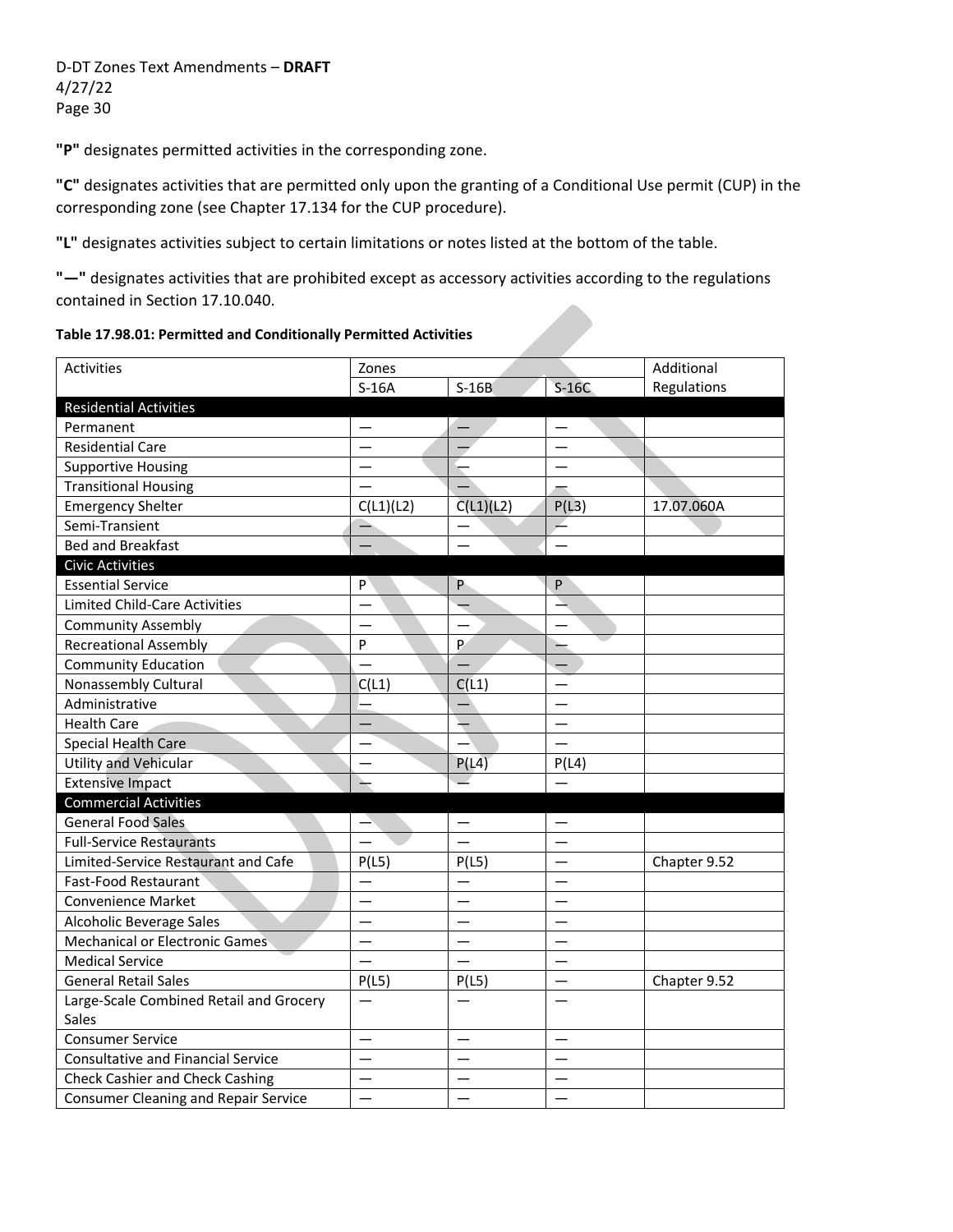**"P"** designates permitted activities in the corresponding zone.

**"C"** designates activities that are permitted only upon the granting of a Conditional Use permit (CUP) in the corresponding zone (see Chapter 17.134 for the CUP procedure).

**"L"** designates activities subject to certain limitations or notes listed at the bottom of the table.

**"—"** designates activities that are prohibited except as accessory activities according to the regulations contained in Section 17.10.040.

**Table 17.98.01: Permitted and Conditionally Permitted Activities** 

| Activities                                  | Zones     |                          |         | Additional   |
|---------------------------------------------|-----------|--------------------------|---------|--------------|
|                                             | $S-16A$   | $S-16B$                  | $S-16C$ | Regulations  |
| <b>Residential Activities</b>               |           |                          |         |              |
| Permanent                                   |           |                          |         |              |
| <b>Residential Care</b>                     |           |                          |         |              |
| <b>Supportive Housing</b>                   |           |                          |         |              |
| <b>Transitional Housing</b>                 |           |                          |         |              |
| <b>Emergency Shelter</b>                    | C(L1)(L2) | C(L1)(L2)                | P(L3)   | 17.07.060A   |
| Semi-Transient                              |           |                          |         |              |
| <b>Bed and Breakfast</b>                    |           |                          |         |              |
| <b>Civic Activities</b>                     |           |                          |         |              |
| <b>Essential Service</b>                    | P         | P                        | P       |              |
| <b>Limited Child-Care Activities</b>        |           |                          |         |              |
| <b>Community Assembly</b>                   |           |                          |         |              |
| <b>Recreational Assembly</b>                | P         | P                        |         |              |
| <b>Community Education</b>                  |           |                          |         |              |
| Nonassembly Cultural                        | C(L1)     | C(11)                    |         |              |
| Administrative                              |           |                          |         |              |
| <b>Health Care</b>                          |           | $\overline{\phantom{0}}$ |         |              |
| <b>Special Health Care</b>                  |           |                          |         |              |
| <b>Utility and Vehicular</b>                |           | P(L4)                    | P(L4)   |              |
| <b>Extensive Impact</b>                     |           |                          |         |              |
| <b>Commercial Activities</b>                |           |                          |         |              |
| <b>General Food Sales</b>                   |           |                          |         |              |
| <b>Full-Service Restaurants</b>             |           |                          |         |              |
| Limited-Service Restaurant and Cafe         | P(L5)     | P(L5)                    |         | Chapter 9.52 |
| Fast-Food Restaurant                        |           |                          |         |              |
| <b>Convenience Market</b>                   |           |                          |         |              |
| Alcoholic Beverage Sales                    |           |                          |         |              |
| <b>Mechanical or Electronic Games</b>       |           |                          |         |              |
| <b>Medical Service</b>                      |           |                          |         |              |
| <b>General Retail Sales</b>                 | P(L5)     | P(L5)                    |         | Chapter 9.52 |
| Large-Scale Combined Retail and Grocery     |           |                          |         |              |
| Sales                                       |           |                          |         |              |
| <b>Consumer Service</b>                     |           |                          |         |              |
| <b>Consultative and Financial Service</b>   |           |                          |         |              |
| <b>Check Cashier and Check Cashing</b>      |           |                          |         |              |
| <b>Consumer Cleaning and Repair Service</b> |           |                          |         |              |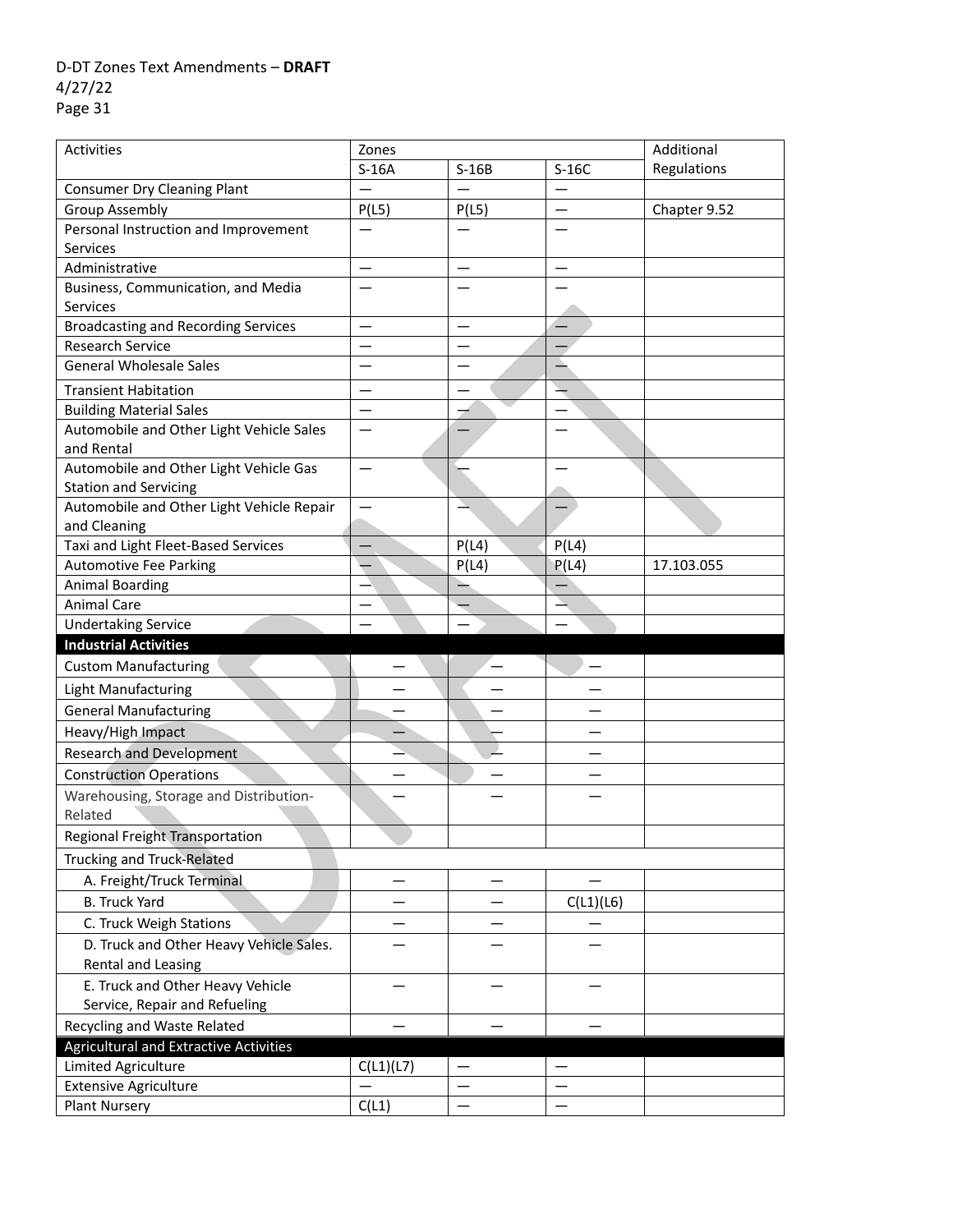| Activities                                                  | Zones     |         |           | Additional   |
|-------------------------------------------------------------|-----------|---------|-----------|--------------|
|                                                             | $S-16A$   | $S-16B$ | $S-16C$   | Regulations  |
| <b>Consumer Dry Cleaning Plant</b>                          |           |         |           |              |
| <b>Group Assembly</b>                                       | P(L5)     | P(L5)   |           | Chapter 9.52 |
| Personal Instruction and Improvement                        |           |         |           |              |
| <b>Services</b>                                             |           |         |           |              |
| Administrative                                              |           |         |           |              |
| Business, Communication, and Media                          |           |         |           |              |
| <b>Services</b>                                             |           |         |           |              |
| <b>Broadcasting and Recording Services</b>                  | —         |         |           |              |
| Research Service                                            |           |         |           |              |
| <b>General Wholesale Sales</b>                              |           |         |           |              |
| <b>Transient Habitation</b>                                 |           |         |           |              |
| <b>Building Material Sales</b>                              |           |         |           |              |
| Automobile and Other Light Vehicle Sales                    |           |         |           |              |
| and Rental                                                  |           |         |           |              |
| Automobile and Other Light Vehicle Gas                      |           |         |           |              |
| <b>Station and Servicing</b>                                |           |         |           |              |
| Automobile and Other Light Vehicle Repair                   |           |         |           |              |
| and Cleaning                                                |           |         |           |              |
| Taxi and Light Fleet-Based Services                         |           | P(L4)   | P(L4)     |              |
| <b>Automotive Fee Parking</b>                               |           | P(L4)   | P(L4)     | 17.103.055   |
| <b>Animal Boarding</b>                                      |           |         |           |              |
| <b>Animal Care</b>                                          |           |         |           |              |
| <b>Undertaking Service</b>                                  |           |         |           |              |
|                                                             |           |         |           |              |
| <b>Industrial Activities</b><br><b>Custom Manufacturing</b> |           |         |           |              |
|                                                             |           |         |           |              |
| Light Manufacturing                                         |           |         |           |              |
| <b>General Manufacturing</b>                                |           |         |           |              |
| Heavy/High Impact                                           |           |         |           |              |
| <b>Research and Development</b>                             |           |         |           |              |
| <b>Construction Operations</b>                              |           |         |           |              |
| Warehousing, Storage and Distribution-                      |           |         |           |              |
| Related                                                     |           |         |           |              |
| Regional Freight Transportation                             |           |         |           |              |
| Trucking and Truck-Related                                  |           |         |           |              |
| A. Freight/Truck Terminal                                   |           |         |           |              |
| <b>B. Truck Yard</b>                                        |           |         | C(L1)(L6) |              |
| C. Truck Weigh Stations                                     |           |         |           |              |
| D. Truck and Other Heavy Vehicle Sales.                     |           |         |           |              |
| Rental and Leasing                                          |           |         |           |              |
| E. Truck and Other Heavy Vehicle                            |           |         |           |              |
| Service, Repair and Refueling                               |           |         |           |              |
| Recycling and Waste Related                                 |           |         |           |              |
| Agricultural and Extractive Activities                      |           |         |           |              |
| Limited Agriculture                                         | C(L1)(L7) |         |           |              |
| <b>Extensive Agriculture</b><br><b>Plant Nursery</b>        | C(L1)     |         |           |              |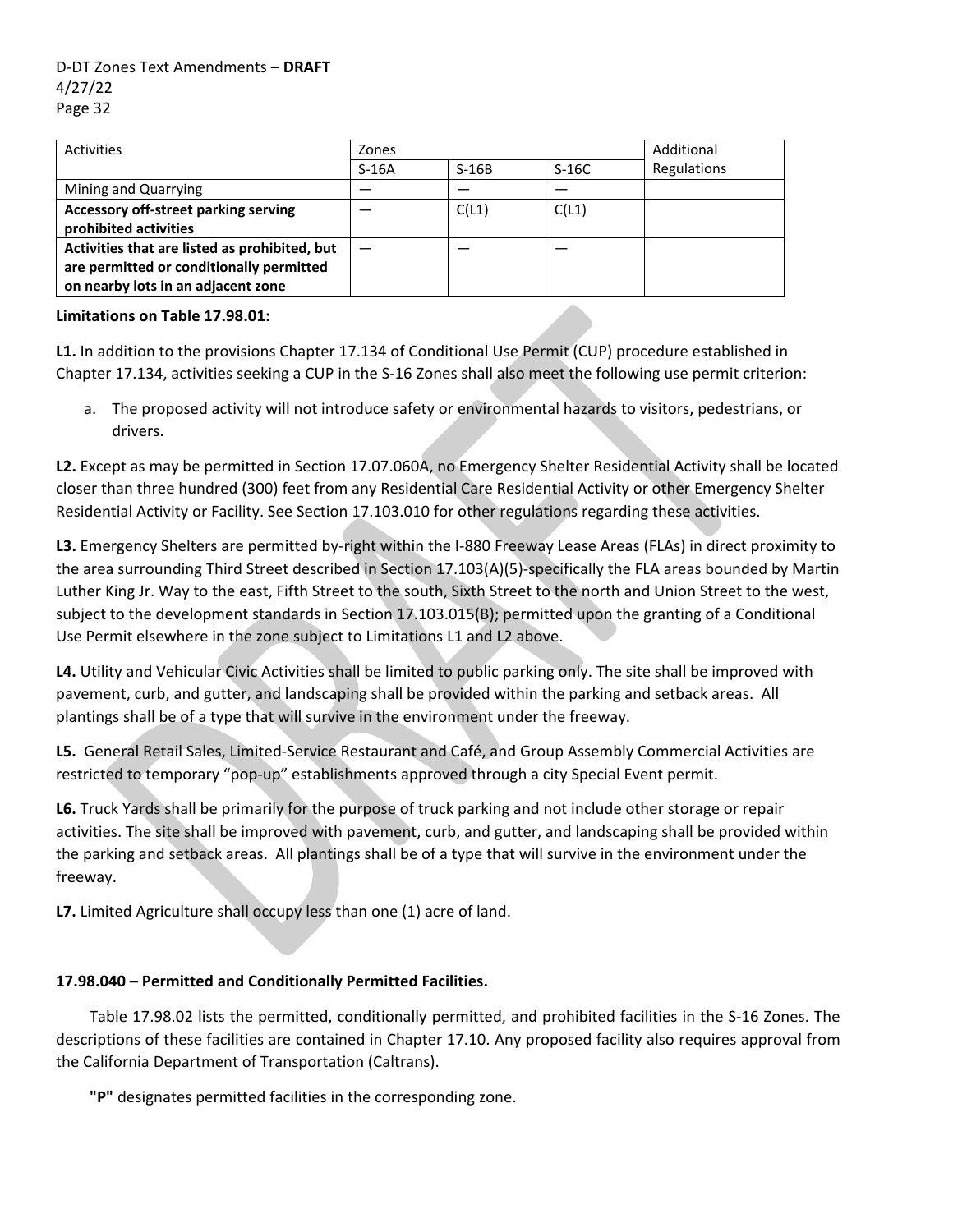| Activities                                                                                                                      | Zones   |         |         | Additional  |  |
|---------------------------------------------------------------------------------------------------------------------------------|---------|---------|---------|-------------|--|
|                                                                                                                                 | $S-16A$ | $S-16B$ | $S-16C$ | Regulations |  |
| Mining and Quarrying                                                                                                            |         |         |         |             |  |
| Accessory off-street parking serving<br>prohibited activities                                                                   |         | C(L1)   | C(L1)   |             |  |
| Activities that are listed as prohibited, but<br>are permitted or conditionally permitted<br>on nearby lots in an adjacent zone |         |         |         |             |  |

### **Limitations on Table 17.98.01:**

**L1.** In addition to the provisions Chapter 17.134 of Conditional Use Permit (CUP) procedure established in Chapter 17.134, activities seeking a CUP in the S‐16 Zones shall also meet the following use permit criterion:

a. The proposed activity will not introduce safety or environmental hazards to visitors, pedestrians, or drivers.

**L2.** Except as may be permitted in Section 17.07.060A, no Emergency Shelter Residential Activity shall be located closer than three hundred (300) feet from any Residential Care Residential Activity or other Emergency Shelter Residential Activity or Facility. See Section 17.103.010 for other regulations regarding these activities.

**L3.** Emergency Shelters are permitted by‐right within the I‐880 Freeway Lease Areas (FLAs) in direct proximity to the area surrounding Third Street described in Section 17.103(A)(5)‐specifically the FLA areas bounded by Martin Luther King Jr. Way to the east, Fifth Street to the south, Sixth Street to the north and Union Street to the west, subject to the development standards in Section 17.103.015(B); permitted upon the granting of a Conditional Use Permit elsewhere in the zone subject to Limitations L1 and L2 above.

**L4.** Utility and Vehicular Civic Activities shall be limited to public parking only. The site shall be improved with pavement, curb, and gutter, and landscaping shall be provided within the parking and setback areas. All plantings shall be of a type that will survive in the environment under the freeway.

**L5.** General Retail Sales, Limited‐Service Restaurant and Café, and Group Assembly Commercial Activities are restricted to temporary "pop‐up" establishments approved through a city Special Event permit.

**L6.** Truck Yards shall be primarily for the purpose of truck parking and not include other storage or repair activities. The site shall be improved with pavement, curb, and gutter, and landscaping shall be provided within the parking and setback areas. All plantings shall be of a type that will survive in the environment under the freeway.

**L7.** Limited Agriculture shall occupy less than one (1) acre of land.

## **17.98.040 – Permitted and Conditionally Permitted Facilities.**

Table 17.98.02 lists the permitted, conditionally permitted, and prohibited facilities in the S‐16 Zones. The descriptions of these facilities are contained in Chapter 17.10. Any proposed facility also requires approval from the California Department of Transportation (Caltrans).

**"P"** designates permitted facilities in the corresponding zone.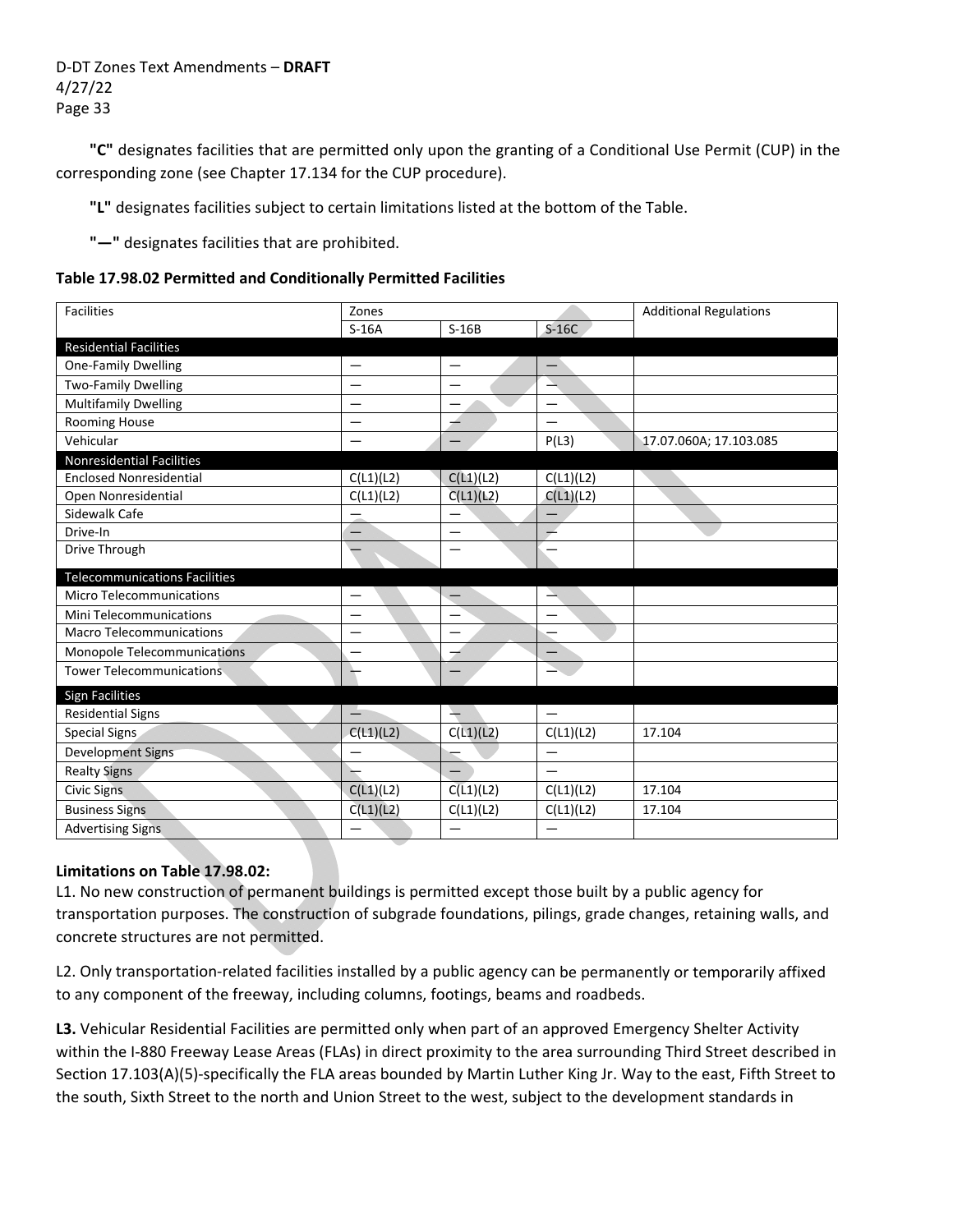**"C"** designates facilities that are permitted only upon the granting of a Conditional Use Permit (CUP) in the corresponding zone (see Chapter 17.134 for the CUP procedure).

**"L"** designates facilities subject to certain limitations listed at the bottom of the Table.

**"—"** designates facilities that are prohibited.

#### **Table 17.98.02 Permitted and Conditionally Permitted Facilities**

| <b>Facilities</b>                    | Zones                    |                          |                          | <b>Additional Regulations</b> |  |
|--------------------------------------|--------------------------|--------------------------|--------------------------|-------------------------------|--|
|                                      | $S-16A$                  | $S-16B$                  | $S-16C$                  |                               |  |
| <b>Residential Facilities</b>        |                          |                          |                          |                               |  |
| <b>One-Family Dwelling</b>           | $\overline{\phantom{0}}$ | $\qquad \qquad$          | $\overline{\phantom{m}}$ |                               |  |
| <b>Two-Family Dwelling</b>           |                          |                          |                          |                               |  |
| <b>Multifamily Dwelling</b>          | $\overline{\phantom{0}}$ | $\overline{\phantom{0}}$ |                          |                               |  |
| Rooming House                        |                          | 4                        |                          |                               |  |
| Vehicular                            |                          | —                        | P(L3)                    | 17.07.060A; 17.103.085        |  |
| <b>Nonresidential Facilities</b>     |                          |                          |                          |                               |  |
| <b>Enclosed Nonresidential</b>       | C(L1)(L2)                | C(L1)(L2)                | C(L1)(L2)                |                               |  |
| Open Nonresidential                  | C(L1)(L2)                | C(L1)(L2)                | C(L1)(L2)                |                               |  |
| Sidewalk Cafe                        |                          | —                        |                          |                               |  |
| Drive-In                             |                          |                          |                          |                               |  |
| Drive Through                        |                          | $\overline{\phantom{0}}$ |                          |                               |  |
| <b>Telecommunications Facilities</b> |                          |                          |                          |                               |  |
| <b>Micro Telecommunications</b>      |                          |                          | ∸                        |                               |  |
| <b>Mini Telecommunications</b>       |                          | $\overline{\phantom{0}}$ | $\overline{\phantom{0}}$ |                               |  |
| <b>Macro Telecommunications</b>      | $\overline{\phantom{0}}$ | $\overline{\phantom{0}}$ |                          |                               |  |
| Monopole Telecommunications          |                          |                          |                          |                               |  |
| <b>Tower Telecommunications</b>      |                          |                          |                          |                               |  |
| <b>Sign Facilities</b>               |                          |                          |                          |                               |  |
| <b>Residential Signs</b>             |                          | $\overline{\phantom{0}}$ |                          |                               |  |
| Special Signs                        | C(L1)(L2)                | C(L1)(L2)                | C(L1)(L2)                | 17.104                        |  |
| <b>Development Signs</b>             |                          |                          | $\overline{\phantom{0}}$ |                               |  |
| <b>Realty Signs</b>                  |                          |                          |                          |                               |  |
| <b>Civic Signs</b>                   | C(L1)(L2)                | C(L1)(L2)                | C(L1)(L2)                | 17.104                        |  |
| <b>Business Signs</b>                | C(L1)(L2)                | C(L1)(L2)                | C(L1)(L2)                | 17.104                        |  |
| <b>Advertising Signs</b>             |                          |                          |                          |                               |  |

### **Limitations on Table 17.98.02:**

L1. No new construction of permanent buildings is permitted except those built by a public agency for transportation purposes. The construction of subgrade foundations, pilings, grade changes, retaining walls, and concrete structures are not permitted.

L2. Only transportation-related facilities installed by a public agency can be permanently or temporarily affixed to any component of the freeway, including columns, footings, beams and roadbeds.

**L3.** Vehicular Residential Facilities are permitted only when part of an approved Emergency Shelter Activity within the I-880 Freeway Lease Areas (FLAs) in direct proximity to the area surrounding Third Street described in Section 17.103(A)(5)‐specifically the FLA areas bounded by Martin Luther King Jr. Way to the east, Fifth Street to the south, Sixth Street to the north and Union Street to the west, subject to the development standards in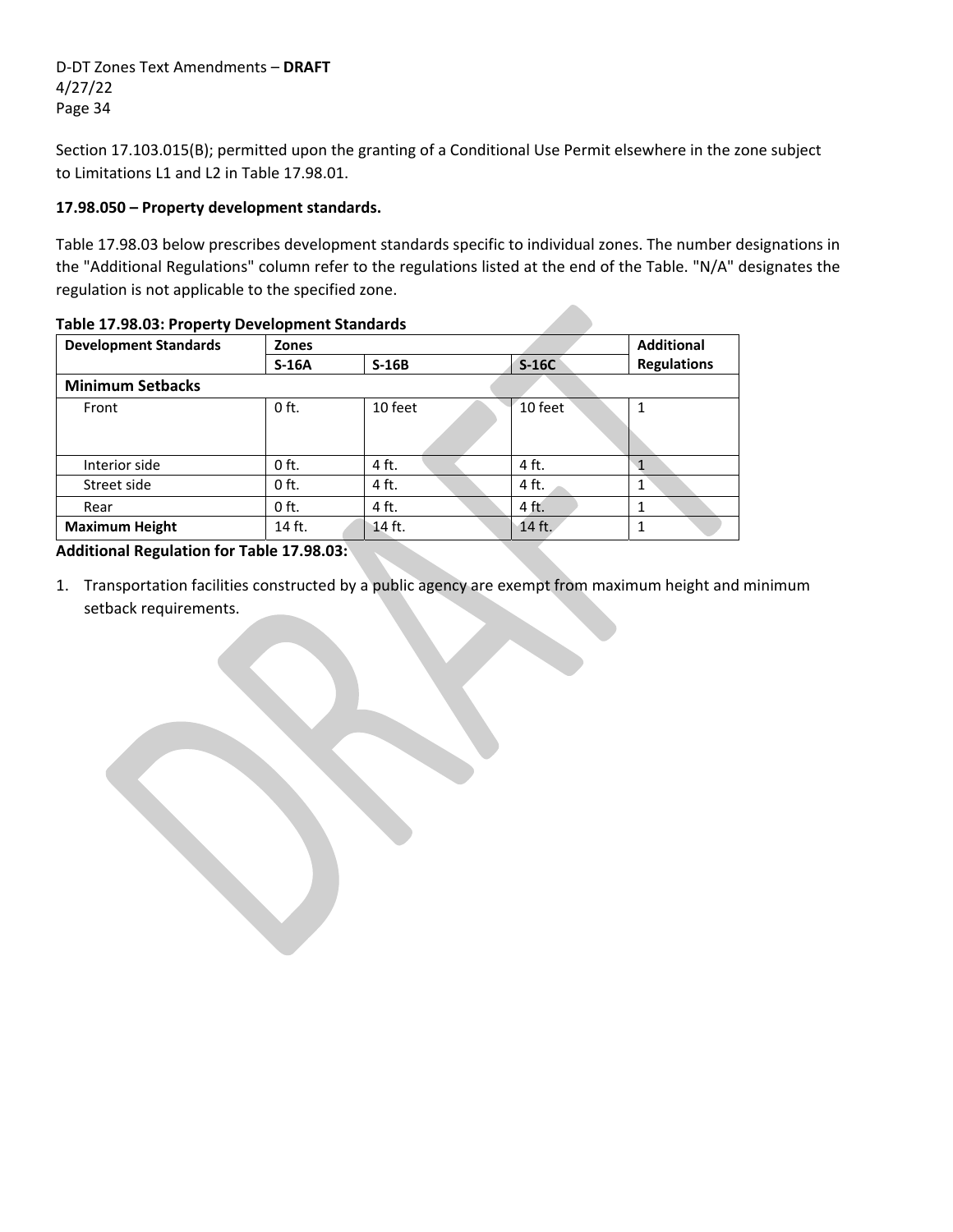Section 17.103.015(B); permitted upon the granting of a Conditional Use Permit elsewhere in the zone subject to Limitations L1 and L2 in Table 17.98.01.

### **17.98.050 – Property development standards.**

Table 17.98.03 below prescribes development standards specific to individual zones. The number designations in the "Additional Regulations" column refer to the regulations listed at the end of the Table. "N/A" designates the regulation is not applicable to the specified zone.

| <b>Development Standards</b> | <b>Zones</b> | <b>Additional</b> |         |                    |  |  |  |
|------------------------------|--------------|-------------------|---------|--------------------|--|--|--|
|                              | $S-16A$      | $S-16B$           | $S-16C$ | <b>Regulations</b> |  |  |  |
| <b>Minimum Setbacks</b>      |              |                   |         |                    |  |  |  |
| Front                        | $0$ ft.      | 10 feet           | 10 feet | 1                  |  |  |  |
|                              |              |                   |         |                    |  |  |  |
| Interior side                | $0$ ft.      | 4 ft.             | 4 ft.   | 1                  |  |  |  |
| Street side                  | $0$ ft.      | 4 ft.             | 4 ft.   | $\mathbf{1}$       |  |  |  |
| Rear                         | $0$ ft.      | 4 ft.             | 4 ft.   |                    |  |  |  |
| <b>Maximum Height</b>        | 14 ft.       | 14 ft.            | 14 ft.  |                    |  |  |  |

#### **Table 17.98.03: Property Development Standards**

**Additional Regulation for Table 17.98.03:**

the contract of the contract of the

1. Transportation facilities constructed by a public agency are exempt from maximum height and minimum setback requirements.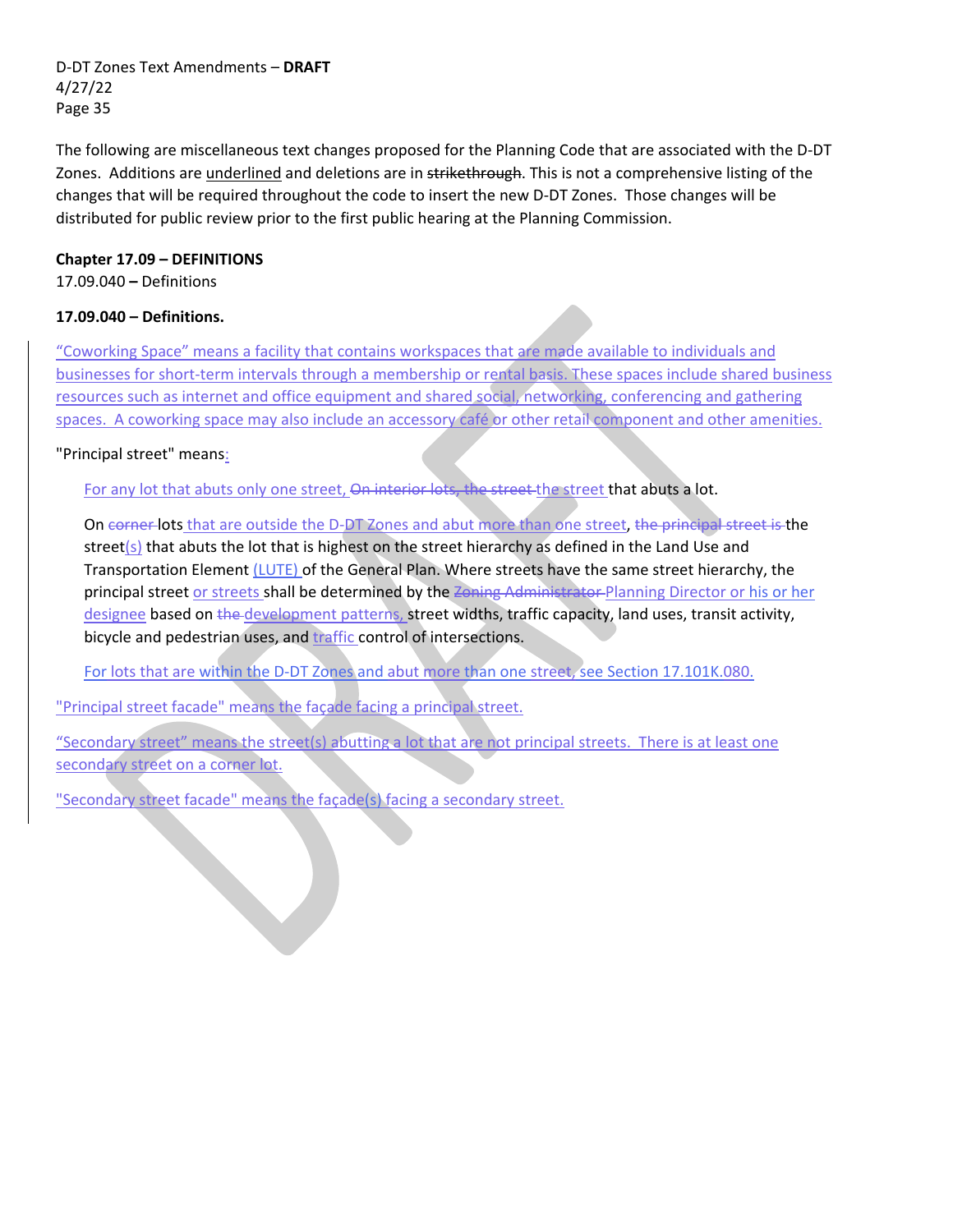The following are miscellaneous text changes proposed for the Planning Code that are associated with the D‐DT Zones. Additions are underlined and deletions are in strikethrough. This is not a comprehensive listing of the changes that will be required throughout the code to insert the new D‐DT Zones. Those changes will be distributed for public review prior to the first public hearing at the Planning Commission.

### **Chapter 17.09 – DEFINITIONS**

17.09.040 **–** Definitions

## **17.09.040 – Definitions.**

"Coworking Space" means a facility that contains workspaces that are made available to individuals and businesses for short‐term intervals through a membership or rental basis. These spaces include shared business resources such as internet and office equipment and shared social, networking, conferencing and gathering spaces. A coworking space may also include an accessory café or other retail component and other amenities.

## "Principal street" means:

For any lot that abuts only one street, On interior lots, the street-the street that abuts a lot.

On corner-lots that are outside the D-DT Zones and abut more than one street, the principal street is the street( $s$ ) that abuts the lot that is highest on the street hierarchy as defined in the Land Use and Transportation Element (LUTE) of the General Plan. Where streets have the same street hierarchy, the principal street or streets shall be determined by the Zoning Administrator Planning Director or his or her designee based on the development patterns, street widths, traffic capacity, land uses, transit activity, bicycle and pedestrian uses, and traffic control of intersections.

For lots that are within the D‐DT Zones and abut more than one street, see Section 17.101K.080.

"Principal street facade" means the façade facing a principal street.

"Secondary street" means the street(s) abutting a lot that are not principal streets. There is at least one secondary street on a corner lot.

"Secondary street facade" means the façade(s) facing a secondary street.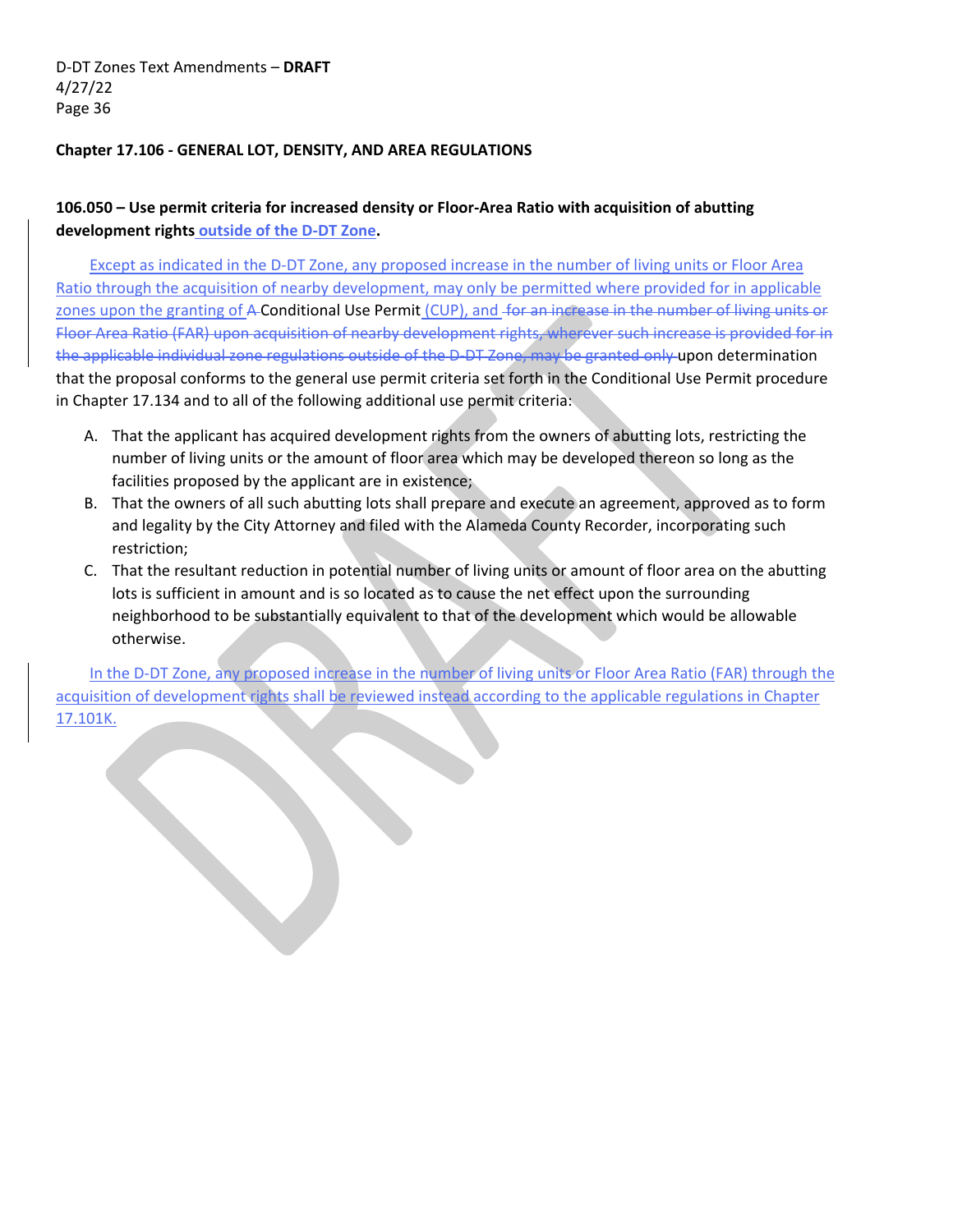### **Chapter 17.106 ‐ GENERAL LOT, DENSITY, AND AREA REGULATIONS**

# **106.050 – Use permit criteria for increased density or Floor‐Area Ratio with acquisition of abutting development rights outside of the D‐DT Zone.**

Except as indicated in the D‐DT Zone, any proposed increase in the number of living units or Floor Area Ratio through the acquisition of nearby development, may only be permitted where provided for in applicable zones upon the granting of A-Conditional Use Permit (CUP), and for an increase in the number of living units or Floor Area Ratio (FAR) upon acquisition of nearby development rights, wherever such increase is provided for in the applicable individual zone regulations outside of the D-DT Zone, may be granted only upon determination that the proposal conforms to the general use permit criteria set forth in the Conditional Use Permit procedure in Chapter 17.134 and to all of the following additional use permit criteria:

- A. That the applicant has acquired development rights from the owners of abutting lots, restricting the number of living units or the amount of floor area which may be developed thereon so long as the facilities proposed by the applicant are in existence;
- B. That the owners of all such abutting lots shall prepare and execute an agreement, approved as to form and legality by the City Attorney and filed with the Alameda County Recorder, incorporating such restriction;
- C. That the resultant reduction in potential number of living units or amount of floor area on the abutting lots is sufficient in amount and is so located as to cause the net effect upon the surrounding neighborhood to be substantially equivalent to that of the development which would be allowable otherwise.

In the D-DT Zone, any proposed increase in the number of living units or Floor Area Ratio (FAR) through the acquisition of development rights shall be reviewed instead according to the applicable regulations in Chapter 17.101K.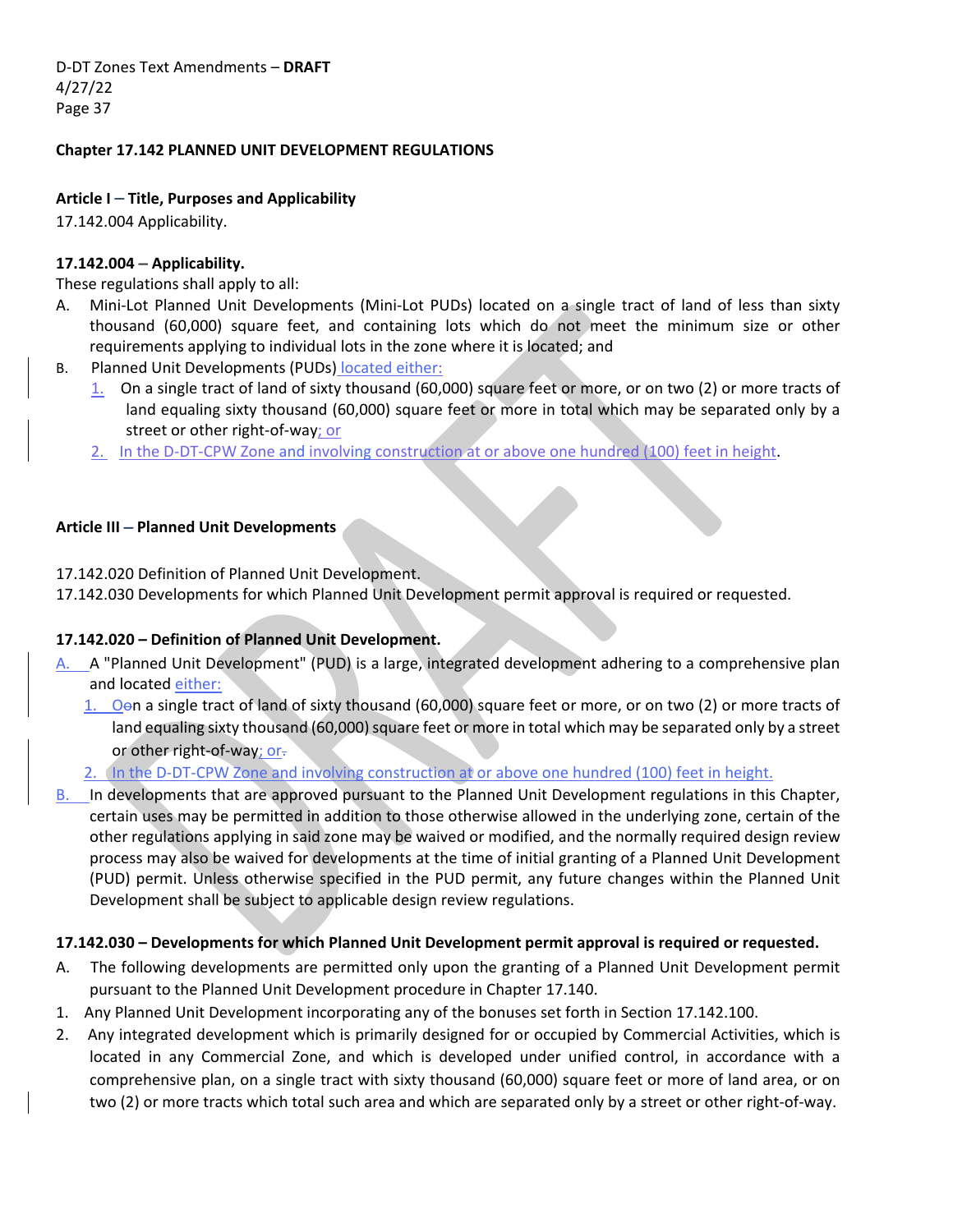### **Chapter 17.142 PLANNED UNIT DEVELOPMENT REGULATIONS**

### **Article I** – **Title, Purposes and Applicability**

17.142.004 Applicability.

### **17.142.004 – Applicability.**

These regulations shall apply to all:

- A. Mini-Lot Planned Unit Developments (Mini-Lot PUDs) located on a single tract of land of less than sixty thousand (60,000) square feet, and containing lots which do not meet the minimum size or other requirements applying to individual lots in the zone where it is located; and
- B. Planned Unit Developments (PUDs) located either:
	- 1. On a single tract of land of sixty thousand (60,000) square feet or more, or on two (2) or more tracts of land equaling sixty thousand (60,000) square feet or more in total which may be separated only by a street or other right‐of‐way; or
	- 2. In the D-DT-CPW Zone and involving construction at or above one hundred (100) feet in height.

### **Article III** – **Planned Unit Developments**

17.142.020 Definition of Planned Unit Development.

17.142.030 Developments for which Planned Unit Development permit approval is required or requested.

## **17.142.020 – Definition of Planned Unit Development.**

- A. A "Planned Unit Development" (PUD) is a large, integrated development adhering to a comprehensive plan and located either:
	- 1. Oon a single tract of land of sixty thousand (60,000) square feet or more, or on two (2) or more tracts of land equaling sixty thousand (60,000) square feet or more in total which may be separated only by a street or other right-of-way; or-
	- 2. In the D-DT-CPW Zone and involving construction at or above one hundred (100) feet in height.
- B. In developments that are approved pursuant to the Planned Unit Development regulations in this Chapter, certain uses may be permitted in addition to those otherwise allowed in the underlying zone, certain of the other regulations applying in said zone may be waived or modified, and the normally required design review process may also be waived for developments at the time of initial granting of a Planned Unit Development (PUD) permit. Unless otherwise specified in the PUD permit, any future changes within the Planned Unit Development shall be subject to applicable design review regulations.

### **17.142.030 – Developments for which Planned Unit Development permit approval is required or requested.**

- A. The following developments are permitted only upon the granting of a Planned Unit Development permit pursuant to the Planned Unit Development procedure in Chapter 17.140.
- 1. Any Planned Unit Development incorporating any of the bonuses set forth in Section 17.142.100.
- 2. Any integrated development which is primarily designed for or occupied by Commercial Activities, which is located in any Commercial Zone, and which is developed under unified control, in accordance with a comprehensive plan, on a single tract with sixty thousand (60,000) square feet or more of land area, or on two (2) or more tracts which total such area and which are separated only by a street or other right‐of‐way.